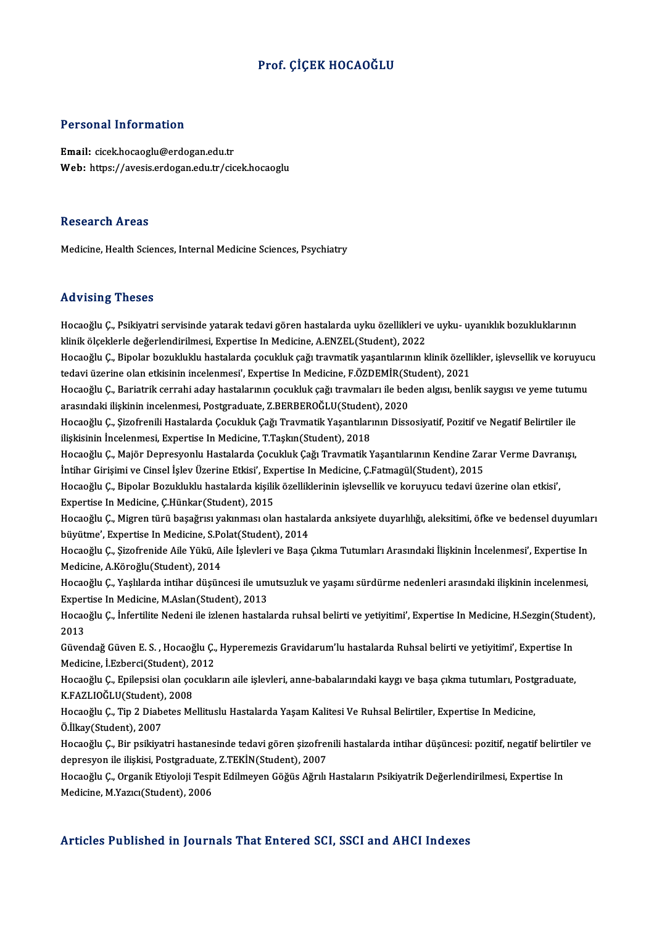### Prof. ÇİÇEK HOCAOĞLU

### Personal Information

Email: cicek.hocaoglu@erdogan.edu.tr Web: https://avesis.erdogan.edu.tr/cicek.hocaoglu

### Research Areas

Medicine, Health Sciences, Internal Medicine Sciences, Psychiatry

### Advising Theses

**Advising Theses**<br>Hocaoğlu Ç., Psikiyatri servisinde yatarak tedavi gören hastalarda uyku özellikleri ve uyku- uyanıklık bozukluklarının<br>klipik ölgeklerle değerlendirilmesi, Evpertise In Medisine, A ENZEL (Student), 2022 kla visini<sub>b</sub> kirosos<br>Hocaoğlu Ç., Psikiyatri servisinde yatarak tedavi gören hastalarda uyku özellikleri v<br>klinik ölçeklerle değerlendirilmesi, Expertise In Medicine, A.ENZEL(Student), 2022<br>Hosaoğlu C., Binalar hozulduklu Hocaoğlu Ç., Psikiyatri servisinde yatarak tedavi gören hastalarda uyku özellikleri ve uyku- uyanıklık bozukluklarının<br>klinik ölçeklerle değerlendirilmesi, Expertise In Medicine, A.ENZEL(Student), 2022<br>Hocaoğlu Ç., Bipolar

klinik ölçeklerle değerlendirilmesi, Expertise In Medicine, A.ENZEL(Student), 2022<br>Hocaoğlu Ç., Bipolar bozukluklu hastalarda çocukluk çağı travmatik yaşantılarının klinik özellikler, işlevsellik ve koruyucu<br>tedavi üzerine Hocaoğlu Ç., Bipolar bozukluklu hastalarda çocukluk çağı travmatik yaşantılarının klinik özellikler, işlevsellik ve koruyuc<br>tedavi üzerine olan etkisinin incelenmesi', Expertise In Medicine, F.ÖZDEMİR(Student), 2021<br>Hocaoğ

tedavi üzerine olan etkisinin incelenmesi', Expertise In Medicine, F.ÖZDEMİR(St<br>Hocaoğlu Ç., Bariatrik cerrahi aday hastalarının çocukluk çağı travmaları ile bec<br>arasındaki ilişkinin incelenmesi, Postgraduate, Z.BERBEROĞLU Hocaoğlu Ç., Bariatrik cerrahi aday hastalarının çocukluk çağı travmaları ile beden algısı, benlik saygısı ve yeme tutum<br>arasındaki ilişkinin incelenmesi, Postgraduate, Z.BERBEROĞLU(Student), 2020<br>Hocaoğlu Ç., Şizofrenili

arasındaki ilişkinin incelenmesi, Postgraduate, Z.BERBEROĞLU(Student), 2020<br>Hocaoğlu Ç., Şizofrenili Hastalarda Çocukluk Çağı Travmatik Yaşantılarının Dissosiyatif, Pozitif ve Negatif Belirtiler ile<br>ilişkisinin İncelenmesi Hocaoğlu Ç., Şizofrenili Hastalarda Çocukluk Çağı Travmatik Yaşantılarının Dissosiyatif, Pozitif ve Negatif Belirtiler ile<br>ilişkisinin İncelenmesi, Expertise In Medicine, T.Taşkın(Student), 2018<br>Hocaoğlu Ç., Majör Depresyo

ilişkisinin İncelenmesi, Expertise In Medicine, T.Taşkın(Student), 2018<br>Hocaoğlu Ç., Majör Depresyonlu Hastalarda Çocukluk Çağı Travmatik Yaşantılarının Kendine Zar<br>İntihar Girişimi ve Cinsel İşlev Üzerine Etkisi', Experti Hocaoğlu Ç., Majör Depresyonlu Hastalarda Çocukluk Çağı Travmatik Yaşantılarının Kendine Zarar Verme Davraı<br>İntihar Girişimi ve Cinsel İşlev Üzerine Etkisi', Expertise In Medicine, Ç.Fatmagül(Student), 2015<br>Hocaoğlu Ç., Bi

İntihar Girişimi ve Cinsel İşlev Üzerine Etkisi', Experinci<br>Hocaoğlu Ç., Bipolar Bozukluklu hastalarda kişilil<br>Expertise In Medicine, Ç.Hünkar(Student), 2015<br>Hocaoğlu Ç. Misron türü basağmay yakınması ala

Hocaoğlu Ç., Bipolar Bozukluklu hastalarda kişilik özelliklerinin işlevsellik ve koruyucu tedavi üzerine olan etkisi',<br>Expertise In Medicine, Ç.Hünkar(Student), 2015<br>Hocaoğlu Ç., Migren türü başağrısı yakınması olan hastal Expertise In Medicine, Ç.Hünkar(Student), 2015<br>Hocaoğlu Ç., Migren türü başağrısı yakınması olan hastal<br>büyütme', Expertise In Medicine, S.Polat(Student), 2014<br>Hocaoğlu Ç. Sirofronida Aile Vülrü, Aile İslavlari ve Basa Hocaoğlu Ç., Migren türü başağrısı yakınması olan hastalarda anksiyete duyarlılığı, aleksitimi, öfke ve bedensel duyumla:<br>büyütme', Expertise In Medicine, S.Polat(Student), 2014<br>Hocaoğlu Ç., Şizofrenide Aile Yükü, Aile İşl

büyütme', Expertise In Medicine, S.Po<br>Hocaoğlu Ç., Şizofrenide Aile Yükü, A<br>Medicine, A.Köroğlu(Student), 2014<br>Hocaoğlu C. Vaslılarda intibar düşün Hocaoğlu Ç., Şizofrenide Aile Yükü, Aile İşlevleri ve Başa Çıkma Tutumları Arasındaki İlişkinin İncelenmesi', Expertise In<br>Medicine, A.Köroğlu(Student), 2014<br>Hocaoğlu Ç., Yaşlılarda intihar düşüncesi ile umutsuzluk ve yaşa

Medicine, A.Köroğlu(Student), 2014<br>Hocaoğlu Ç., Yaşlılarda intihar düşüncesi ile um<br>Expertise In Medicine, M.Aslan(Student), 2013<br>Hogaoğlu C. İnfortilite Nedeni ile irlenen bestelı Hocaoğlu Ç., Yaşlılarda intihar düşüncesi ile umutsuzluk ve yaşamı sürdürme nedenleri arasındaki ilişkinin incelenmesi,<br>Expertise In Medicine, M.Aslan(Student), 2013<br>Hocaoğlu Ç., İnfertilite Nedeni ile izlenen hastalarda r

Exper<br>Hocad<br>2013<br>Güyen Hocaoğlu Ç., İnfertilite Nedeni ile izlenen hastalarda ruhsal belirti ve yetiyitimi', Expertise In Medicine, H.Sezgin(Stude<br>2013<br>Güvendağ Güven E. S. , Hocaoğlu Ç., Hyperemezis Gravidarum'lu hastalarda Ruhsal belirti ve ye

2013<br>Güvendağ Güven E. S. , Hocaoğlu Ç., Hyperemezis Gravidarum'lu hastalarda Ruhsal belirti ve yetiyitimi', Expertise In<br>Medicine, İ.Ezberci(Student), 2012 Güvendağ Güven E. S. , Hocaoğlu Ç., Hyperemezis Gravidarum'lu hastalarda Ruhsal belirti ve yetiyitimi', Expertise In<br>Medicine, İ.Ezberci(Student), 2012<br>Hocaoğlu Ç., Epilepsisi olan çocukların aile işlevleri, anne-babaların

Medicine, İ.Ezberci(Student), 2<br>Hocaoğlu Ç., Epilepsisi olan ço<br>K.FAZLIOĞLU(Student), 2008<br>Hosaoğlu C. Tin 2 Disbates Me Hocaoğlu Ç., Epilepsisi olan çocukların aile işlevleri, anne-babalarındaki kaygı ve başa çıkma tutumları, Postg<br>K.FAZLIOĞLU(Student), 2008<br>Hocaoğlu Ç., Tip 2 Diabetes Mellituslu Hastalarda Yaşam Kalitesi Ve Ruhsal Belirtil

K.FAZLIOĞLU(Student), 2008<br>Hocaoğlu Ç., Tip 2 Diabetes Mellituslu Hastalarda Yaşam Kalitesi Ve Ruhsal Belirtiler, Expertise In Medicine,<br>Ö.İlkay(Student), 2007 Hocaoğlu Ç., Tip 2 Diabetes Mellituslu Hastalarda Yaşam Kalitesi Ve Ruhsal Belirtiler, Expertise In Medicine,<br>Ö.İlkay(Student), 2007<br>Hocaoğlu Ç., Bir psikiyatri hastanesinde tedavi gören şizofrenili hastalarda intihar düşü

Ö.İlkay(Student), 2007<br>Hocaoğlu Ç., Bir psikiyatri hastanesinde tedavi gören şizofren<br>depresyon ile ilişkisi, Postgraduate, Z.TEKİN(Student), 2007<br>Hocaoğlu Ç. Organik Etivoloji Tesnit Edilmeyen Göğüs Ağrılı Hocaoğlu Ç., Bir psikiyatri hastanesinde tedavi gören şizofrenili hastalarda intihar düşüncesi: pozitif, negatif belirti<br>depresyon ile ilişkisi, Postgraduate, Z.TEKİN(Student), 2007<br>Hocaoğlu Ç., Organik Etiyoloji Tespit Ed

depresyon ile ilişkisi, Postgraduate, Z.TEKİN(Student), 2007<br>Hocaoğlu Ç., Organik Etiyoloji Tespit Edilmeyen Göğüs Ağrılı Hastaların Psikiyatrik Değerlendirilmesi, Expertise In<br>Medicine, M.Yazıcı(Student), 2006

### Articles Published in Journals That Entered SCI, SSCI and AHCI Indexes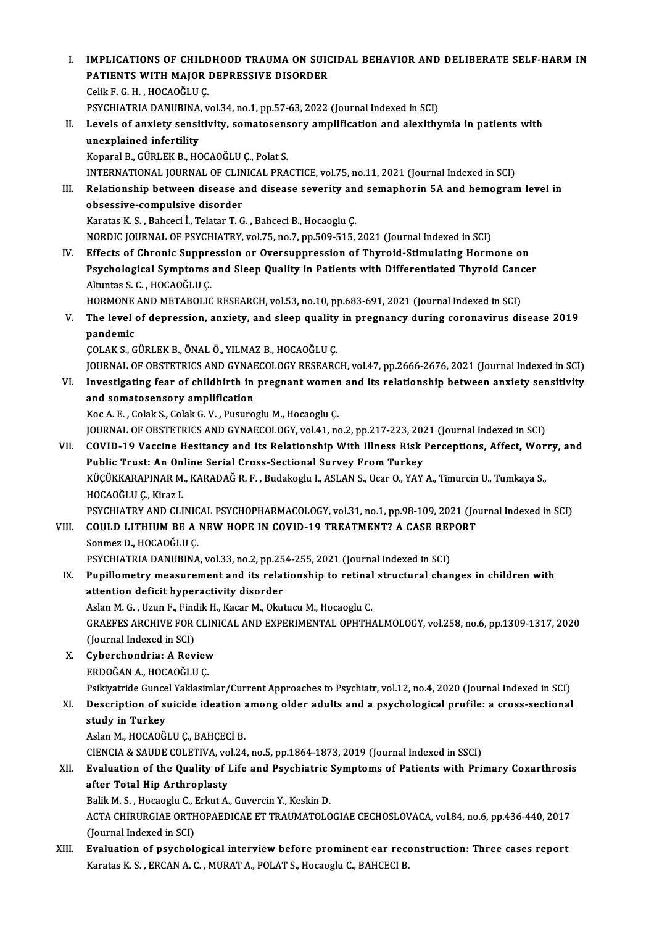I. IMPLICATIONS OF CHILDHOOD TRAUMA ON SUICIDAL BEHAVIOR AND DELIBERATE SELF-HARMIN IMPLICATIONS OF CHILDHOOD TRAUMA ON SUIC<br>PATIENTS WITH MAJOR DEPRESSIVE DISORDER<br>CelikE G H - HOCAOČLU C **IMPLICATIONS OF CHILD<br>PATIENTS WITH MAJOR**<br>Celik F. G. H. , HOCAOĞLU Ç.<br>PSYCHIATPIA DANIJPINA Celik F. G. H. , HOCAOĞLU Ç.<br>PSYCHIATRIA DANUBINA, vol.34, no.1, pp.57-63, 2022 (Journal Indexed in SCI) Celik F. G. H. , HOCAOĞLU Ç.<br>PSYCHIATRIA DANUBINA, vol.34, no.1, pp.57-63, 2022 (Journal Indexed in SCI)<br>II. Levels of anxiety sensitivity, somatosensory amplification and alexithymia in patients with<br>unexplained infor PSYCHIATRIA DANUBINA<br>Levels of anxiety sensi<br>unexplained infertility<br>Konaral B. CÜPLEK B. HC Levels of anxiety sensitivity, somatosens<br>unexplained infertility<br>Koparal B., GÜRLEK B., HOCAOĞLU Ç., Polat S.<br>INTERNATIONAL JOURNAL OF GLINICAL PRA unexplained infertility<br>Koparal B., GÜRLEK B., HOCAOĞLU Ç., Polat S.<br>INTERNATIONAL JOURNAL OF CLINICAL PRACTICE, vol.75, no.11, 2021 (Journal Indexed in SCI)<br>Relationship between disease and disease severity and semanherin Koparal B., GÜRLEK B., HOCAOĞLU Ç., Polat S.<br>INTERNATIONAL JOURNAL OF CLINICAL PRACTICE, vol.75, no.11, 2021 (Journal Indexed in SCI)<br>III. Relationship between disease and disease severity and semaphorin 5A and hemogra INTERNATIONAL JOURNAL OF CLIN<br>Relationship between disease a<br>obsessive-compulsive disorder<br>Karatas K.S., Babsesi L.Telatar T.C Relationship between disease and disease severity an<br>obsessive-compulsive disorder<br>Karatas K. S. , Bahceci İ., Telatar T. G. , Bahceci B., Hocaoglu Ç.<br>NORDIC JOURNAL OF PSYCHIATRY vol.75, no.7, np.500,515 obsessive-compulsive disorder<br>Karatas K. S. , Bahceci İ., Telatar T. G. , Bahceci B., Hocaoglu Ç.<br>NORDIC JOURNAL OF PSYCHIATRY, vol.75, no.7, pp.509-515, 2021 (Journal Indexed in SCI) IV. Effects of Chronic Suppression or Oversuppression of Thyroid-Stimulating Hormone on NORDIC JOURNAL OF PSYCHIATRY, vol.75, no.7, pp.509-515, 2021 (Journal Indexed in SCI)<br>Effects of Chronic Suppression or Oversuppression of Thyroid-Stimulating Hormone on<br>Psychological Symptoms and Sleep Quality in Patients Effects of Chronic Suppre<br>Psychological Symptoms<br>Altuntas S. C. , HOCAOĞLU Ç.<br>HOPMONE AND METAPOLIC Psychological Symptoms and Sleep Quality in Patients with Differentiated Thyroid Cano<br>Altuntas S. C. , HOCAOĞLU Ç.<br>HORMONE AND METABOLIC RESEARCH, vol.53, no.10, pp.683-691, 2021 (Journal Indexed in SCI)<br>The level of denne Altuntas S. C. , HOCAOĞLU Ç.<br>HORMONE AND METABOLIC RESEARCH, vol.53, no.10, pp.683-691, 2021 (Journal Indexed in SCI)<br>V. The level of depression, anxiety, and sleep quality in pregnancy during coronavirus disease 2019<br>n HORMONE<br>The level<br>pandemic<br>COLAKS The level of depression, anxiety, and sleep quality<br>pandemic<br>ÇOLAK S., GÜRLEK B., ÖNAL Ö., YILMAZ B., HOCAOĞLU Ç.<br>JOUPMAL OF OPSTETPICS AND CYNAECOLOCY PESEAPC pandemic<br>ÇOLAK S., GÜRLEK B., ÖNAL Ö., YILMAZ B., HOCAOĞLU Ç.<br>JOURNAL OF OBSTETRICS AND GYNAECOLOGY RESEARCH, vol.47, pp.2666-2676, 2021 (Journal Indexed in SCI)<br>Investigating foor of childbirth in programt warren and its COLAK S., GÜRLEK B., ÖNAL Ö., YILMAZ B., HOCAOĞLU Ç.<br>JOURNAL OF OBSTETRICS AND GYNAECOLOGY RESEARCH, vol.47, pp.2666-2676, 2021 (Journal Indexed in SCI)<br>VI. Investigating fear of childbirth in pregnant women and its relati JOURNAL OF OBSTETRICS AND GYNAH<br>Investigating fear of childbirth in<br>and somatosensory amplification VI. Investigating fear of childbirth in pregnant women and its relationship between anxiety sensitivity<br>and somatosensory amplification<br>Koc A. E., Colak S., Colak G. V. , Pusuroglu M., Hocaoglu Ç. and somatosensory amplification<br>Koc A. E. , Colak S., Colak G. V. , Pusuroglu M., Hocaoglu Ç.<br>JOURNAL OF OBSTETRICS AND GYNAECOLOGY, vol.41, no.2, pp.217-223, 2021 (Journal Indexed in SCI)<br>COVID 19 Vassine Hesitansy and It Koc A. E. , Colak S., Colak G. V. , Pusuroglu M., Hocaoglu Ç.<br>JOURNAL OF OBSTETRICS AND GYNAECOLOGY, vol.41, no.2, pp.217-223, 2021 (Journal Indexed in SCI)<br>VII. COVID-19 Vaccine Hesitancy and Its Relationship With Illness JOURNAL OF OBSTETRICS AND GYNAECOLOGY, vol.41, no.2, pp.217-223, 202<br>COVID-19 Vaccine Hesitancy and Its Relationship With Illness Risk |<br>Public Trust: An Online Serial Cross-Sectional Survey From Turkey<br>VÜCÜKKARARINAR M. K COVID-19 Vaccine Hesitancy and Its Relationship With Illness Risk Perceptions, Affect, Wor<br>Public Trust: An Online Serial Cross-Sectional Survey From Turkey<br>KÜÇÜKKARAPINAR M., KARADAĞ R. F. , Budakoglu I., ASLAN S., Ucar O Public Trust: An Online Serial Cross-Sectional Survey From Turkey<br>KÜÇÜKKARAPINAR M., KARADAĞ R. F. , Budakoglu I., ASLAN S., Ucar O., YAY A., Timurcin U., Tumkaya S.,<br>HOCAOĞLU Ç., Kiraz I. PSYCHIATRY AND CLINICAL PSYCHOPHARMACOLOGY, vol.31, no.1, pp.98-109, 2021 (Journal Indexed in SCI) HOCAOĞLU Ç., Kiraz I.<br>PSYCHIATRY AND CLINICAL PSYCHOPHARMACOLOGY, vol.31, no.1, pp.98-109, 2021 (Journal Could Lithium BE A NEW HOPE IN COVID-19 TREATMENT? A CASE REPORT PSYCHIATRY AND CLINIC<br>COULD LITHIUM BE A<br>Sonmez D., HOCAOĞLU Ç.<br>PSYCHIATRIA DANIIRINA COULD LITHIUM BE A NEW HOPE IN COVID-19 TREATMENT? A CASE REF<br>Sonmez D., HOCAOĞLU Ç.<br>PSYCHIATRIA DANUBINA, vol.33, no.2, pp.254-255, 2021 (Journal Indexed in SCI)<br>Punillemetry measurement and its relationship to retinal st Sonmez D., HOCAOĞLU Ç.<br>PSYCHIATRIA DANUBINA, vol.33, no.2, pp.254-255, 2021 (Journal Indexed in SCI)<br>IX. Pupillometry measurement and its relationship to retinal structural changes in children with<br>attention deficit bunera PSYCHIATRIA DANUBINA, vol.33, no.2, pp.254-255, 2021 (Journal Indexed in SCI)<br>Pupillometry measurement and its relationship to retinal structural chan<br>attention deficit hyperactivity disorder Pupillometry measurement and its relationship to retinal<br>attention deficit hyperactivity disorder<br>Aslan M. G. , Uzun F., Findik H., Kacar M., Okutucu M., Hocaoglu C.<br>CRAEEES ARCHIVE FOR CLINICAL AND EXPERIMENTAL OPHTH GRAEFES ARCHIVE FOR CLINICAL AND EXPERIMENTAL OPHTHALMOLOGY, vol.258, no.6, pp.1309-1317, 2020<br>(Journal Indexed in SCI) Aslan M. G., Uzun F., Findik H., Kacar M., Okutucu M., Hocaoglu C. GRAEFES ARCHIVE FOR CLIN<br>(Journal Indexed in SCI)<br>X. Cyberchondria: A Review (Journal Indexed in SCI)<br>**Cyberchondria: A Reviev<br>ERDOĞAN** A., HOCAOĞLU Ç.<br>Psikiyatrida Cunsel Vaklasin ERDOĞAN A., HOCAOĞLU Ç.<br>Psikiyatride Guncel Yaklasimlar/Current Approaches to Psychiatr, vol.12, no.4, 2020 (Journal Indexed in SCI) ERDOĞAN A., HOCAOĞLU Ç.<br>Psikiyatride Guncel Yaklasimlar/Current Approaches to Psychiatr, vol.12, no.4, 2020 (Journal Indexed in SCI)<br>XI. Description of suicide ideation among older adults and a psychological profile: a Psikiyatride Gunce<br>Description of si<br>study in Turkey<br>Aclan M. HOCAOČ **Description of suicide ideation a<br>study in Turkey<br>Aslan M., HOCAOĞLU Ç., BAHÇECİ B.<br>CIENCIA & SAUDE COLETIVA xol 34** study in Turkey<br>Aslan M., HOCAOĞLU Ç., BAHÇECİ B.<br>CIENCIA & SAUDE COLETIVA, vol.24, no.5, pp.1864-1873, 2019 (Journal Indexed in SSCI)<br>Evaluation of the Quality of Life and Pavehiatric Symptoms of Patients with Prij Aslan M., HOCAOĞLU Ç., BAHÇECİ B.<br>CIENCIA & SAUDE COLETIVA, vol.24, no.5, pp.1864-1873, 2019 (Journal Indexed in SSCI)<br>XII. Evaluation of the Quality of Life and Psychiatric Symptoms of Patients with Primary Coxarthros CIENCIA & SAUDE COLETIVA, vo<br>Evaluation of the Quality of l<br>after Total Hip Arthroplasty<br>Polik M. S. Hossosiy C. Erlnu A Evaluation of the Quality of Life and Psychiatric<br>after Total Hip Arthroplasty<br>Balik M. S. , Hocaoglu C., Erkut A., Guvercin Y., Keskin D.<br>ACTA CHIBURCIAE OPTHOPAEDICAE ET TRAUMATOLO after Total Hip Arthroplasty<br>Balik M. S. , Hocaoglu C., Erkut A., Guvercin Y., Keskin D.<br>ACTA CHIRURGIAE ORTHOPAEDICAE ET TRAUMATOLOGIAE CECHOSLOVACA, vol.84, no.6, pp.436-440, 2017<br>(Jaurnal Indeved in SC) Balik M. S. , Hocaoglu C., I<br>ACTA CHIRURGIAE ORTH<br>(Journal Indexed in SCI)<br>Evaluation of navabola ACTA CHIRURGIAE ORTHOPAEDICAE ET TRAUMATOLOGIAE CECHOSLOVACA, vol.84, no.6, pp.436-440, 2017<br>(Journal Indexed in SCI)<br>XIII. Evaluation of psychological interview before prominent ear reconstruction: Three cases report<br>Kara (Journal Indexed in SCI)<br>XIII. Evaluation of psychological interview before prominent ear reconstruction: Three cases report<br>Karatas K. S. , ERCAN A. C. , MURAT A., POLAT S., Hocaoglu C., BAHCECI B.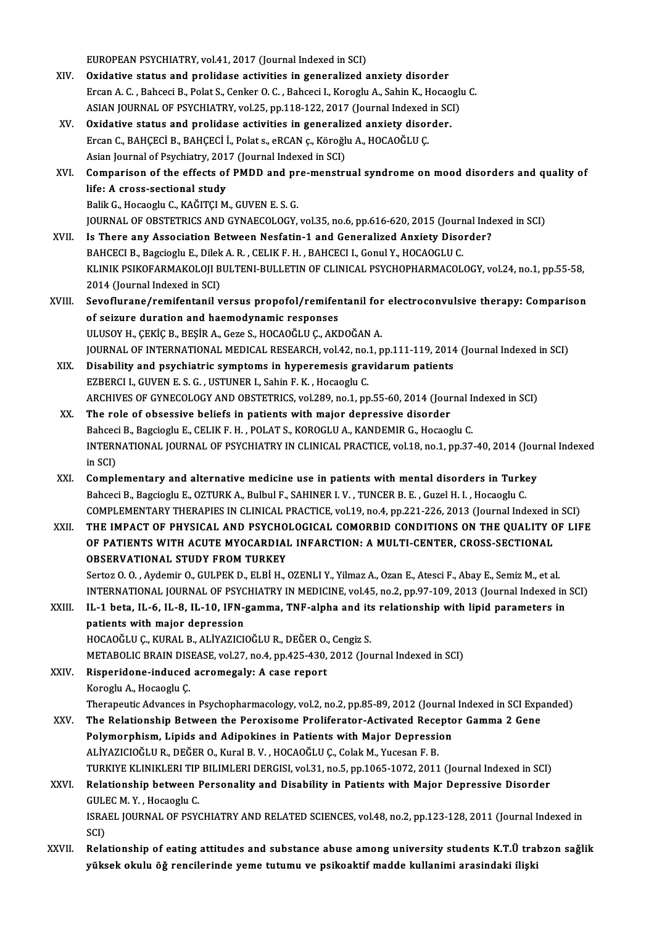EUROPEAN PSYCHIATRY, vol.41, 2017 (Journal Indexed in SCI)

XIV. Oxidative status and prolidase activities in generalized anxiety disorder EUROPEAN PSYCHIATRY, vol.41, 2017 (Journal Indexed in SCI)<br>Oxidative status and prolidase activities in generalized anxiety disorder<br>Ercan A. C. , Bahceci B., Polat S., Cenker O. C. , Bahceci I., Koroglu A., Sahin K., Hoca Oxidative status and prolidase activities in generalized anxiety disorder<br>Ercan A. C. , Bahceci B., Polat S., Cenker O. C. , Bahceci I., Koroglu A., Sahin K., Hocaoglu<br>ASIAN JOURNAL OF PSYCHIATRY, vol.25, pp.118-122, 2017 ASIAN JOURNAL OF PSYCHIATRY, vol.25, pp.118-122, 2017 (Journal Indexed in SCI)<br>XV. Oxidative status and prolidase activities in generalized anxiety disorder. ASIAN JOURNAL OF PSYCHIATRY, vol.25, pp.118-122, 2017 (Journal Indexed<br>Oxidative status and prolidase activities in generalized anxiety disor<br>Ercan C., BAHÇECİ B., BAHÇECİ İ., Polat s., eRCAN ç., Köroğlu A., HOCAOĞLU Ç.<br>As Oxidative status and prolidase activities in generaliz<br>Ercan C., BAHÇECİ B., BAHÇECİ İ., Polat s., eRCAN ç., Köroğlı<br>Asian Journal of Psychiatry, 2017 (Journal Indexed in SCI)<br>Comparison of the offects of BMDD and pre-mens XVI. Comparison of the effects of PMDD and pre-menstrual syndrome on mood disorders and quality of<br>life: A cross-sectional study Asian Journal of Psychiatry, 2017 (Journal Indexed in SCI) Balik G., Hocaoglu C., KAĞITÇI M., GUVEN E. S. G. life: A cross-sectional study<br>Balik G., Hocaoglu C., KAĞITÇI M., GUVEN E. S. G.<br>JOURNAL OF OBSTETRICS AND GYNAECOLOGY, vol.35, no.6, pp.616-620, 2015 (Journal Indexed in SCI)<br>Is There any Association Petusen Nesfatin 1 and XVII. Is There any Association Between Nesfatin-1 and Generalized Anxiety Disorder?<br>BAHCECI B., Bagcioglu E., Dilek A. R., CELIK F. H., BAHCECI I., Gonul Y., HOCAOGLU C. JOURNAL OF OBSTETRICS AND GYNAECOLOGY, vol.35, no.6, pp.616-620, 2015 (Journ<br>Is There any Association Between Nesfatin-1 and Generalized Anxiety Diso<br>BAHCECI B., Bagcioglu E., Dilek A. R. , CELIK F. H. , BAHCECI I., Gonul Is There any Association Between Nesfatin-1 and Generalized Anxiety Disorder?<br>BAHCECI B., Bagcioglu E., Dilek A. R. , CELIK F. H. , BAHCECI I., Gonul Y., HOCAOGLU C.<br>KLINIK PSIKOFARMAKOLOJI BULTENI-BULLETIN OF CLINICAL PSY BAHCECI B., Bagcioglu E., Dilek<br>KLINIK PSIKOFARMAKOLOJI B<br>2014 (Journal Indexed in SCI)<br>Seveflurane (remifentanil v KLINIK PSIKOFARMAKOLOJI BULTENI-BULLETIN OF CLINICAL PSYCHOPHARMACOLOGY, vol.24, no.1, pp.55-58,<br>2014 (Journal Indexed in SCI)<br>XVIII. Sevoflurane/remifentanil versus propofol/remifentanil for electroconvulsive therapy: Com 2014 (Journal Indexed in SCI)<br>Sevoflurane/remifentanil versus propofol/remifer<br>of seizure duration and haemodynamic responses<br>ULUSOV H. CEVÍC P. PESID A. COTO S. HOCAOČLU.C. AVI Sevoflurane/remifentanil versus propofol/remifentanil for<br>of seizure duration and haemodynamic responses<br>ULUSOY H., ÇEKİÇ B., BEŞİR A., Geze S., HOCAOĞLU Ç., AKDOĞAN A.<br>JOUPMAL OF INTERNATIONAL MEDICAL RESEARCH vol 42, p.e of seizure duration and haemodynamic responses<br>ULUSOY H., ÇEKİÇ B., BEŞİR A., Geze S., HOCAOĞLU Ç., AKDOĞAN A.<br>JOURNAL OF INTERNATIONAL MEDICAL RESEARCH, vol.42, no.1, pp.111-119, 2014 (Journal Indexed in SCI)<br>Disability a ULUSOY H., ÇEKİÇ B., BEŞİR A., Geze S., HOCAOĞLU Ç., AKDOĞAN A.<br>JOURNAL OF INTERNATIONAL MEDICAL RESEARCH, vol.42, no.1, pp.111-119, 2014<br>XIX. Disability and psychiatric symptoms in hyperemesis gravidarum patients<br>EZBERCI JOURNAL OF INTERNATIONAL MEDICAL RESEARCH, vol.42, no.<br>Disability and psychiatric symptoms in hyperemesis grave<br>EZBERCI I., GUVEN E. S. G. , USTUNER I., Sahin F. K. , Hocaoglu C.<br>ARCHIVES OF CYNEGOLOCY AND OBSTETELS vol.28 ARCHIVES OF GYNECOLOGY AND OBSTETRICS, vol.289, no.1, pp.55-60, 2014 (Journal Indexed in SCI) XX. The role of obsessive beliefs in patients with major depressive disorder ARCHIVES OF GYNECOLOGY AND OBSTETRICS, vol.289, no.1, pp.55-60, 2014 (Journal In<br>The role of obsessive beliefs in patients with major depressive disorder<br>Bahceci B., Bagcioglu E., CELIK F. H. , POLAT S., KOROGLU A., KANDEM The role of obsessive beliefs in patients with major depressive disorder<br>Bahceci B., Bagcioglu E., CELIK F. H. , POLAT S., KOROGLU A., KANDEMIR G., Hocaoglu C.<br>INTERNATIONAL JOURNAL OF PSYCHIATRY IN CLINICAL PRACTICE, vol. Bahcec<br>INTERN<br>in SCI)<br>Compl INTERNATIONAL JOURNAL OF PSYCHIATRY IN CLINICAL PRACTICE, vol.18, no.1, pp.37-40, 2014 (Journal)<br>in SCI)<br>XXI. Complementary and alternative medicine use in patients with mental disorders in Turkey<br>Rehecil B. Persies W. E. in SCI)<br>Bahceci B., Bagcioglu E., OZTURK A., Bulbul F., SAHINER I. V. , TUNCER B. E. , Guzel H. I. , Hocaoglu C.<br>Bahceci B., Bagcioglu E., OZTURK A., Bulbul F., SAHINER I. V. , TUNCER B. E. , Guzel H. I. , Hocaoglu C. Complementary and alternative medicine use in patients with mental disorders in Turkey<br>Bahceci B., Bagcioglu E., OZTURK A., Bulbul F., SAHINER I. V. , TUNCER B. E. , Guzel H. I. , Hocaoglu C.<br>COMPLEMENTARY THERAPIES IN CLI Bahceci B., Bagcioglu E., OZTURK A., Bulbul F., SAHINER I. V. , TUNCER B. E. , Guzel H. I. , Hocaoglu C.<br>COMPLEMENTARY THERAPIES IN CLINICAL PRACTICE, vol.19, no.4, pp.221-226, 2013 (Journal Indexed in SCI)<br>XXII. THE IMPAC COMPLEMENTARY THERAPIES IN CLINICAL PRACTICE, vol.19, no.4, pp.221-226, 2013 (Journal Indexed in<br>THE IMPACT OF PHYSICAL AND PSYCHOLOGICAL COMORBID CONDITIONS ON THE QUALITY C<br>OF PATIENTS WITH ACUTE MYOCARDIAL INFARCTION: A THE IMPACT OF PHYSICAL AND PSYCHOLOGICAL COMORBID CONDITIONS ON THE QUALITY OF LIFE OF PATIENTS WITH ACUTE MYOCARDIAL INFARCTION: A MULTI-CENTER, CROSS-SECTIONAL OBSERVATIONAL STUDY FROM TURKEY Sertoz O.O., Aydemir O., GULPEK D., ELBİ H., OZENLI Y., Yilmaz A., Ozan E., Atesci F., Abay E., Semiz M., et al. OBSERVATIONAL STUDY FROM TURKEY<br>Sertoz O. O. , Aydemir O., GULPEK D., ELBİ H., OZENLI Y., Yilmaz A., Ozan E., Atesci F., Abay E., Semiz M., et al.<br>INTERNATIONAL JOURNAL OF PSYCHIATRY IN MEDICINE, vol.45, no.2, pp.97-109, 2 Sertoz O. O. , Aydemir O., GULPEK D., ELBİ H., OZENLI Y., Yilmaz A., Ozan E., Atesci F., Abay E., Semiz M., et al.<br>INTERNATIONAL JOURNAL OF PSYCHIATRY IN MEDICINE, vol.45, no.2, pp.97-109, 2013 (Journal Indexed in<br>XXIII. I INTERNATIONAL JOURNAL OF PSYC<br>IL-1 beta, IL-6, IL-8, IL-10, IFN-<br>patients with major depression<br>HOCAOČIJI C, KURAL B, ALIVAZICI XXIII. IL-1 beta, IL-6, IL-8, IL-10, IFN-gamma, TNF-alpha and its relationship with lipid parameters in patients with major depression<br>HOCAOĞLU Ç., KURAL B., ALİYAZICIOĞLU R., DEĞER O., Cengiz S. patients with major depression<br>HOCAOĞLU Ç., KURAL B., ALİYAZICIOĞLU R., DEĞER O., Cengiz S.<br>METABOLIC BRAIN DISEASE, vol.27, no.4, pp.425-430, 2012 (Journal Indexed in SCI)<br>Bisporidane, indused asromagalu: A sase report HOCAOĞLU Ç., KURAL B., ALİYAZICIOĞLU R., DEĞER O.,<br>METABOLIC BRAIN DISEASE, vol.27, no.4, pp.425-430,<br>XXIV. Risperidone-induced acromegaly: A case report METABOLIC BRAIN DIS<br>Risperidone-induced<br>Koroglu A., Hocaoglu Ç.<br>Thoraneutic Advances i Risperidone-induced acromegaly: A case report<br>Koroglu A., Hocaoglu Ç.<br>Therapeutic Advances in Psychopharmacology, vol.2, no.2, pp.85-89, 2012 (Journal Indexed in SCI Expanded)<br>The Belationship Between the Bereviseme Brelif Koroglu A., Hocaoglu Ç.<br>Therapeutic Advances in Psychopharmacology, vol.2, no.2, pp.85-89, 2012 (Journal Indexed in SCI Expansive Pro<br>XXV. The Relationship Between the Peroxisome Proliferator-Activated Receptor Gamma 2 Gen Therapeutic Advances in Psychopharmacology, vol.2, no.2, pp.85-89, 2012 (Journal<br>The Relationship Between the Peroxisome Proliferator-Activated Recepto<br>Polymorphism, Lipids and Adipokines in Patients with Major Depression<br> The Relationship Between the Peroxisome Proliferator-Activated Receptor Gamma 2 Gene<br>Polymorphism, Lipids and Adipokines in Patients with Major Depression<br>ALİYAZICIOĞLU R., DEĞER O., Kural B. V. , HOCAOĞLU C., Colak M., Yu TURKIYE KLINIKLERI TIP BILIMLERI DERGISI, vol.31, no.5, pp.1065-1072, 2011 (Journal Indexed in SCI) ALİYAZICIOĞLU R., DEĞER O., Kural B. V. , HOCAOĞLU Ç., Colak M., Yucesan F. B.<br>TURKIYE KLINIKLERI TIP BILIMLERI DERGISI, vol.31, no.5, pp.1065-1072, 2011 (Journal Indexed in SCI)<br>XXVI. Relationship between Personality TURKIYE KLINIKLERI TIP<br>Relationship between l<br>GULEC M. Y. , Hocaoglu C.<br>ISPAEL JOUPNAL OF PSY Relationship between Personality and Disability in Patients with Major Depressive Disorder<br>GULEC M. Y. , Hocaoglu C.<br>ISRAEL JOURNAL OF PSYCHIATRY AND RELATED SCIENCES, vol.48, no.2, pp.123-128, 2011 (Journal Indexed in<br>SCD GULI<br>ISRA<br>SCI)<br>Pela XXVI . Relationship of eating attitudes and substance abuse among university students K.T.Ü trabzon saǧlik yüksek okulu öğ rencilerinde yeme tutumu ve psikoaktif madde kullanimi arasindaki ilişki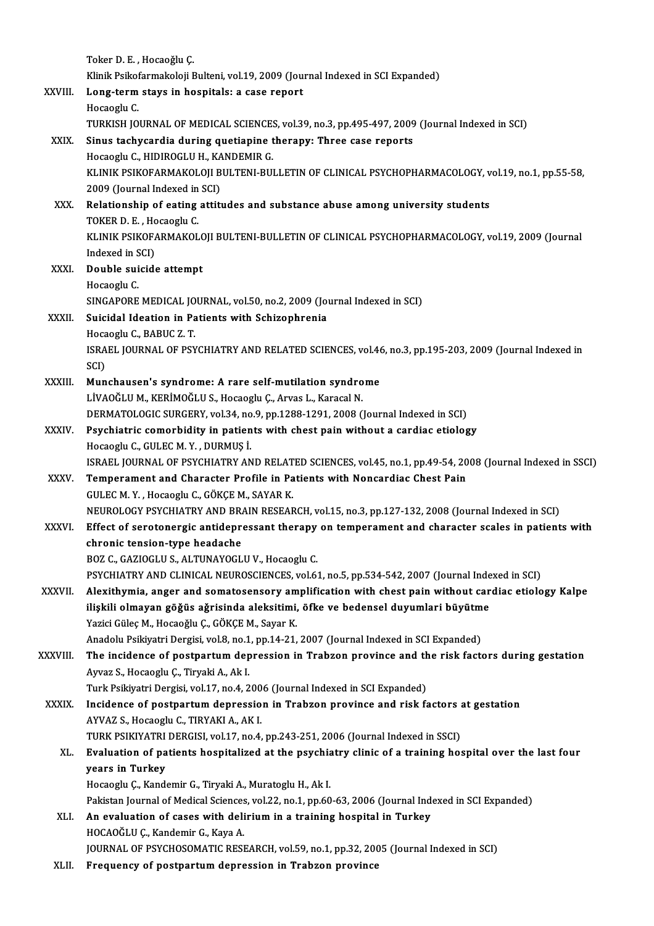|              | Toker D. E., Hocaoğlu Ç.                                                                                                  |
|--------------|---------------------------------------------------------------------------------------------------------------------------|
|              | Klinik Psikofarmakoloji Bulteni, vol.19, 2009 (Journal Indexed in SCI Expanded)                                           |
| XXVIII.      | Long-term stays in hospitals: a case report                                                                               |
|              | Hocaoglu C                                                                                                                |
|              | TURKISH JOURNAL OF MEDICAL SCIENCES, vol.39, no.3, pp.495-497, 2009 (Journal Indexed in SCI)                              |
| XXIX.        | Sinus tachycardia during quetiapine therapy: Three case reports                                                           |
|              | Hocaoglu C., HIDIROGLU H., KANDEMIR G.                                                                                    |
|              | KLINIK PSIKOFARMAKOLOJI BULTENI-BULLETIN OF CLINICAL PSYCHOPHARMACOLOGY, vol.19, no.1, pp.55-58,                          |
|              | 2009 (Journal Indexed in SCI)                                                                                             |
| XXX.         | Relationship of eating attitudes and substance abuse among university students                                            |
|              | TOKER D. E., Hocaoglu C.                                                                                                  |
|              | KLINIK PSIKOFARMAKOLOJI BULTENI-BULLETIN OF CLINICAL PSYCHOPHARMACOLOGY, vol.19, 2009 (Journal                            |
|              | Indexed in SCI)                                                                                                           |
| XXXI.        | Double suicide attempt                                                                                                    |
|              | Hocaoglu C                                                                                                                |
|              | SINGAPORE MEDICAL JOURNAL, vol.50, no.2, 2009 (Journal Indexed in SCI)                                                    |
| XXXII.       | Suicidal Ideation in Patients with Schizophrenia                                                                          |
|              | Hocaoglu C., BABUC Z.T.                                                                                                   |
|              | ISRAEL JOURNAL OF PSYCHIATRY AND RELATED SCIENCES, vol.46, no.3, pp.195-203, 2009 (Journal Indexed in                     |
|              | SCI)                                                                                                                      |
| XXXIII.      | Munchausen's syndrome: A rare self-mutilation syndrome                                                                    |
|              | LİVAOĞLU M., KERİMOĞLU S., Hocaoglu Ç., Arvas L., Karacal N.                                                              |
|              | DERMATOLOGIC SURGERY, vol.34, no.9, pp.1288-1291, 2008 (Journal Indexed in SCI)                                           |
| <b>XXXIV</b> | Psychiatric comorbidity in patients with chest pain without a cardiac etiology                                            |
|              | Hocaoglu C., GULEC M.Y., DURMUS I.                                                                                        |
|              | ISRAEL JOURNAL OF PSYCHIATRY AND RELATED SCIENCES, vol.45, no.1, pp.49-54, 2008 (Journal Indexed in SSCI)                 |
| XXXV.        | Temperament and Character Profile in Patients with Noncardiac Chest Pain                                                  |
|              | GULEC M.Y., Hocaoglu C., GÖKÇE M., SAYAR K.                                                                               |
|              | NEUROLOGY PSYCHIATRY AND BRAIN RESEARCH, vol.15, no.3, pp.127-132, 2008 (Journal Indexed in SCI)                          |
| <b>XXXVI</b> | Effect of serotonergic antidepressant therapy on temperament and character scales in patients with                        |
|              | chronic tension-type headache                                                                                             |
|              | BOZ C., GAZIOGLU S., ALTUNAYOGLU V., Hocaoglu C.                                                                          |
|              | PSYCHIATRY AND CLINICAL NEUROSCIENCES, vol.61, no.5, pp.534-542, 2007 (Journal Indexed in SCI)                            |
| XXXVII.      | Alexithymia, anger and somatosensory amplification with chest pain without cardiac etiology Kalpe                         |
|              | ilişkili olmayan göğüs ağrisinda aleksitimi, öfke ve bedensel duyumlari büyütme                                           |
|              | Yazici Güleç M., Hocaoğlu Ç., GÖKÇE M., Sayar K.                                                                          |
|              | Anadolu Psikiyatri Dergisi, vol.8, no.1, pp.14-21, 2007 (Journal Indexed in SCI Expanded)                                 |
| XXXVIII.     | The incidence of postpartum depression in Trabzon province and the risk factors during gestation                          |
|              | Ayvaz S., Hocaoglu Ç., Tiryaki A., Ak I.<br>Turk Psikiyatri Dergisi, vol.17, no.4, 2006 (Journal Indexed in SCI Expanded) |
| <b>XXXIX</b> | Incidence of postpartum depression in Trabzon province and risk factors at gestation                                      |
|              | AYVAZ S., Hocaoglu C., TIRYAKI A., AK I.                                                                                  |
|              | TURK PSIKIYATRI DERGISI, vol.17, no.4, pp.243-251, 2006 (Journal Indexed in SSCI)                                         |
| XL.          | Evaluation of patients hospitalized at the psychiatry clinic of a training hospital over the last four                    |
|              | years in Turkey                                                                                                           |
|              | Hocaoglu Ç., Kandemir G., Tiryaki A., Muratoglu H., Ak I.                                                                 |
|              | Pakistan Journal of Medical Sciences, vol.22, no.1, pp.60-63, 2006 (Journal Indexed in SCI Expanded)                      |
| XLI.         | An evaluation of cases with delirium in a training hospital in Turkey                                                     |
|              | HOCAOĞLU Ç., Kandemir G., Kaya A.                                                                                         |
|              | JOURNAL OF PSYCHOSOMATIC RESEARCH, vol.59, no.1, pp.32, 2005 (Journal Indexed in SCI)                                     |
| XLII.        | Frequency of postpartum depression in Trabzon province                                                                    |
|              |                                                                                                                           |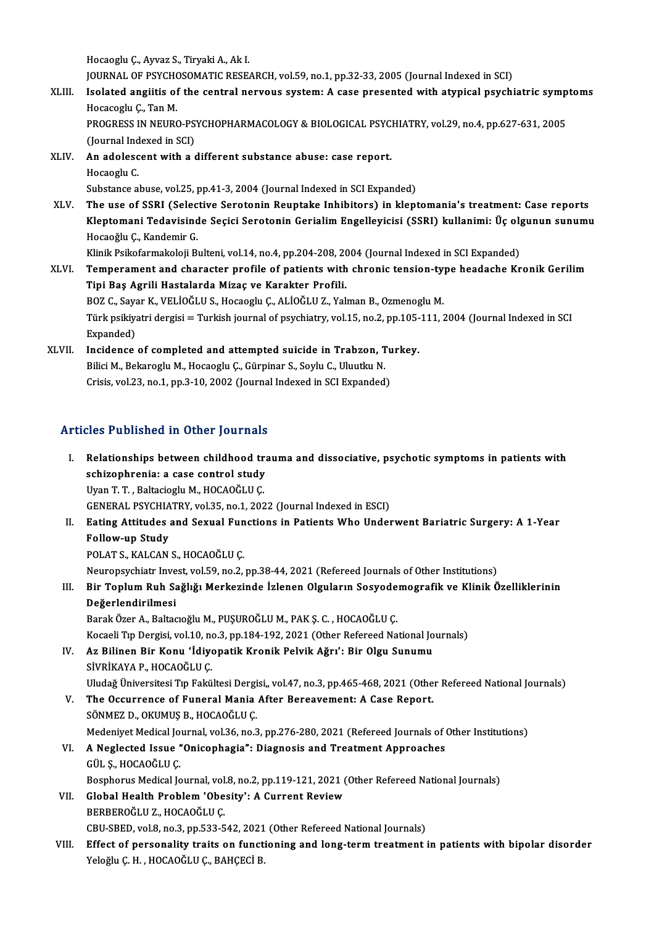HocaogluÇ.,Ayvaz S.,TiryakiA.,AkI.

Hocaoglu Ç., Ayvaz S., Tiryaki A., Ak I.<br>JOURNAL OF PSYCHOSOMATIC RESEARCH, vol.59, no.1, pp.32-33, 2005 (Journal Indexed in SCI)<br>Jealated engijtie of the sentral newwwe system: A sees presented with atunisel nevehi

Hocaoglu Ç., Ayvaz S., Tiryaki A., Ak I.<br>JOURNAL OF PSYCHOSOMATIC RESEARCH, vol.59, no.1, pp.32-33, 2005 (Journal Indexed in SCI)<br>XLIII. Isolated angiitis of the central nervous system: A case presented with atypical psych JOURNAL OF PSYCHO<br>Isolated anglitis of<br>Hocacoglu Ç., Tan M.<br>PROCRESS IN NEURO Isolated angiitis of the central nervous system: A case presented with atypical psychiatric symp<br>Hocacoglu Ç., Tan M.<br>PROGRESS IN NEURO-PSYCHOPHARMACOLOGY & BIOLOGICAL PSYCHIATRY, vol.29, no.4, pp.627-631, 2005<br>(Journal In

Hocacoglu Ç., Tan M.<br>PROGRESS IN NEURO-PS<br>(Journal Indexed in SCI)<br>An adelessent with a 4 PROGRESS IN NEURO-PSYCHOPHARMACOLOGY & BIOLOGICAL PSYC.<br>(Journal Indexed in SCI)<br>XLIV. An adolescent with a different substance abuse: case report.

- (Journal Ind<br>**An adolesc**<br>Hocaoglu C.<br>Substance a An adolescent with a different substance abuse: case report.<br>Hocaoglu C.<br>Substance abuse, vol.25, pp.41-3, 2004 (Journal Indexed in SCI Expanded)<br>The use of SSBI (Solective Seretonin Bountake Inhibitore) in klent
- Hocaoglu C.<br>Substance abuse, vol.25, pp.41-3, 2004 (Journal Indexed in SCI Expanded)<br>XLV. The use of SSRI (Selective Serotonin Reuptake Inhibitors) in kleptomania's treatment: Case reports<br>Klaptomani Tedavisinde Sesisi Ser Substance abuse, vol.25, pp.41-3, 2004 (Journal Indexed in SCI Expanded)<br>The use of SSRI (Selective Serotonin Reuptake Inhibitors) in kleptomania's treatment: Case reports<br>Kleptomani Tedavisinde Seçici Serotonin Gerialim E The use of SSRI (Selec<br>Kleptomani Tedavisind<br>Hocaoğlu Ç., Kandemir G.<br>Klinik Beikoformakoloji B. Kleptomani Tedavisinde Seçici Serotonin Gerialim Engelleyicisi (SSRI) kullanimi: Üç ol<sub>i</sub><br>Hocaoğlu Ç., Kandemir G.<br>Klinik Psikofarmakoloji Bulteni, vol.14, no.4, pp.204-208, 2004 (Journal Indexed in SCI Expanded)<br>Temperame

- Hocaoğlu Ç., Kandemir G.<br>Klinik Psikofarmakoloji Bulteni, vol.14, no.4, pp.204-208, 2004 (Journal Indexed in SCI Expanded)<br>XLVI. Temperament and character profile of patients with chronic tension-type headache Kronik G Klinik Psikofarmakoloji Bulteni, vol.14, no.4, pp.204-208, 20<br>Temperament and character profile of patients with<br>Tipi Baş Agrili Hastalarda Mizaç ve Karakter Profili.<br>POZ G. Sayar K. VELİQĞLUS, Hassasılu G. ALİQĞLUZ, Vol. Temperament and character profile of patients with chronic tension-ty<br>Tipi Baş Agrili Hastalarda Mizaç ve Karakter Profili.<br>BOZ C., Sayar K., VELİOĞLU S., Hocaoglu Ç., ALİOĞLU Z., Yalman B., Ozmenoglu M.<br>Türk politiyatri d Tipi Baş Agrili Hastalarda Mizaç ve Karakter Profili.<br>BOZ C., Sayar K., VELİOĞLU S., Hocaoglu Ç., ALİOĞLU Z., Yalman B., Ozmenoglu M.<br>Türk psikiyatri dergisi = Turkish journal of psychiatry, vol.15, no.2, pp.105-111, 2004 BOZ C., Sayar K., VELİOĞLU S., Hocaoglu Ç., ALİOĞLU Z., Yalman B., Ozmenoglu M. Türk psikiyatri dergisi = Turkish journal of psychiatry, vol.15, no.2, pp.105-<br>Expanded)<br>XLVII. Incidence of completed and attempted suicide in Trabzon, Turkey.<br>Pilici M. Polspessiu M. Hespesku C. Cüminan S. Sarku C. Huutk
- Expanded)<br>Incidence of completed and attempted suicide in Trabzon, T<br>Bilici M., Bekaroglu M., Hocaoglu Ç., Gürpinar S., Soylu C., Uluutku N.<br>Crisis vel 22 no.1 np.2.10, 2002 (Journal Indexed in SCI Eupended) Incidence of completed and attempted suicide in Trabzon, Tu<br>Bilici M., Bekaroglu M., Hocaoglu Ç., Gürpinar S., Soylu C., Uluutku N.<br>Crisis, vol.23, no.1, pp.3-10, 2002 (Journal Indexed in SCI Expanded) Crisis, vol.23, no.1, pp.3-10, 2002 (Journal Indexed in SCI Expanded)<br>Articles Published in Other Journals

- rticles Published in Other Journals<br>I. Relationships between childhood trauma and dissociative, psychotic symptoms in patients with<br>Sebisephrenia: 2,999 sentrel study schizophrenia: a case control study<br>schizophrenia: a case control study<br>Uran T.T. Beltasiash: M. HOCAOČUUC Relationships between childhood tr<br>schizophrenia: a case control study<br>Uyan T. T. , Baltacioglu M., HOCAOĞLU Ç.<br>CENERAL PSYCHIATPY vol 35 no 1 202 schizophrenia: a case control study<br>Uyan T. T. , Baltacioglu M., HOCAOĞLU Ç.<br>GENERAL PSYCHIATRY, vol.35, no.1, 2022 (Journal Indexed in ESCI) Uyan T. T. , Baltacioglu M., HOCAOĞLU Ç.<br>GENERAL PSYCHIATRY, vol.35, no.1, 2022 (Journal Indexed in ESCI)<br>II. Eating Attitudes and Sexual Functions in Patients Who Underwent Bariatric Surgery: A 1-Year<br>Fellow un Study
- GENERAL PSYCHIA<br>Eating Attitudes<br>Follow-up Study<br>POLAT S. KALCAN Eating Attitudes and Sexual Fun<br>Follow-up Study<br>POLAT S., KALCAN S., HOCAOĞLU Ç.<br>Naunansyskistr Invest vel 59 no 2 Follow-up Study<br>POLAT S., KALCAN S., HOCAOĞLU Ç.<br>Neuropsychiatr Invest, vol.59, no.2, pp.38-44, 2021 (Refereed Journals of Other Institutions)
	-

## POLAT S., KALCAN S., HOCAOĞLU Ç.<br>Neuropsychiatr Invest, vol.59, no.2, pp.38-44, 2021 (Refereed Journals of Other Institutions)<br>III. Bir Toplum Ruh Sağlığı Merkezinde İzlenen Olguların Sosyodemografik ve Klinik Özellikl Neuropsychiatr Inve<br>Bir Toplum Ruh Sa<br>Değerlendirilmesi<br><sup>Bonol: Öror A. Boltoc</sup> Değerlendirilmesi<br>Barak Özer A., Baltacıoğlu M., PUŞUROĞLU M., PAK Ş. C. , HOCAOĞLU Ç.

Kocaeli Tip Dergisi, vol.10, no.3, pp.184-192, 2021 (Other Refereed National Journals)

## IV. Az Bilinen Bir Konu 'İdiyopatik Kronik Pelvik Ağrı': Bir Olgu Sunumu SİVRİKAYA P., HOCAOĞLU Ç.

Uludağ Üniversitesi Tıp Fakültesi Dergisi,, vol.47, no.3, pp.465-468, 2021 (Other Refereed National Journals)

V. The Occurrence of Funeral Mania After Bereavement: A Case Report. SÖNMEZ D., OKUMUŞ B., HOCAOĞLUÇ. Medeniyet Medical Journal, vol.36, no.3, pp.276-280, 2021 (Refereed Journals of Other Institutions) SÖNMEZ D., OKUMUŞ B., HOCAOĞLU Ç.<br>Medeniyet Medical Journal, vol.36, no.3, pp.276-280, 2021 (Refereed Journals of <br>VI. A Neglected Issue "Onicophagia": Diagnosis and Treatment Approaches<br>CÜLS HOCAOĞLU C

# Medeniyet Medical Jo<br>**A Neglected Issue "**<br>GÜL Ş., HOCAOĞLU Ç.<br>Bosphorus Medisal Io GÜL Ș., HOCAOĞLU Ç.<br>Bosphorus Medical Journal, vol.8, no.2, pp.119-121, 2021 (Other Refereed National Journals)

- 
- VII. Global Health Problem 'Obesity': A Current Review BERBEROĞLU Z., HOCAOĞLU Ç. Global Health Problem 'Obesity': A Current Review<br>BERBEROĞLU Z., HOCAOĞLU Ç.<br>CBU-SBED, vol.8, no.3, pp.533-542, 2021 (Other Refereed National Journals)<br>Fffect of novegnality traits on functioning and lang term treatment :

VIII. Effect of personality traits on functioning and long-term treatment in patients with bipolar disorder<br>Yeloğlu Ç. H., HOCAOĞLU Ç., BAHÇECİ B. CBU-SBED, vol.8, no.3, pp.533-542, 2021<br>Effect of personality traits on funct<br>Yeloğlu Ç. H. , HOCAOĞLU Ç., BAHÇECİ B.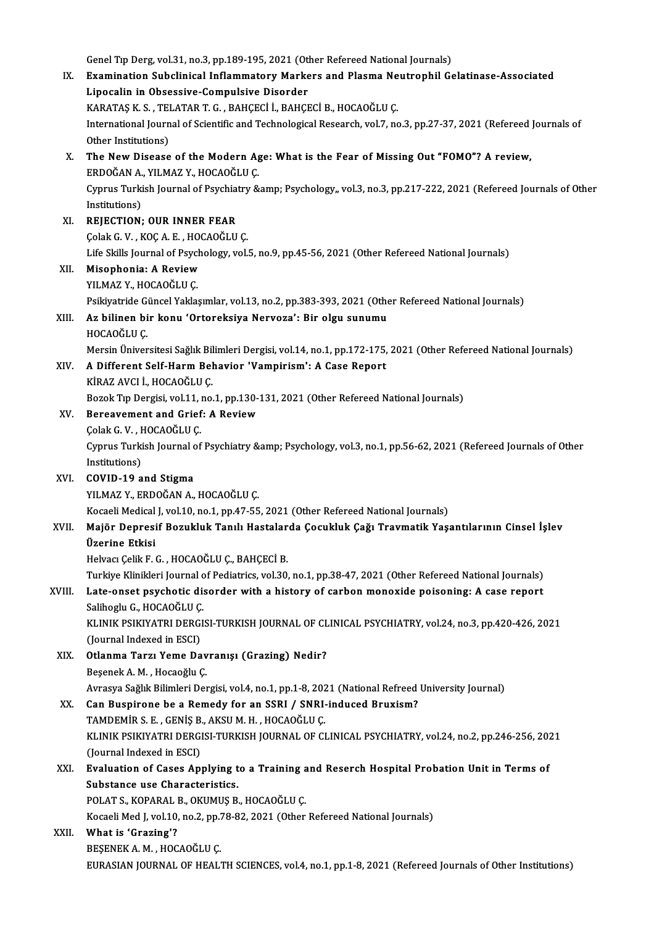Genel Tıp Derg, vol.31, no.3, pp.189-195, 2021 (Other Refereed National Journals)<br>Evemination Subelinical Inflammateuy Markers and Pleame Noutronbil Co Genel Tıp Derg, vol.31, no.3, pp.189-195, 2021 (Other Refereed National Journals)<br>IX. Examination Subclinical Inflammatory Markers and Plasma Neutrophil Gelatinase-Associated Genel Tıp Derg, vol.31, no.3, pp.189-195, 2021 (Oth<br>Examination Subclinical Inflammatory Marke<br>Lipocalin in Obsessive-Compulsive Disorder<br>KARATASK S., TELATAR T.G., PAHCECLİ, PAHCE Examination Subclinical Inflammatory Markers and Plasma Ne<br>Lipocalin in Obsessive-Compulsive Disorder<br>KARATAŞ K. S. , TELATAR T. G. , BAHÇECİ İ., BAHÇECİ B., HOCAOĞLU Ç.<br>International Jaurnal of Scientific and Technologica Lipocalin in Obsessive-Compulsive Disorder<br>KARATAŞ K. S. , TELATAR T. G. , BAHÇECİ İ., BAHÇECİ B., HOCAOĞLU Ç.<br>International Journal of Scientific and Technological Research, vol.7, no.3, pp.27-37, 2021 (Refereed Journals KARATAŞ K. S., TELATAR T. G., BAHÇECİ İ., BAHÇECİ B., HOCAOĞLU Ç. International Journal of Scientific and Technological Research, vol.7, no.3, pp.27-37, 2021 (Refereed<br>Other Institutions)<br>X. The New Disease of the Modern Age: What is the Fear of Missing Out "FOMO"? A review,<br>FRDOČAN A VI Other Institutions)<br>The New Disease of the Modern Ag<br>ERDOĞAN A., YILMAZ Y., HOCAOĞLU Ç.<br>Cunrus Turkish Journal of Bevshistry & The New Disease of the Modern Age: What is the Fear of Missing Out "FOMO"? A review,<br>ERDOĞAN A., YILMAZ Y., HOCAOĞLU Ç.<br>Cyprus Turkish Journal of Psychiatry &amp; Psychology,, vol.3, no.3, pp.217-222, 2021 (Refereed Journa ERDOĞAN A.<br>Cyprus Turki<br>Institutions)<br>PEIECTION Cyprus Turkish Journal of Psychiat<br>Institutions)<br>XI. REJECTION; OUR INNER FEAR<br>Colak C.V., YOCA E., HOCAOČIJI Institutions)<br>XI. REJECTION; OUR INNER FEAR<br>Colak G. V., KOÇ A. E., HOCAOĞLU C. Life Skills Journal of Psychology, vol.5, no.9, pp.45-56, 2021 (Other Refereed National Journals) XII. Misophonia: A Review YILMAZ Y, HOCAOĞLUÇ. Misophonia: A Review<br>YILMAZ Y., HOCAOĞLU Ç.<br>Psikiyatride Güncel Yaklaşımlar, vol.13, no.2, pp.383-393, 2021 (Other Refereed National Journals)<br>Az bilinen bin konu 'Onteneksive Newsea': Bin elsu sunumu XIII. Az bilinen bir konu 'Ortoreksiya Nervoza': Bir olgu sunumu<br>HOCAOĞLU C. Psikiyatride G<br><mark>Az bilinen bi</mark><br>HOCAOĞLU Ç.<br>Mersin Üniver Mersin Üniversitesi Sağlık Bilimleri Dergisi, vol.14, no.1, pp.172-175, 2021 (Other Refereed National Journals) HOCAOĞLU Ç.<br>Mersin Üniversitesi Sağlık Bilimleri Dergisi, vol.14, no.1, pp.172-175,<br>XIV. A Different Self-Harm Behavior 'Vampirism': A Case Report<br>Kinaz avçı i HOCAOĞLU C Mersin Üniversitesi Sağlık Bil<br>A Different Self-Harm Bel<br>KİRAZ AVCI İ., HOCAOĞLU Ç.<br>Bozok Tın Dergisi vel 11 no A Different Self-Harm Behavior 'Vampirism': A Case Report<br>KİRAZ AVCI İ., HOCAOĞLU Ç.<br>Bozok Tıp Dergisi, vol.11, no.1, pp.130-131, 2021 (Other Refereed National Journals)<br>Perseysment and Crisf: A Beyjew KİRAZ AVCI İ., HOCAOĞLU Ç.<br>Bozok Tıp Dergisi, vol.11, no.1, pp.130<br>XV. Bereavement and Grief: A Review Bozok Tıp Dergisi, vol.11, i<br>Bereavement and Grief<br>Çolak G. V. , HOCAOĞLU Ç.<br>Cımruş Turkish Journal of Cyprus Turkish Journal of Psychiatry & Psychology, vol.3, no.1, pp.56-62, 2021 (Refereed Journals of Other<br>Institutions) Colak G. V., HOCAOĞLU C. XVI. COVID-19 and Stigma YILMAZ Y., ERDOĞAN A., HOCAOĞLU Ç. COVID-19 and Stigma<br>YILMAZ Y., ERDOĞAN A., HOCAOĞLU Ç.<br>Kocaeli Medical J, vol.10, no.1, pp.47-55, 2021 (Other Refereed National Journals)<br>Majör Donresif Bogukluk Tanılı Hastalarda Cosukluk Cağı Traymatik Yası XVII. Majör Depresif Bozukluk Tanılı Hastalarda Çocukluk Çağı Travmatik Yaşantılarının Cinsel İşlev<br>Üzerine Etkisi Kocaeli Medical<br><mark>Majör Depresi</mark><br>Üzerine Etkisi<br>Helveg Celik E Helvacı Çelik F. G., HOCAOĞLU Ç., BAHÇECİ B. Üzerine Etkisi<br>Helvacı Çelik F. G. , HOCAOĞLU Ç., BAHÇECİ B.<br>Turkiye Klinikleri Journal of Pediatrics, vol.30, no.1, pp.38-47, 2021 (Other Refereed National Journals)<br>Lata anast navebetis disondan with a bistany of sanban Helvacı Çelik F. G. , HOCAOĞLU Ç., BAHÇECİ B.<br>Turkiye Klinikleri Journal of Pediatrics, vol.30, no.1, pp.38-47, 2021 (Other Refereed National Journals)<br>XVIII. Late-onset psychotic disorder with a history of carbon monoxide Turkiye Klinikleri Journal o<br>Late-onset psychotic di:<br>Salihoglu G., HOCAOĞLU Ç.<br>EL INIK PSIKIYATBI DERCI Late-onset psychotic disorder with a history of carbon monoxide poisoning: A case report<br>Salihoglu G., HOCAOĞLU Ç.<br>KLINIK PSIKIYATRI DERGISI-TURKISH JOURNAL OF CLINICAL PSYCHIATRY, vol.24, no.3, pp.420-426, 2021<br>(Journal I Salihoglu G., HOCAOĞLU Ç. KLINIK PSIKIYATRI DERGISI-TURKISH JOURNAL OF CL<br>(Journal Indexed in ESCI)<br>XIX. Otlanma Tarzı Yeme Davranışı (Grazing) Nedir?<br>Recensk A. M. Hesseğlu C (Journal Indexed in ESCI)<br>**Otlanma Tarzı Yeme Dav**<br>Beşenek A. M. , Hocaoğlu Ç.<br>Ayrasya Sağlık Bilimleri Des Beşenek A. M. , Hocaoğlu Ç.<br>Avrasya Sağlık Bilimleri Dergisi, vol.4, no.1, pp.1-8, 2021 (National Refreed University Journal) Beşenek A. M. , Hocaoğlu Ç.<br>Avrasya Sağlık Bilimleri Dergisi, vol.4, no.1, pp.1-8, 2021 (National Refreed<br>XX. Can Buspirone be a Remedy for an SSRI / SNRI-induced Bruxism?<br>TAMDEMIR S. E. CENIS R. AKSILM H. HOCAOĞLU C. Avrasya Sağlık Bilimleri Dergisi, vol.4, no.1, pp.1-8, 202<br>Can Buspirone be a Remedy for an SSRI / SNRI-<br>TAMDEMİR S. E. , GENİŞ B., AKSU M. H. , HOCAOĞLU Ç.<br>KLINIK RSIKIYATRI DERÇISI TURKISH JOURNAL OF ÇI KLINIK PSIKIYATRI DERGISI-TURKISH JOURNAL OF CLINICAL PSYCHIATRY, vol.24, no.2, pp.246-256, 2021<br>(Journal Indexed in ESCI) TAMDEMIR S. E., GENIS B., AKSU M. H., HOCAOĞLU C. KLINIK PSIKIYATRI DERGISI-TURKISH JOURNAL OF CLINICAL PSYCHIATRY, vol.24, no.2, pp.246-256, 202<br>(Journal Indexed in ESCI)<br>XXI. Evaluation of Cases Applying to a Training and Reserch Hospital Probation Unit in Terms of<br>Subs (Journal Indexed in ESCI)<br>Evaluation of Cases Applying t<br>Substance use Characteristics.<br>POLATS, KORARAL P. OKUMIS P. Evaluation of Cases Applying to a Training a<br>Substance use Characteristics.<br>POLAT S., KOPARAL B., OKUMUŞ B., HOCAOĞLU Ç.<br>Kosaali Mad Lual 10 na 2 nn 79 92 2021 (Othan Substance use Characteristics.<br>POLAT S., KOPARAL B., OKUMUŞ B., HOCAOĞLU Ç.<br>Kocaeli Med J, vol.10, no.2, pp.78-82, 2021 (Other Refereed National Journals)<br>What is 'Craging'? POLAT S., KOPARAL 1<br>Kocaeli Med J, vol.10,<br>XXII. What is 'Grazing'? Kocaeli Med J, vol.10, no.2, pp.7<br>What is 'Grazing'?<br>BEŞENEK A. M. , HOCAOĞLU Ç.<br>EURASIAN JOURNAL OF HEAL. What is 'Grazing'?<br>BEŞENEK A. M. , HOCAOĞLU Ç.<br>EURASIAN JOURNAL OF HEALTH SCIENCES, vol.4, no.1, pp.1-8, 2021 (Refereed Journals of Other Institutions)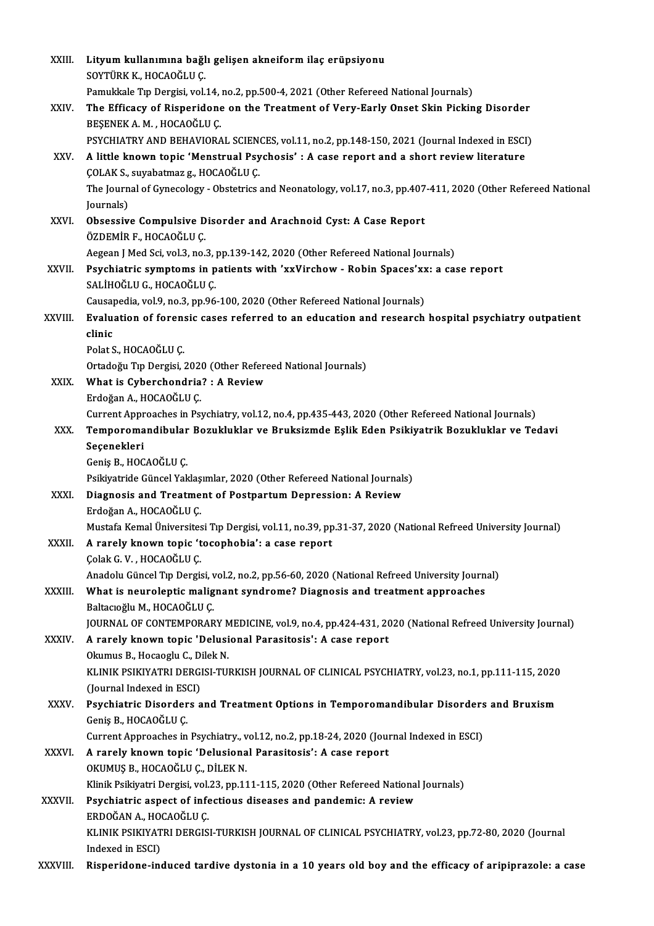| XXIII.        | Lityum kullanımına bağlı gelişen akneiform ilaç erüpsiyonu                                                                   |
|---------------|------------------------------------------------------------------------------------------------------------------------------|
|               | SOYTÜRK K., HOCAOĞLU Ç.                                                                                                      |
|               | Pamukkale Tip Dergisi, vol.14, no.2, pp.500-4, 2021 (Other Refereed National Journals)                                       |
| XXIV.         | The Efficacy of Risperidone on the Treatment of Very-Early Onset Skin Picking Disorder                                       |
|               | BEŞENEK A. M., HOCAOĞLU Ç.                                                                                                   |
|               | PSYCHIATRY AND BEHAVIORAL SCIENCES, vol.11, no.2, pp.148-150, 2021 (Journal Indexed in ESCI)                                 |
| XXV.          | A little known topic 'Menstrual Psychosis' : A case report and a short review literature                                     |
|               | ÇOLAK S., suyabatmaz g., HOCAOĞLU Ç.                                                                                         |
|               | The Journal of Gynecology - Obstetrics and Neonatology, vol.17, no.3, pp.407-411, 2020 (Other Refereed National              |
|               | Journals)                                                                                                                    |
| XXVI.         | Obsessive Compulsive Disorder and Arachnoid Cyst: A Case Report<br>ÖZDEMİR F., HOCAOĞLU C.                                   |
|               | Aegean J Med Sci, vol.3, no.3, pp.139-142, 2020 (Other Refereed National Journals)                                           |
| <b>XXVII</b>  | Psychiatric symptoms in patients with 'xxVirchow - Robin Spaces'xx: a case report                                            |
|               | SALİHOĞLU G., HOCAOĞLU Ç.                                                                                                    |
|               | Causapedia, vol.9, no.3, pp.96-100, 2020 (Other Refereed National Journals)                                                  |
| <b>XXVIII</b> | Evaluation of forensic cases referred to an education and research hospital psychiatry outpatient                            |
|               | clinic                                                                                                                       |
|               | Polat S., HOCAOĞLU Ç.                                                                                                        |
|               | Ortadoğu Tıp Dergisi, 2020 (Other Refereed National Journals)                                                                |
| XXIX.         | What is Cyberchondria? : A Review                                                                                            |
|               | Erdoğan A., HOCAOĞLU Ç.                                                                                                      |
|               | Current Approaches in Psychiatry, vol.12, no.4, pp.435-443, 2020 (Other Refereed National Journals)                          |
| XXX.          | Temporomandibular Bozukluklar ve Bruksizmde Eşlik Eden Psikiyatrik Bozukluklar ve Tedavi                                     |
|               | Seçenekleri                                                                                                                  |
|               | Geniş B., HOCAOĞLU Ç.                                                                                                        |
|               | Psikiyatride Güncel Yaklaşımlar, 2020 (Other Refereed National Journals)                                                     |
| XXXI.         | Diagnosis and Treatment of Postpartum Depression: A Review<br>Erdoğan A, HOCAOĞLU Ç                                          |
|               | Mustafa Kemal Üniversitesi Tıp Dergisi, vol.11, no.39, pp.31-37, 2020 (National Refreed University Journal)                  |
| <b>XXXII</b>  | A rarely known topic 'tocophobia': a case report                                                                             |
|               | Çolak G V , HOCAOĞLU Ç                                                                                                       |
|               | Anadolu Güncel Tıp Dergisi, vol.2, no.2, pp.56-60, 2020 (National Refreed University Journal)                                |
| XXXIII.       | What is neuroleptic malignant syndrome? Diagnosis and treatment approaches                                                   |
|               | Baltacioğlu M., HOCAOĞLU Ç.                                                                                                  |
|               | JOURNAL OF CONTEMPORARY MEDICINE, vol.9, no.4, pp.424-431, 2020 (National Refreed University Journal)                        |
| XXXIV.        | A rarely known topic 'Delusional Parasitosis': A case report                                                                 |
|               | Okumus B., Hocaoglu C., Dilek N.                                                                                             |
|               | KLINIK PSIKIYATRI DERGISI-TURKISH JOURNAL OF CLINICAL PSYCHIATRY, vol.23, no.1, pp.111-115, 2020                             |
|               | (Journal Indexed in ESCI)                                                                                                    |
| XXXV.         | Psychiatric Disorders and Treatment Options in Temporomandibular Disorders and Bruxism                                       |
|               | Geniş B., HOCAOĞLU Ç.                                                                                                        |
|               | Current Approaches in Psychiatry., vol.12, no.2, pp.18-24, 2020 (Journal Indexed in ESCI)                                    |
| <b>XXXVI</b>  | A rarely known topic 'Delusional Parasitosis': A case report                                                                 |
|               | OKUMUŞ B., HOCAOĞLU Ç., DİLEK N.                                                                                             |
|               | Klinik Psikiyatri Dergisi, vol.23, pp.111-115, 2020 (Other Refereed National Journals)                                       |
| <b>XXXVII</b> | Psychiatric aspect of infectious diseases and pandemic: A review                                                             |
|               | ERDOĞAN A., HOCAOĞLU Ç.<br>KLINIK PSIKIYATRI DERGISI-TURKISH JOURNAL OF CLINICAL PSYCHIATRY, vol.23, pp.72-80, 2020 (Journal |
|               | Indexed in ESCI)                                                                                                             |
| XXXVIII.      | Risperidone-induced tardive dystonia in a 10 years old boy and the efficacy of aripiprazole: a case                          |
|               |                                                                                                                              |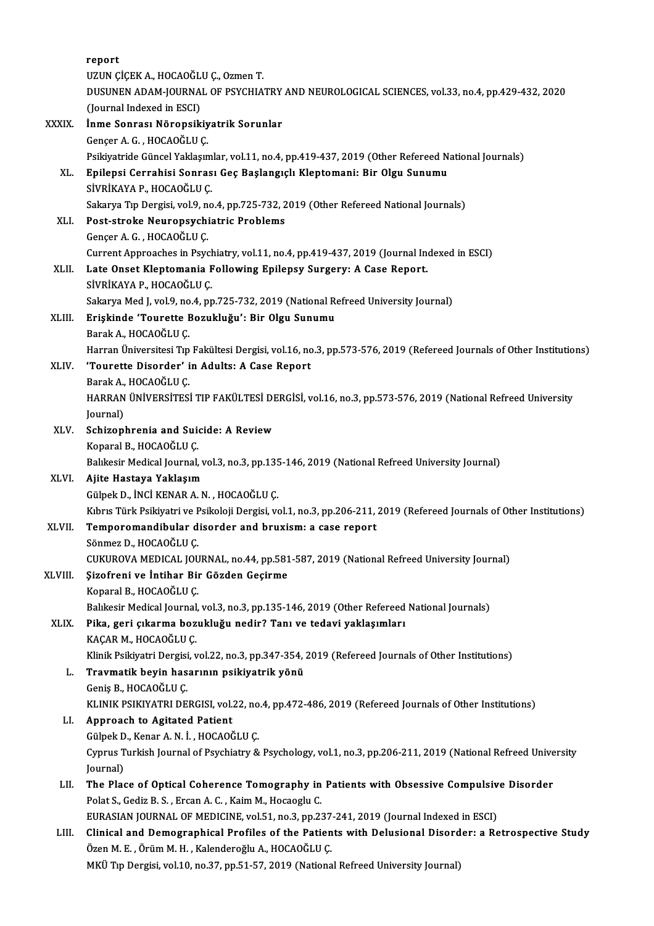|         | report                                                                                                               |
|---------|----------------------------------------------------------------------------------------------------------------------|
|         | UZUN ÇİÇEK A., HOCAOĞLU Ç., Ozmen T.                                                                                 |
|         | DUSUNEN ADAM-JOURNAL OF PSYCHIATRY AND NEUROLOGICAL SCIENCES, vol.33, no.4, pp.429-432, 2020                         |
|         | (Journal Indexed in ESCI)                                                                                            |
| XXXIX.  | İnme Sonrası Nöropsikiyatrik Sorunlar                                                                                |
|         | Gençer A. G., HOCAOĞLU Ç.                                                                                            |
|         | Psikiyatride Güncel Yaklaşımlar, vol.11, no.4, pp.419-437, 2019 (Other Refereed National Journals)                   |
| XL.     | Epilepsi Cerrahisi Sonrası Geç Başlangıçlı Kleptomani: Bir Olgu Sunumu                                               |
|         | SİVRİKAYA P., HOCAOĞLU Ç.                                                                                            |
|         | Sakarya Tıp Dergisi, vol.9, no.4, pp.725-732, 2019 (Other Refereed National Journals)                                |
| XLI.    | Post-stroke Neuropsychiatric Problems                                                                                |
|         | Gençer A. G., HOCAOĞLU Ç.                                                                                            |
|         | Current Approaches in Psychiatry, vol.11, no.4, pp.419-437, 2019 (Journal Indexed in ESCI)                           |
| XLII.   | Late Onset Kleptomania Following Epilepsy Surgery: A Case Report.                                                    |
|         | SİVRİKAYA P., HOCAOĞLU Ç.                                                                                            |
|         | Sakarya Med J, vol 9, no 4, pp.725-732, 2019 (National Refreed University Journal)                                   |
| XLIII.  | Erişkinde 'Tourette Bozukluğu': Bir Olgu Sunumu                                                                      |
|         | Barak A., HOCAOĞLU Ç.                                                                                                |
|         | Harran Üniversitesi Tip Fakültesi Dergisi, vol.16, no.3, pp.573-576, 2019 (Refereed Journals of Other Institutions)  |
| XLIV.   | 'Tourette Disorder' in Adults: A Case Report                                                                         |
|         | Barak A., HOCAOĞLU Ç.                                                                                                |
|         | HARRAN ÜNİVERSİTESİ TIP FAKÜLTESİ DERGİSİ, vol.16, no.3, pp.573-576, 2019 (National Refreed University               |
|         | Journal)                                                                                                             |
| XLV.    | Schizophrenia and Suicide: A Review                                                                                  |
|         | Koparal B., HOCAOĞLU Ç.                                                                                              |
|         | Balıkesir Medical Journal, vol.3, no.3, pp.135-146, 2019 (National Refreed University Journal)                       |
| XLVI.   | Ajite Hastaya Yaklaşım                                                                                               |
|         | Gülpek D., İNCİ KENAR A. N., HOCAOĞLU Ç.                                                                             |
|         | Kıbrıs Türk Psikiyatri ve Psikoloji Dergisi, vol.1, no.3, pp.206-211, 2019 (Refereed Journals of Other Institutions) |
| XLVII.  | Temporomandibular disorder and bruxism: a case report                                                                |
|         | Sönmez D., HOCAOĞLU Ç.                                                                                               |
|         | CUKUROVA MEDICAL JOURNAL, no.44, pp.581-587, 2019 (National Refreed University Journal)                              |
| XLVIII. | Şizofreni ve İntihar Bir Gözden Geçirme                                                                              |
|         | Koparal B., HOCAOĞLU Ç.                                                                                              |
|         | Balıkesir Medical Journal, vol.3, no.3, pp.135-146, 2019 (Other Refereed National Journals)                          |
| XLIX.   | Pika, geri çıkarma bozukluğu nedir? Tanı ve tedavi yaklaşımları                                                      |
|         | KAÇAR M., HOCAOĞLU Ç.                                                                                                |
|         | Klinik Psikiyatri Dergisi, vol.22, no.3, pp.347-354, 2019 (Refereed Journals of Other Institutions)                  |
| L.      | Travmatik beyin hasarının psikiyatrik yönü                                                                           |
|         | Geniş B., HOCAOĞLU Ç.                                                                                                |
|         | KLINIK PSIKIYATRI DERGISI, vol.22, no.4, pp.472-486, 2019 (Refereed Journals of Other Institutions)                  |
| LI.     | Approach to Agitated Patient                                                                                         |
|         | Gülpek D., Kenar A. N. İ., HOCAOĞLU Ç.                                                                               |
|         | Cyprus Turkish Journal of Psychiatry & Psychology, vol.1, no.3, pp.206-211, 2019 (National Refreed University        |
|         | Journal)                                                                                                             |
| LII.    | The Place of Optical Coherence Tomography in Patients with Obsessive Compulsive Disorder                             |
|         | Polat S., Gediz B. S., Ercan A. C., Kaim M., Hocaoglu C.                                                             |
|         | EURASIAN JOURNAL OF MEDICINE, vol.51, no.3, pp.237-241, 2019 (Journal Indexed in ESCI)                               |
| LIII.   | Clinical and Demographical Profiles of the Patients with Delusional Disorder: a Retrospective Study                  |
|         | Özen M. E., Örüm M. H., Kalenderoğlu A., HOCAOĞLU Ç.                                                                 |
|         | MKÜ Tıp Dergisi, vol.10, no.37, pp.51-57, 2019 (National Refreed University Journal)                                 |
|         |                                                                                                                      |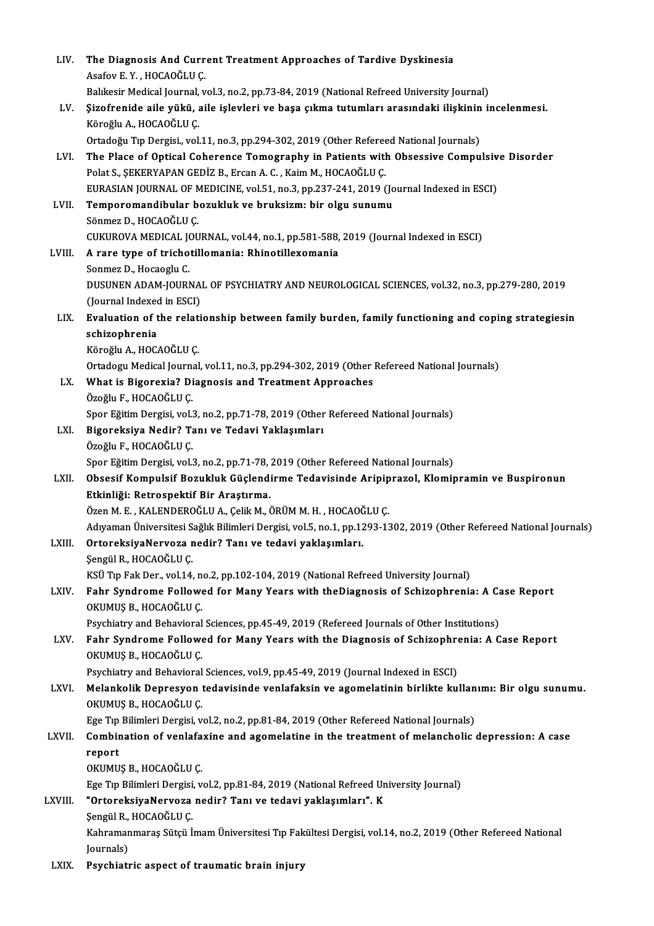| LIV.    | The Diagnosis And Current Treatment Approaches of Tardive Dyskinesia                                                                                                                     |
|---------|------------------------------------------------------------------------------------------------------------------------------------------------------------------------------------------|
|         | Asafov E Y , HOCAOĞLU Ç                                                                                                                                                                  |
|         | Balıkesir Medical Journal, vol.3, no.2, pp.73-84, 2019 (National Refreed University Journal)                                                                                             |
| LV.     | Şizofrenide aile yükü, aile işlevleri ve başa çıkma tutumları arasındaki ilişkinin incelenmesi.                                                                                          |
|         | Köroğlu A., HOCAOĞLU Ç.                                                                                                                                                                  |
|         | Ortadoğu Tıp Dergisi., vol.11, no.3, pp.294-302, 2019 (Other Refereed National Journals)                                                                                                 |
| LVI.    | The Place of Optical Coherence Tomography in Patients with Obsessive Compulsive Disorder                                                                                                 |
|         | Polat S., ŞEKERYAPAN GEDİZ B., Ercan A. C., Kaim M., HOCAOĞLU Ç.                                                                                                                         |
|         | EURASIAN JOURNAL OF MEDICINE, vol.51, no.3, pp.237-241, 2019 (Journal Indexed in ESCI)                                                                                                   |
| LVII.   | Temporomandibular bozukluk ve bruksizm: bir olgu sunumu                                                                                                                                  |
|         | Sönmez D., HOCAOĞLU Ç.                                                                                                                                                                   |
|         | CUKUROVA MEDICAL JOURNAL, vol.44, no.1, pp.581-588, 2019 (Journal Indexed in ESCI)                                                                                                       |
| LVIII.  | A rare type of trichotillomania: Rhinotillexomania                                                                                                                                       |
|         | Sonmez D., Hocaoglu C.                                                                                                                                                                   |
|         | DUSUNEN ADAM-JOURNAL OF PSYCHIATRY AND NEUROLOGICAL SCIENCES, vol.32, no.3, pp.279-280, 2019                                                                                             |
| LIX.    | (Journal Indexed in ESCI)<br>Evaluation of the relationship between family burden, family functioning and coping strategiesin                                                            |
|         | schizophrenia                                                                                                                                                                            |
|         | Köroğlu A., HOCAOĞLU Ç.                                                                                                                                                                  |
|         | Ortadogu Medical Journal, vol.11, no.3, pp.294-302, 2019 (Other Refereed National Journals)                                                                                              |
| LX.     | What is Bigorexia? Diagnosis and Treatment Approaches                                                                                                                                    |
|         | Özoğlu F., HOCAOĞLU Ç.                                                                                                                                                                   |
|         | Spor Eğitim Dergisi, vol.3, no.2, pp.71-78, 2019 (Other Refereed National Journals)                                                                                                      |
| LXI.    | Bigoreksiya Nedir? Tanı ve Tedavi Yaklaşımları                                                                                                                                           |
|         | Özoğlu F., HOCAOĞLU Ç.                                                                                                                                                                   |
|         | Spor Eğitim Dergisi, vol.3, no.2, pp.71-78, 2019 (Other Refereed National Journals)                                                                                                      |
| LXII.   | Obsesif Kompulsif Bozukluk Güçlendirme Tedavisinde Aripiprazol, Klomipramin ve Buspironun                                                                                                |
|         | Etkinliği: Retrospektif Bir Araştırma.                                                                                                                                                   |
|         | Özen M. E., KALENDEROĞLU A., Çelik M., ÖRÜM M. H., HOCAOĞLU Ç.                                                                                                                           |
|         | Adıyaman Üniversitesi Sağlık Bilimleri Dergisi, vol.5, no.1, pp.1293-1302, 2019 (Other Refereed National Journals)                                                                       |
| LXIII.  | OrtoreksiyaNervoza nedir? Tanı ve tedavi yaklaşımları.                                                                                                                                   |
|         | Şengül R., HOCAOĞLU Ç.                                                                                                                                                                   |
|         | KSÜ Tıp Fak Der., vol.14, no.2, pp.102-104, 2019 (National Refreed University Journal)                                                                                                   |
| LXIV.   | Fahr Syndrome Followed for Many Years with theDiagnosis of Schizophrenia: A Case Report                                                                                                  |
|         | OKUMUŞ B., HOCAOĞLU Ç.                                                                                                                                                                   |
|         | Psychiatry and Behavioral Sciences, pp.45-49, 2019 (Refereed Journals of Other Institutions)                                                                                             |
| LXV.    | Fahr Syndrome Followed for Many Years with the Diagnosis of Schizophrenia: A Case Report                                                                                                 |
|         | OKUMUŞ B., HOCAOĞLU Ç.                                                                                                                                                                   |
|         | Psychiatry and Behavioral Sciences, vol.9, pp.45-49, 2019 (Journal Indexed in ESCI)<br>Melankolik Depresyon tedavisinde venlafaksin ve agomelatinin birlikte kullanımı: Bir olgu sunumu. |
| LXVI.   | OKUMUŞ B., HOCAOĞLU Ç.                                                                                                                                                                   |
|         | Ege Tıp Bilimleri Dergisi, vol.2, no.2, pp.81-84, 2019 (Other Refereed National Journals)                                                                                                |
| LXVII.  | Combination of venlafaxine and agomelatine in the treatment of melancholic depression: A case                                                                                            |
|         | report                                                                                                                                                                                   |
|         | OKUMUŞ B., HOCAOĞLU Ç.                                                                                                                                                                   |
|         | Ege Tıp Bilimleri Dergisi, vol.2, pp.81-84, 2019 (National Refreed University Journal)                                                                                                   |
| LXVIII. | "OrtoreksiyaNervoza nedir? Tanı ve tedavi yaklaşımları". K                                                                                                                               |
|         | Şengül R., HOCAOĞLU Ç.                                                                                                                                                                   |
|         | Kahramanmaraş Sütçü İmam Üniversitesi Tıp Fakültesi Dergisi, vol.14, no.2, 2019 (Other Refereed National                                                                                 |
|         | Journals)                                                                                                                                                                                |
| LXIX.   | Psychiatric aspect of traumatic brain injury                                                                                                                                             |
|         |                                                                                                                                                                                          |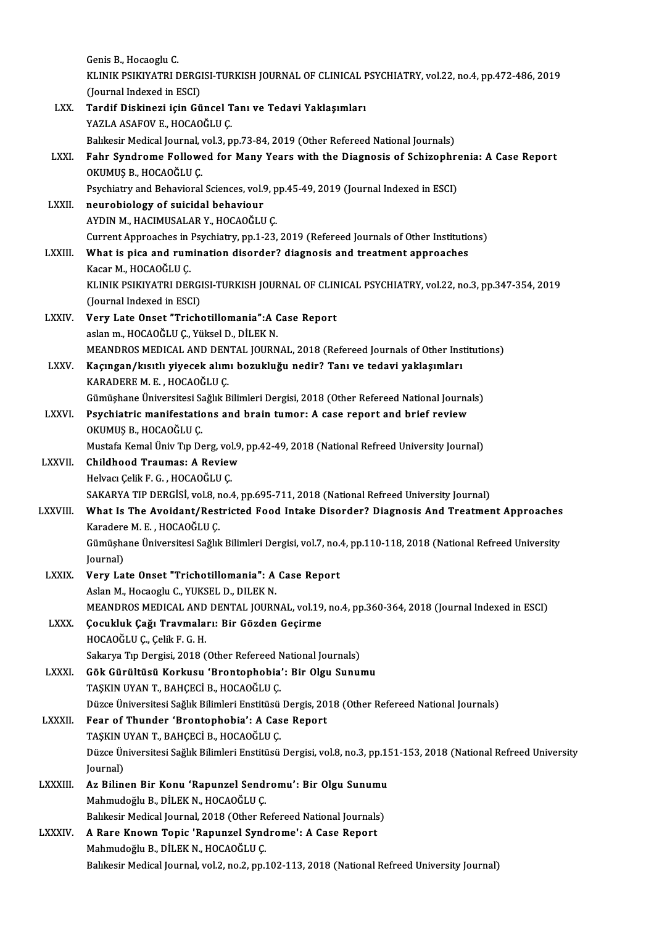Genis B., Hocaoglu C. Genis B., Hocaoglu C.<br>KLINIK PSIKIYATRI DERGISI-TURKISH JOURNAL OF CLINICAL PSYCHIATRY, vol.22, no.4, pp.472-486, 2019<br>(Journal Indoved in ESCL) Genis B., Hocaoglu C.<br>KLINIK PSIKIYATRI DERGI<br>(Journal Indexed in ESCI)<br>Tondif Diskinssi jain Gü KLINIK PSIKIYATRI DERGISI-TURKISH JOURNAL OF CLINICAL F<br>(Journal Indexed in ESCI)<br>LXX. Tardif Diskinezi için Güncel Tanı ve Tedavi Yaklaşımları<br>YAZLA ASAFOV E-HOCAOĞLU C (Journal Indexed in ESCI)<br>Tardif Diskinezi için Güncel T<br>YAZLA ASAFOV E., HOCAOĞLU Ç.<br>Pakkesir Medisal Journal vol 3-n YAZLA ASAFOV E., HOCAOĞLU Ç.<br>Balıkesir Medical Journal, vol.3, pp.73-84, 2019 (Other Refereed National Journals) YAZLA ASAFOV E., HOCAOĞLU Ç.<br>Balıkesir Medical Journal, vol.3, pp.73-84, 2019 (Other Refereed National Journals)<br>LXXI. Fahr Syndrome Followed for Many Years with the Diagnosis of Schizophrenia: A Case Report<br>OVIIMIS R. HOC Balıkesir Medical Journal, v<br>Fahr Syndrome Followe<br>OKUMUŞ B., HOCAOĞLU Ç.<br>Psyshiatry and Pehavioral Fahr Syndrome Followed for Many Years with the Diagnosis of Schizophre<br>OKUMUŞ B., HOCAOĞLU Ç.<br>Psychiatry and Behavioral Sciences, vol.9, pp.45-49, 2019 (Journal Indexed in ESCI)<br>nourobiology of suisidel behaviour OKUMUŞ B., HOCAOĞLU Ç.<br>Psychiatry and Behavioral Sciences, vol.<br>LXXII. neurobiology of suicidal behaviour<br>AVDIN M. HACIMUSALAR Y. HOCAOĞLU Psychiatry and Behavioral Sciences, vol.9, p<br>neurobiology of suicidal behaviour<br>AYDIN M., HACIMUSALAR Y., HOCAOĞLU Ç.<br>Current Annreaches in Bevehistry, pp.1, 22. neurobiology of suicidal behaviour<br>AYDIN M., HACIMUSALAR Y., HOCAOĞLU Ç.<br>Current Approaches in Psychiatry, pp.1-23, 2019 (Refereed Journals of Other Institutions)<br>What is nise and rumination disorder? disorosis and treatme AYDIN M., HACIMUSALAR Y., HOCAOĞLU Ç.<br>Current Approaches in Psychiatry, pp.1-23, 2019 (Refereed Journals of Other Institution<br>LXXIII. What is pica and rumination disorder? diagnosis and treatment approaches What is pica and rumination disorder? diagnosis and treatment approaches Kacar M., HOCAOĞLU C. What is pica and rumination disorder? diagnosis and treatment approaches<br>Kacar M., HOCAOĞLU Ç.<br>KLINIK PSIKIYATRI DERGISI-TURKISH JOURNAL OF CLINICAL PSYCHIATRY, vol.22, no.3, pp.347-354, 2019<br>(Jaurnal Indoved in ESCL) Kacar M., HOCAOĞLU Ç.<br>KLINIK PSIKIYATRI DERGI<br>(Journal Indexed in ESCI)<br>Vouy Late Oneet "Trich KLINIK PSIKIYATRI DERGISI-TURKISH JOURNAL OF CLIN<br>(Journal Indexed in ESCI)<br>LXXIV. Very Late Onset "Trichotillomania":A Case Report<br>asian m. HOCAOČLU.C. Vültal D. Dit EK N (Journal Indexed in ESCI)<br>Very Late Onset "Trichotillomania":A Case Report<br>aslan m., HOCAOĞLU C., Yüksel D., DİLEK N. MEANDROS MEDICAL AND DENTAL JOURNAL, 2018 (Refereed Journals of Other Institutions) LXXV. Kaçıngan/kısıtlı yiyecek alımı bozukluğu nedir? Tanı ve tedavi yaklaşımları MEANDROS MEDICAL AND DEN<br>Kaçıngan/kısıtlı yiyecek alım<br>KARADERE M. E. , HOCAOĞLU Ç.<br>Cümüsbane Üniversitesi Sağlık P Kaçıngan/kısıtlı yiyecek alımı bozukluğu nedir? Tanı ve tedavi yaklaşımları<br>KARADERE M. E. , HOCAOĞLU Ç.<br>Gümüşhane Üniversitesi Sağlık Bilimleri Dergisi, 2018 (Other Refereed National Journals)<br>Psychiatris manifestations a KARADERE M. E. , HOCAOĞLU Ç.<br>Gümüşhane Üniversitesi Sağlık Bilimleri Dergisi, 2018 (Other Refereed National Journa<br>LXXVI. Psychiatric manifestations and brain tumor: A case report and brief review Gümüşhane Üniversitesi Sa<br>Psychiatric manifestatic<br>OKUMUŞ B., HOCAOĞLU Ç.<br>Mustafa Kamal Üniv Tın Da Psychiatric manifestations and brain tumor: A case report and brief review<br>OKUMUŞ B., HOCAOĞLU Ç.<br>Mustafa Kemal Üniv Tıp Derg, vol.9, pp.42-49, 2018 (National Refreed University Journal)<br>Childhood Troumas: A Boview OKUMUŞ B., HOCAOĞLU Ç.<br>Mustafa Kemal Üniv Tıp Derg, vol.9<br>LXXVII. Childhood Traumas: A Review Mustafa Kemal Üniv Tıp Derg, vol<br>Childhood Traumas: A Reviev<br>Helvacı Çelik F. G. , HOCAOĞLU Ç.<br>SAKAPVA TIP DEPCİSİ, vol 9, no Childhood Traumas: A Review<br>Helvacı Çelik F. G. , HOCAOĞLU Ç.<br>SAKARYA TIP DERGİSİ, vol.8, no.4, pp.695-711, 2018 (National Refreed University Journal)<br>What Is The Aveident (Bestristed Food Intelse Disender? Diegnesis And T Helvacı Çelik F. G. , HOCAOĞLU Ç.<br>SAKARYA TIP DERGİSİ, vol.8, no.4, pp.695-711, 2018 (National Refreed University Journal)<br>LXXVIII. What Is The Avoidant/Restricted Food Intake Disorder? Diagnosis And Treatment Approach SAKARYA TIP DERGİSİ, vol.8, n<br>What Is The Avoidant/Rest<br>Karadere M. E. , HOCAOĞLU Ç.<br>Cümüsbana Üniversitesi Sağlıl What Is The Avoidant/Restricted Food Intake Disorder? Diagnosis And Treatment Approaches<br>Karadere M. E. , HOCAOĞLU Ç.<br>Gümüşhane Üniversitesi Sağlık Bilimleri Dergisi, vol.7, no.4, pp.110-118, 2018 (National Refreed Univers Karadere M. E. , HOCAOĞLU Ç.<br>Gümüşhane Üniversitesi Sağlık Bilimleri Dergisi, vol.7, no.4, pp.110-118, 2018 (National Refreed University<br>Journal) Gümüşhane Üniversitesi Sağlık Bilimleri Dergisi, vol.7, no.<br>Journal)<br>LXXIX. Very Late Onset "Trichotillomania": A Case Report Journal)<br>Very Late Onset "Trichotillomania": A<br>Aslan M., Hocaoglu C., YUKSEL D., DILEK N.<br>MEANDROS MEDICAL AND DENTAL JOURN Very Late Onset "Trichotillomania": A Case Report<br>Aslan M., Hocaoglu C., YUKSEL D., DILEK N.<br>MEANDROS MEDICAL AND DENTAL JOURNAL, vol.19, no.4, pp.360-364, 2018 (Journal Indexed in ESCI)<br>Cosukluk Coži Travrpalanu Bir Cärde Aslan M., Hocaoglu C., YUKSEL D., DILEK N.<br>MEANDROS MEDICAL AND DENTAL JOURNAL, vol.19<br>LXXX. Gocukluk Çağı Travmaları: Bir Gözden Geçirme MEANDROS MEDICAL AND<br>Çocukluk Çağı Travmala<br>HOCAOĞLU Ç., Çelik F. G. H.<br>Sakarya Tın Dergisi 2018 ( Çocukluk Çağı Travmaları: Bir Gözden Geçirme<br>HOCAOĞLU Ç., Çelik F. G. H.<br>Sakarya Tıp Dergisi, 2018 (Other Refereed National Journals)<br>Cök Günültüsü Korkusu (Brantanbabia') Bir Olsu Sunuı HOCAOĞLU Ç., Çelik F. G. H.<br>Sakarya Tıp Dergisi, 2018 (Other Refereed National Journals)<br>LXXXI. Gök Gürültüsü Korkusu 'Brontophobia': Bir Olgu Sunumu<br>TASKIN UVAN T. BAHCECİ B. HOCAOĞLU C Sakarya Tıp Dergisi, 2018 (Other Refereed N.<br>Gök Gürültüsü Korkusu 'Brontophobia'<br>TAŞKIN UYAN T., BAHÇECİ B., HOCAOĞLU Ç.<br>Düzee Üniversitesi Sağlık Bilimleri Enstitüsü. Gök Gürültüsü Korkusu 'Brontophobia': Bir Olgu Sunumu<br>TAŞKIN UYAN T., BAHÇECİ B., HOCAOĞLU Ç.<br>Düzce Üniversitesi Sağlık Bilimleri Enstitüsü Dergis, 2018 (Other Refereed National Journals)<br>Fear of Thundor 'Prontophobia': A TAŞKIN UYAN T., BAHÇECİ B., HOCAOĞLU Ç.<br>Düzce Üniversitesi Sağlık Bilimleri Enstitüsü Dergis, 20<br>LXXXII. Fear of Thunder 'Brontophobia': A Case Report Düzce Üniversitesi Sağlık Bilimleri Enstitüsü<br>Fear of Thunder 'Brontophobia': A Cas<br>TAŞKIN UYAN T., BAHÇECİ B., HOCAOĞLU Ç.<br>Düzce Üniversitesi Sağlık Bilimleri Enstitüsü. Fear of Thunder 'Brontophobia': A Case Report<br>TAŞKIN UYAN T., BAHÇECİ B., HOCAOĞLU Ç.<br>Düzce Üniversitesi Sağlık Bilimleri Enstitüsü Dergisi, vol.8, no.3, pp.151-153, 2018 (National Refreed University<br>Journal) TAŞKIN UYAN T., BAHÇECİ B., HOCAOĞLU Ç.<br>Düzce Üniversitesi Sağlık Bilimleri Enstitüsü<br>Journal) Düzce Üniversitesi Sağlık Bilimleri Enstitüsü Dergisi, vol.8, no.3, pp.1!<br>Journal)<br>LXXXIII. Az Bilinen Bir Konu 'Rapunzel Sendromu': Bir Olgu Sunumu<br>Mahmudağlu P. DİLEK N. HOCAQĞLU C Mahmudoğlu B., DİLEK N., HOCAOĞLU Ç. Az Bilinen Bir Konu 'Rapunzel Sendromu': Bir Olgu Sunumu<br>Mahmudoğlu B., DİLEK N., HOCAOĞLU Ç.<br>Balıkesir Medical Journal, 2018 (Other Refereed National Journals)<br>A Rare Known Topic 'Rapunzel Syndrome': A Case Report Mahmudoğlu B., DİLEK N., HOCAOĞLU Ç.<br>Balıkesir Medical Journal, 2018 (Other Refereed National Journals<br>LXXXIV. A Rare Known Topic 'Rapunzel Syndrome': A Case Report<br>Mahmudoğlu B. DİLEK N. HOCAOĞLU C Balıkesir Medical Journal, 2018 (Other Ro<br>A Rare Known Topic 'Rapunzel Synd<br>Mahmudoğlu B., DİLEK N., HOCAOĞLU Ç.<br>Palıkesir Medisel Journal vol 2 no 2 nn 2 Mahmudoğlu B., DİLEK N., HOCAOĞLU Ç.<br>Balıkesir Medical Journal, vol.2, no.2, pp.102-113, 2018 (National Refreed University Journal)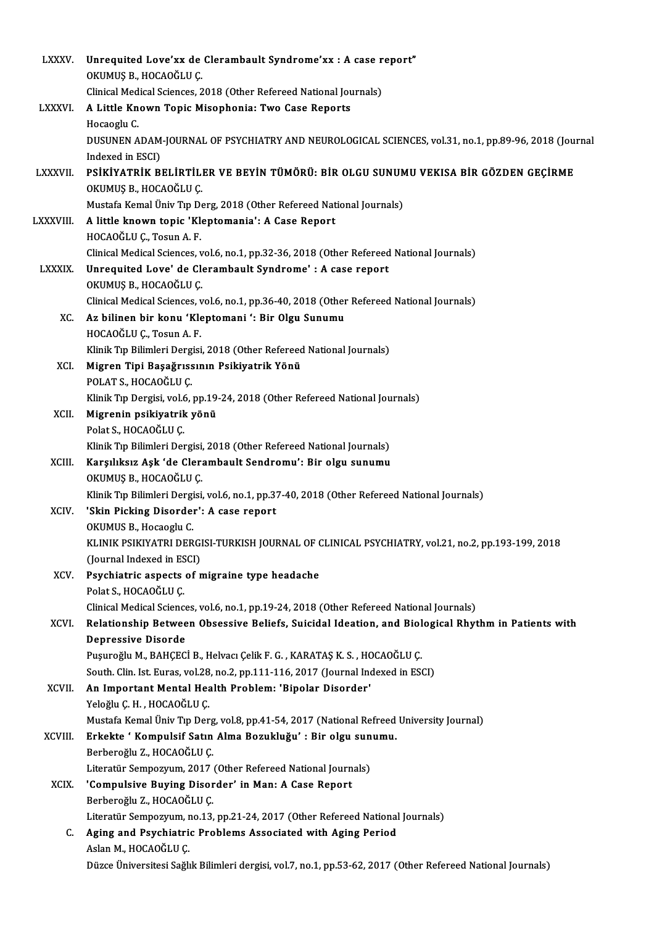| <b>LXXXV.</b>   | Unrequited Love'xx de Clerambault Syndrome'xx : A case report"<br>OKUMUŞ B., HOCAOĞLU Ç.                                                                       |
|-----------------|----------------------------------------------------------------------------------------------------------------------------------------------------------------|
|                 | Clinical Medical Sciences, 2018 (Other Refereed National Journals)                                                                                             |
| <b>LXXXVI.</b>  | A Little Known Topic Misophonia: Two Case Reports                                                                                                              |
|                 | Hocaoglu C                                                                                                                                                     |
|                 | DUSUNEN ADAM-JOURNAL OF PSYCHIATRY AND NEUROLOGICAL SCIENCES, vol.31, no.1, pp.89-96, 2018 (Journal                                                            |
|                 | Indexed in ESCI)                                                                                                                                               |
| <b>LXXXVII</b>  | PSİKİYATRİK BELİRTİLER VE BEYİN TÜMÖRÜ: BİR OLGU SUNUMU VEKISA BİR GÖZDEN GEÇİRME                                                                              |
|                 | OKUMUŞ B., HOCAOĞLU Ç.                                                                                                                                         |
|                 | Mustafa Kemal Üniv Tıp Derg, 2018 (Other Refereed National Journals)                                                                                           |
| <b>LXXXVIII</b> | A little known topic 'Kleptomania': A Case Report                                                                                                              |
|                 | HOCAOĞLU Ç., Tosun A.F.                                                                                                                                        |
|                 | Clinical Medical Sciences, vol.6, no.1, pp.32-36, 2018 (Other Refereed National Journals)                                                                      |
| <b>LXXXIX</b>   | Unrequited Love' de Clerambault Syndrome' : A case report                                                                                                      |
|                 | OKUMUŞ B., HOCAOĞLU Ç.                                                                                                                                         |
|                 | Clinical Medical Sciences, vol.6, no.1, pp.36-40, 2018 (Other Refereed National Journals)                                                                      |
| XC.             | Az bilinen bir konu 'Kleptomani ': Bir Olgu Sunumu                                                                                                             |
|                 | HOCAOĞLU Ç., Tosun A.F.                                                                                                                                        |
|                 | Klinik Tıp Bilimleri Dergisi, 2018 (Other Refereed National Journals)                                                                                          |
| XCI.            | Migren Tipi Başağrıssının Psikiyatrik Yönü<br>POLAT S., HOCAOĞLU Ç.                                                                                            |
|                 | Klinik Tıp Dergisi, vol.6, pp.19-24, 2018 (Other Refereed National Journals)                                                                                   |
| XCII.           | Migrenin psikiyatrik yönü                                                                                                                                      |
|                 | Polat S, HOCAOĞLU Ç                                                                                                                                            |
|                 | Klinik Tıp Bilimleri Dergisi, 2018 (Other Refereed National Journals)                                                                                          |
| XCIII.          | Karşılıksız Aşk 'de Clerambault Sendromu': Bir olgu sunumu                                                                                                     |
|                 | OKUMUŞ B., HOCAOĞLU Ç.                                                                                                                                         |
|                 | Klinik Tıp Bilimleri Dergisi, vol.6, no.1, pp.37-40, 2018 (Other Refereed National Journals)                                                                   |
| XCIV.           | 'Skin Picking Disorder': A case report                                                                                                                         |
|                 | OKUMUS B., Hocaoglu C.                                                                                                                                         |
|                 | KLINIK PSIKIYATRI DERGISI-TURKISH JOURNAL OF CLINICAL PSYCHIATRY, vol 21, no.2, pp.193-199, 2018                                                               |
|                 | (Journal Indexed in ESCI)                                                                                                                                      |
| XCV.            | Psychiatric aspects of migraine type headache                                                                                                                  |
|                 | Polat S., HOCAOĞLU Ç.                                                                                                                                          |
|                 | Clinical Medical Sciences, vol.6, no.1, pp.19-24, 2018 (Other Refereed National Journals)                                                                      |
| XCVI.           | Relationship Between Obsessive Beliefs, Suicidal Ideation, and Biological Rhythm in Patients with                                                              |
|                 | <b>Depressive Disorde</b>                                                                                                                                      |
|                 | Pușuroğlu M., BAHÇECİ B., Helvacı Çelik F. G., KARATAŞ K. S., HOCAOĞLU Ç.<br>South. Clin. Ist. Euras, vol.28, no.2, pp.111-116, 2017 (Journal Indexed in ESCI) |
| XCVII.          | An Important Mental Health Problem: 'Bipolar Disorder'                                                                                                         |
|                 | Yeloğlu Ç H , HOCAOĞLU Ç                                                                                                                                       |
|                 | Mustafa Kemal Üniv Tıp Derg, vol.8, pp.41-54, 2017 (National Refreed University Journal)                                                                       |
| XCVIII.         | Erkekte ' Kompulsif Satın Alma Bozukluğu' : Bir olgu sunumu.                                                                                                   |
|                 | Berberoğlu Z., HOCAOĞLU Ç.                                                                                                                                     |
|                 | Literatür Sempozyum, 2017 (Other Refereed National Journals)                                                                                                   |
| <b>XCIX</b>     | 'Compulsive Buying Disorder' in Man: A Case Report                                                                                                             |
|                 | Berberoğlu Z., HOCAOĞLU Ç.                                                                                                                                     |
|                 | Literatür Sempozyum, no.13, pp.21-24, 2017 (Other Refereed National Journals)                                                                                  |
| C.              | Aging and Psychiatric Problems Associated with Aging Period                                                                                                    |
|                 | Aslan M., HOCAOĞLU Ç.                                                                                                                                          |
|                 | Düzce Üniversitesi Sağlık Bilimleri dergisi, vol.7, no.1, pp.53-62, 2017 (Other Refereed National Journals)                                                    |
|                 |                                                                                                                                                                |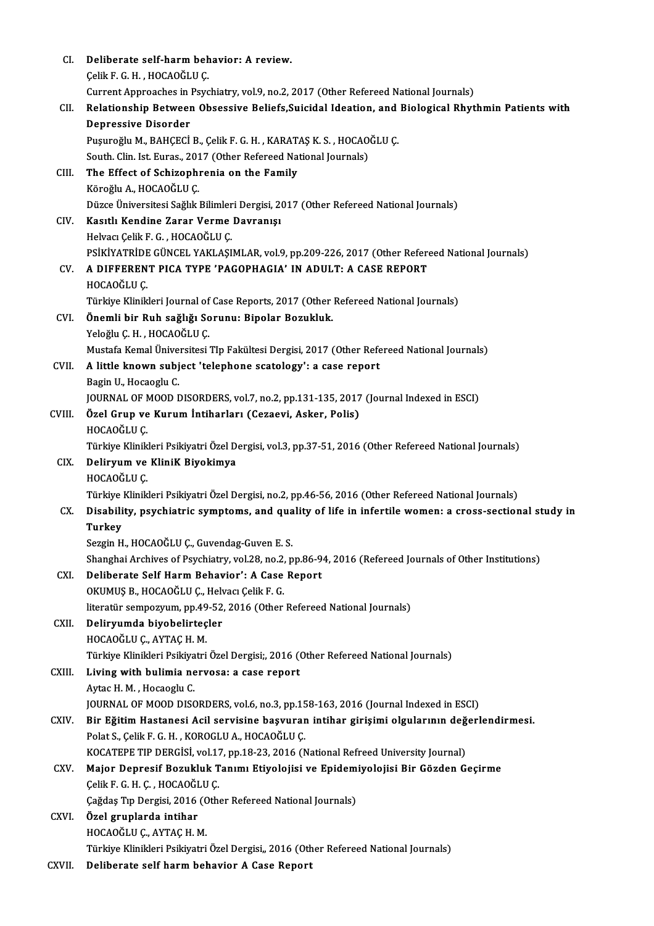| CI     | Deliberate self-harm behavior: A review.                                                                                                                 |
|--------|----------------------------------------------------------------------------------------------------------------------------------------------------------|
|        | Çelik F G H , HOCAOĞLU Ç                                                                                                                                 |
|        | Current Approaches in Psychiatry, vol.9, no.2, 2017 (Other Refereed National Journals)                                                                   |
| CII.   | Relationship Between Obsessive Beliefs, Suicidal Ideation, and Biological Rhythmin Patients with                                                         |
|        | <b>Depressive Disorder</b>                                                                                                                               |
|        | Pușuroğlu M., BAHÇECİ B., Çelik F. G. H., KARATAŞ K. S., HOCAOĞLU Ç.                                                                                     |
|        | South. Clin. Ist. Euras., 2017 (Other Refereed National Journals)                                                                                        |
| CIII.  | The Effect of Schizophrenia on the Family                                                                                                                |
|        | Köroğlu A., HOCAOĞLU Ç.                                                                                                                                  |
|        | Düzce Üniversitesi Sağlık Bilimleri Dergisi, 2017 (Other Refereed National Journals)                                                                     |
| CIV.   | Kasıtlı Kendine Zarar Verme Davranışı                                                                                                                    |
|        | Helvacı Çelik F G , HOCAOĞLU Ç.                                                                                                                          |
|        | PSİKİYATRİDE GÜNCEL YAKLAŞIMLAR, vol.9, pp.209-226, 2017 (Other Refereed National Journals)                                                              |
| CV.    | A DIFFERENT PICA TYPE 'PAGOPHAGIA' IN ADULT: A CASE REPORT                                                                                               |
|        | HOCAOĞLU Ç                                                                                                                                               |
|        | Türkiye Klinikleri Journal of Case Reports, 2017 (Other Refereed National Journals)                                                                      |
| CVI.   | Önemli bir Ruh sağlığı Sorunu: Bipolar Bozukluk.                                                                                                         |
|        | Yeloğlu Ç.H., HOCAOĞLU Ç.                                                                                                                                |
|        | Mustafa Kemal Üniversitesi TIp Fakültesi Dergisi, 2017 (Other Refereed National Journals)                                                                |
| CVII.  | A little known subject 'telephone scatology': a case report                                                                                              |
|        | Bagin U, Hocaoglu C.                                                                                                                                     |
|        | JOURNAL OF MOOD DISORDERS, vol.7, no.2, pp.131-135, 2017 (Journal Indexed in ESCI)                                                                       |
| CVIII. | Özel Grup ve Kurum İntiharları (Cezaevi, Asker, Polis)                                                                                                   |
|        | HOCAOĞLU Ç                                                                                                                                               |
|        | Türkiye Klinikleri Psikiyatri Özel Dergisi, vol.3, pp.37-51, 2016 (Other Refereed National Journals)                                                     |
| CIX.   | Deliryum ve KliniK Biyokimya                                                                                                                             |
|        | HOCAOĞLU Ç                                                                                                                                               |
|        | Türkiye Klinikleri Psikiyatri Özel Dergisi, no.2, pp.46-56, 2016 (Other Refereed National Journals)                                                      |
| CX.    | Disability, psychiatric symptoms, and quality of life in infertile women: a cross-sectional study in                                                     |
|        | Turkey<br>Sezgin H., HOCAOĞLU Ç., Guvendag-Guven E. S.                                                                                                   |
|        |                                                                                                                                                          |
| CXI.   | Shanghai Archives of Psychiatry, vol.28, no.2, pp.86-94, 2016 (Refereed Journals of Other Institutions)<br>Deliberate Self Harm Behavior': A Case Report |
|        | OKUMUŞ B., HOCAOĞLU Ç., Helvacı Çelik F. G.                                                                                                              |
|        | literatür sempozyum, pp.49-52, 2016 (Other Refereed National Journals)                                                                                   |
| CXII.  | Deliryumda biyobelirteçler                                                                                                                               |
|        | HOCAOĞLU Ç., AYTAÇ H. M.                                                                                                                                 |
|        | Türkiye Klinikleri Psikiyatri Özel Dergisi;, 2016 (Other Refereed National Journals)                                                                     |
| CXIII. | Living with bulimia nervosa: a case report                                                                                                               |
|        | Aytac H M , Hocaoglu C                                                                                                                                   |
|        | JOURNAL OF MOOD DISORDERS, vol.6, no.3, pp.158-163, 2016 (Journal Indexed in ESCI)                                                                       |
| CXIV.  | Bir Eğitim Hastanesi Acil servisine başvuran intihar girişimi olgularının değerlendirmesi.                                                               |
|        | Polat S., Çelik F. G. H., KOROGLU A., HOCAOĞLU Ç.                                                                                                        |
|        | KOCATEPE TIP DERGISI, vol.17, pp.18-23, 2016 (National Refreed University Journal)                                                                       |
| CXV.   | Major Depresif Bozukluk Tanımı Etiyolojisi ve Epidemiyolojisi Bir Gözden Geçirme                                                                         |
|        | Çelik F G H Ç , HOCAOĞLU Ç                                                                                                                               |
|        | Çağdaş Tıp Dergisi, 2016 (Other Refereed National Journals)                                                                                              |
| CXVI.  | Özel gruplarda intihar                                                                                                                                   |
|        | HOCAOĞLU Ç., AYTAÇ H. M.                                                                                                                                 |
|        | Türkiye Klinikleri Psikiyatri Özel Dergisi,, 2016 (Other Refereed National Journals)                                                                     |
| CXVII. | Deliberate self harm behavior A Case Report                                                                                                              |
|        |                                                                                                                                                          |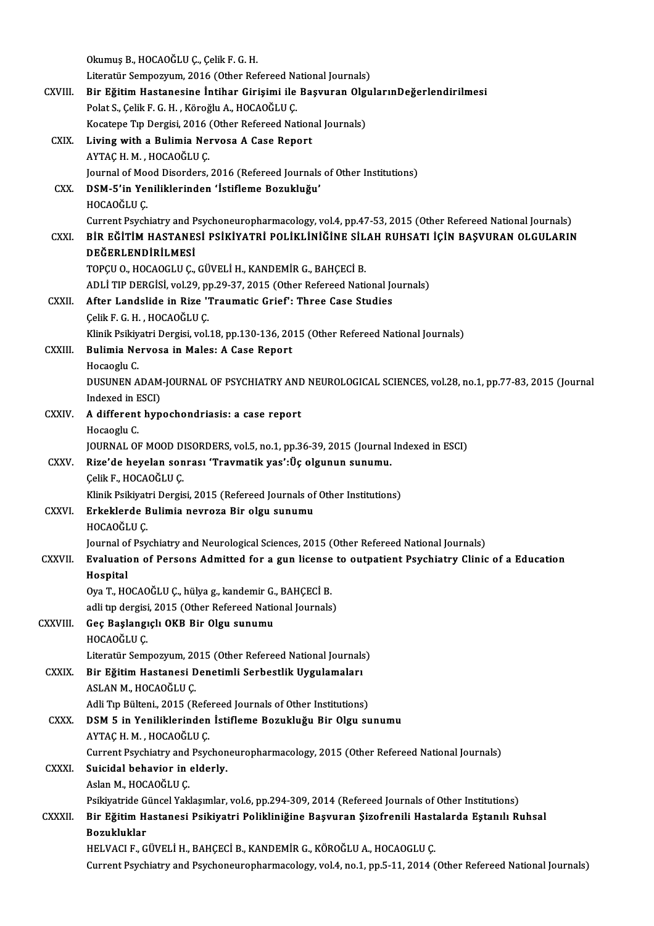|               | Okumuş B., HOCAOĞLU Ç., Çelik F. G. H.                                                                                                                                                                               |
|---------------|----------------------------------------------------------------------------------------------------------------------------------------------------------------------------------------------------------------------|
|               | Literatür Sempozyum, 2016 (Other Refereed National Journals)                                                                                                                                                         |
| CXVIII.       | Bir Eğitim Hastanesine İntihar Girişimi ile Başvuran OlgularınDeğerlendirilmesi                                                                                                                                      |
|               | Polat S., Çelik F. G. H., Köroğlu A., HOCAOĞLU Ç.                                                                                                                                                                    |
|               | Kocatepe Tıp Dergisi, 2016 (Other Refereed National Journals)                                                                                                                                                        |
| <b>CXIX</b>   | Living with a Bulimia Nervosa A Case Report                                                                                                                                                                          |
|               | AYTAÇ H. M., HOCAOĞLU Ç.                                                                                                                                                                                             |
|               | Journal of Mood Disorders, 2016 (Refereed Journals of Other Institutions)                                                                                                                                            |
| CXX.          | DSM-5'in Yeniliklerinden 'İstifleme Bozukluğu'                                                                                                                                                                       |
|               | HOCAOĞLU Ç                                                                                                                                                                                                           |
| CXXI.         | Current Psychiatry and Psychoneuropharmacology, vol.4, pp.47-53, 2015 (Other Refereed National Journals)<br>BİR EĞİTİM HASTANESİ PSİKİYATRİ POLİKLİNİĞİNE SİLAH RUHSATI İÇİN BAŞVURAN OLGULARIN<br>DEĞERLENDİRİLMESİ |
|               | TOPÇU O., HOCAOGLU Ç., GÜVELİ H., KANDEMİR G., BAHÇECİ B.                                                                                                                                                            |
|               | ADLİ TIP DERGİSİ, vol.29, pp.29-37, 2015 (Other Refereed National Journals)                                                                                                                                          |
| CXXII.        | After Landslide in Rize 'Traumatic Grief': Three Case Studies                                                                                                                                                        |
|               | Çelik F G H , HOCAOĞLU Ç                                                                                                                                                                                             |
|               | Klinik Psikiyatri Dergisi, vol.18, pp.130-136, 2015 (Other Refereed National Journals)                                                                                                                               |
| CXXIII.       | Bulimia Nervosa in Males: A Case Report                                                                                                                                                                              |
|               | Hocaoglu C                                                                                                                                                                                                           |
|               | DUSUNEN ADAM-JOURNAL OF PSYCHIATRY AND NEUROLOGICAL SCIENCES, vol.28, no.1, pp.77-83, 2015 (Journal                                                                                                                  |
|               | Indexed in ESCI)                                                                                                                                                                                                     |
| <b>CXXIV</b>  | A different hypochondriasis: a case report                                                                                                                                                                           |
|               | Hocaoglu C.                                                                                                                                                                                                          |
|               | JOURNAL OF MOOD DISORDERS, vol.5, no.1, pp.36-39, 2015 (Journal Indexed in ESCI)                                                                                                                                     |
| <b>CXXV</b>   | Rize'de heyelan sonrası 'Travmatik yas':Üç olgunun sunumu.                                                                                                                                                           |
|               | Çelik F., HOCAOĞLU Ç.                                                                                                                                                                                                |
|               | Klinik Psikiyatri Dergisi, 2015 (Refereed Journals of Other Institutions)                                                                                                                                            |
| <b>CXXVI</b>  | Erkeklerde Bulimia nevroza Bir olgu sunumu<br>HOCAOĞLU Ç                                                                                                                                                             |
|               | Journal of Psychiatry and Neurological Sciences, 2015 (Other Refereed National Journals)                                                                                                                             |
| <b>CXXVII</b> | Evaluation of Persons Admitted for a gun license to outpatient Psychiatry Clinic of a Education                                                                                                                      |
|               | Hospital                                                                                                                                                                                                             |
|               | Oya T., HOCAOĞLU Ç., hülya g., kandemir G., BAHÇECİ B.                                                                                                                                                               |
|               | adli tip dergisi, 2015 (Other Refereed National Journals)                                                                                                                                                            |
| CXXVIII.      | Geç Başlangıçlı OKB Bir Olgu sunumu                                                                                                                                                                                  |
|               | HOCAOĞLU Ç                                                                                                                                                                                                           |
|               | Literatür Sempozyum, 2015 (Other Refereed National Journals)                                                                                                                                                         |
| <b>CXXIX</b>  | Bir Eğitim Hastanesi Denetimli Serbestlik Uygulamaları                                                                                                                                                               |
|               | ASLAN M., HOCAOĞLU Ç.                                                                                                                                                                                                |
|               | Adli Tıp Bülteni., 2015 (Refereed Journals of Other Institutions)                                                                                                                                                    |
| <b>CXXX</b>   | DSM 5 in Yeniliklerinden İstifleme Bozukluğu Bir Olgu sunumu                                                                                                                                                         |
|               | AYTAÇ H. M., HOCAOĞLU Ç.                                                                                                                                                                                             |
|               | Current Psychiatry and Psychoneuropharmacology, 2015 (Other Refereed National Journals)                                                                                                                              |
| <b>CXXXI</b>  | Suicidal behavior in elderly.                                                                                                                                                                                        |
|               | Aslan M, HOCAOĞLU Ç                                                                                                                                                                                                  |
|               | Psikiyatride Güncel Yaklaşımlar, vol.6, pp.294-309, 2014 (Refereed Journals of Other Institutions)                                                                                                                   |
| <b>CXXXII</b> | Bir Eğitim Hastanesi Psikiyatri Polikliniğine Başvuran Şizofrenili Hastalarda Eştanılı Ruhsal<br>Bozukluklar                                                                                                         |
|               | HELVACI F., GÜVELİ H., BAHÇECİ B., KANDEMİR G., KÖROĞLU A., HOCAOGLU Ç.                                                                                                                                              |
|               | Current Psychiatry and Psychoneuropharmacology, vol.4, no.1, pp.5-11, 2014 (Other Refereed National Journals)                                                                                                        |
|               |                                                                                                                                                                                                                      |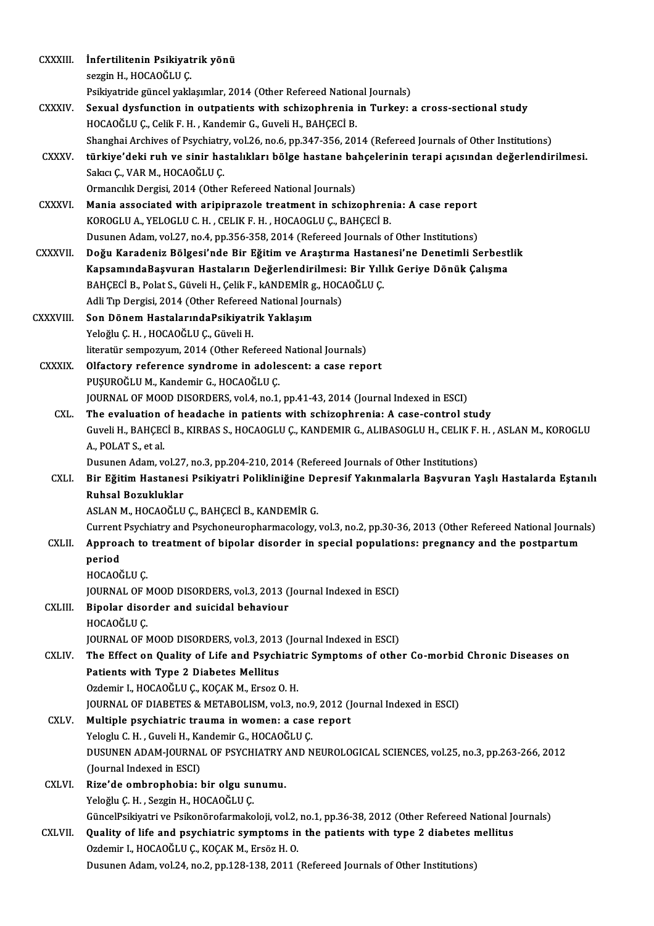| CXXXIII.       | İnfertilitenin Psikiyatrik yönü                                                                                                                                                                    |
|----------------|----------------------------------------------------------------------------------------------------------------------------------------------------------------------------------------------------|
|                | sezgin H., HOCAOĞLU Ç.                                                                                                                                                                             |
|                | Psikiyatride güncel yaklaşımlar, 2014 (Other Refereed National Journals)                                                                                                                           |
| CXXXIV.        | Sexual dysfunction in outpatients with schizophrenia in Turkey: a cross-sectional study                                                                                                            |
|                | HOCAOĞLU Ç., Celik F. H., Kandemir G., Guveli H., BAHÇECİ B.                                                                                                                                       |
|                | Shanghai Archives of Psychiatry, vol.26, no.6, pp.347-356, 2014 (Refereed Journals of Other Institutions)                                                                                          |
| <b>CXXXV</b>   | türkiye'deki ruh ve sinir hastalıkları bölge hastane bahçelerinin terapi açısından değerlendirilmesi.                                                                                              |
|                | Sakıcı Ç., VAR M., HOCAOĞLU Ç.                                                                                                                                                                     |
|                | Ormancılık Dergisi, 2014 (Other Refereed National Journals)                                                                                                                                        |
| CXXXVI.        | Mania associated with aripiprazole treatment in schizophrenia: A case report                                                                                                                       |
|                | KOROGLU A., YELOGLU C. H., CELIK F. H., HOCAOGLU Ç., BAHÇECİ B.                                                                                                                                    |
|                | Dusunen Adam, vol.27, no.4, pp.356-358, 2014 (Refereed Journals of Other Institutions)                                                                                                             |
| CXXXVII.       | Doğu Karadeniz Bölgesi'nde Bir Eğitim ve Araştırma Hastanesi'ne Denetimli Serbestlik                                                                                                               |
|                | KapsamındaBaşvuran Hastaların Değerlendirilmesi: Bir Yıllık Geriye Dönük Çalışma                                                                                                                   |
|                | BAHÇECİ B., Polat S., Güveli H., Çelik F., kANDEMİR g., HOCAOĞLU Ç.                                                                                                                                |
|                | Adli Tıp Dergisi, 2014 (Other Refereed National Journals)                                                                                                                                          |
| CXXXVIII.      | Son Dönem HastalarındaPsikiyatrik Yaklaşım                                                                                                                                                         |
|                | Yeloğlu Ç. H., HOCAOĞLU Ç., Güveli H.                                                                                                                                                              |
|                | literatür sempozyum, 2014 (Other Refereed National Journals)                                                                                                                                       |
| CXXXIX.        | Olfactory reference syndrome in adolescent: a case report                                                                                                                                          |
|                | PUŞUROĞLU M., Kandemir G., HOCAOĞLU Ç.                                                                                                                                                             |
|                | JOURNAL OF MOOD DISORDERS, vol.4, no.1, pp.41-43, 2014 (Journal Indexed in ESCI)                                                                                                                   |
| CXL.           | The evaluation of headache in patients with schizophrenia: A case-control study                                                                                                                    |
|                | Guveli H., BAHÇECİ B., KIRBAS S., HOCAOGLU Ç., KANDEMIR G., ALIBASOGLU H., CELIK F. H., ASLAN M., KOROGLU                                                                                          |
|                | A., POLAT S., et al.<br>Dusunen Adam, vol.27, no.3, pp.204-210, 2014 (Refereed Journals of Other Institutions)                                                                                     |
| CXLI.          | Bir Eğitim Hastanesi Psikiyatri Polikliniğine Depresif Yakınmalarla Başvuran Yaşlı Hastalarda Eştanılı                                                                                             |
|                | Ruhsal Bozukluklar                                                                                                                                                                                 |
|                | ASLAN M., HOCAOĞLU Ç., BAHÇECİ B., KANDEMİR G.                                                                                                                                                     |
|                | Current Psychiatry and Psychoneuropharmacology, vol.3, no.2, pp.30-36, 2013 (Other Refereed National Journals)                                                                                     |
| CXLII.         | Approach to treatment of bipolar disorder in special populations: pregnancy and the postpartum                                                                                                     |
|                | period                                                                                                                                                                                             |
|                | HOCAOĞLU Ç                                                                                                                                                                                         |
|                | JOURNAL OF MOOD DISORDERS, vol.3, 2013 (Journal Indexed in ESCI)                                                                                                                                   |
| CXLIII.        | Bipolar disorder and suicidal behaviour                                                                                                                                                            |
|                | HOCAOĞLU Ç                                                                                                                                                                                         |
|                | JOURNAL OF MOOD DISORDERS, vol.3, 2013 (Journal Indexed in ESCI)                                                                                                                                   |
| CXLIV.         | The Effect on Quality of Life and Psychiatric Symptoms of other Co-morbid Chronic Diseases on                                                                                                      |
|                | Patients with Type 2 Diabetes Mellitus                                                                                                                                                             |
|                | Ozdemir I., HOCAOĞLU Ç., KOÇAK M., Ersoz O.H.                                                                                                                                                      |
|                | JOURNAL OF DIABETES & METABOLISM, vol.3, no.9, 2012 (Journal Indexed in ESCI)                                                                                                                      |
| CXLV.          | Multiple psychiatric trauma in women: a case report                                                                                                                                                |
|                | Yeloglu C. H., Guveli H., Kandemir G., HOCAOĞLU Ç.                                                                                                                                                 |
|                | DUSUNEN ADAM-JOURNAL OF PSYCHIATRY AND NEUROLOGICAL SCIENCES, vol.25, no.3, pp.263-266, 2012                                                                                                       |
|                | (Journal Indexed in ESCI)                                                                                                                                                                          |
| <b>CXLVI</b> . | Rize'de ombrophobia: bir olgu sunumu.                                                                                                                                                              |
|                | Yeloğlu Ç. H., Sezgin H., HOCAOĞLU Ç.                                                                                                                                                              |
| CXLVII.        | GüncelPsikiyatri ve Psikonörofarmakoloji, vol.2, no.1, pp.36-38, 2012 (Other Refereed National Journals)<br>Quality of life and psychiatric symptoms in the patients with type 2 diabetes mellitus |
|                | Ozdemir I., HOCAOĞLU Ç., KOÇAK M., Ersöz H. O.                                                                                                                                                     |
|                | Dusunen Adam, vol.24, no.2, pp.128-138, 2011 (Refereed Journals of Other Institutions)                                                                                                             |
|                |                                                                                                                                                                                                    |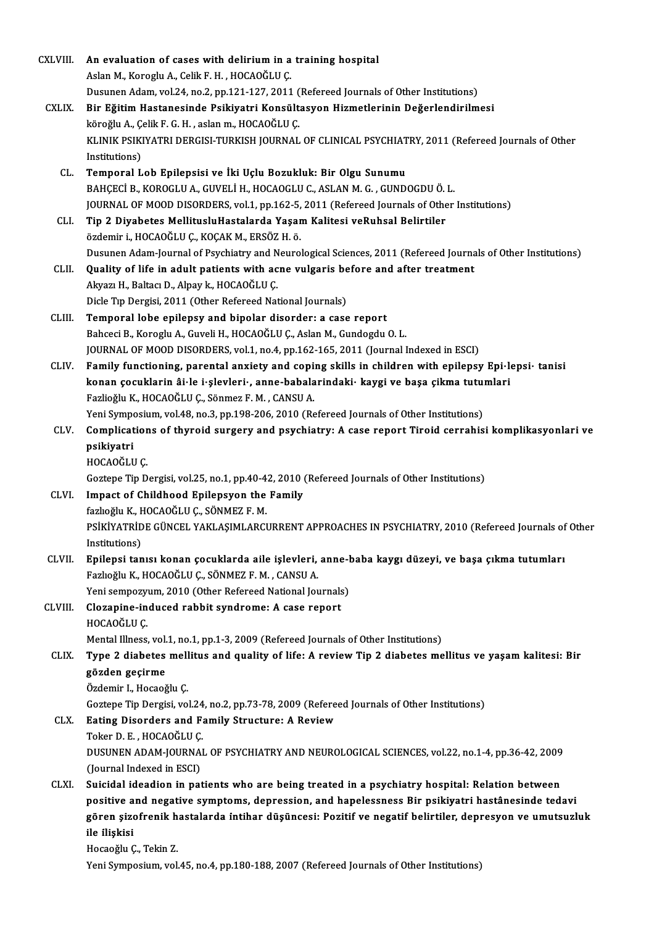| CXLVIII.     | An evaluation of cases with delirium in a training hospital                                                  |
|--------------|--------------------------------------------------------------------------------------------------------------|
|              | Aslan M., Koroglu A., Celik F. H., HOCAOĞLU Ç.                                                               |
|              | Dusunen Adam, vol.24, no.2, pp.121-127, 2011 (Refereed Journals of Other Institutions)                       |
| <b>CXLIX</b> | Bir Eğitim Hastanesinde Psikiyatri Konsültasyon Hizmetlerinin Değerlendirilmesi                              |
|              | köroğlu A., Çelik F. G. H., aslan m., HOCAOĞLU Ç.                                                            |
|              | KLINIK PSIKIYATRI DERGISI-TURKISH JOURNAL OF CLINICAL PSYCHIATRY, 2011 (Refereed Journals of Other           |
|              | Institutions)                                                                                                |
| CL.          | Temporal Lob Epilepsisi ve İki Uçlu Bozukluk: Bir Olgu Sunumu                                                |
|              | BAHÇECİ B., KOROGLU A., GUVELİ H., HOCAOGLU C., ASLAN M. G., GUNDOGDU Ö. L.                                  |
|              | JOURNAL OF MOOD DISORDERS, vol.1, pp.162-5, 2011 (Refereed Journals of Other Institutions)                   |
| CLI.         | Tip 2 Diyabetes MellitusluHastalarda Yaşam Kalitesi veRuhsal Belirtiler                                      |
|              | özdemir i., HOCAOĞLU Ç., KOÇAK M., ERSÖZ H. ö.                                                               |
|              | Dusunen Adam-Journal of Psychiatry and Neurological Sciences, 2011 (Refereed Journals of Other Institutions) |
| CLII.        | Quality of life in adult patients with acne vulgaris before and after treatment                              |
|              | Akyazı H., Baltacı D., Alpay k., HOCAOĞLU Ç.                                                                 |
|              | Dicle Tıp Dergisi, 2011 (Other Refereed National Journals)                                                   |
| CLIII.       | Temporal lobe epilepsy and bipolar disorder: a case report                                                   |
|              | Bahceci B., Koroglu A., Guveli H., HOCAOĞLU Ç., Aslan M., Gundogdu O. L.                                     |
|              | JOURNAL OF MOOD DISORDERS, vol.1, no.4, pp.162-165, 2011 (Journal Indexed in ESCI)                           |
| CLIV.        | Family functioning, parental anxiety and coping skills in children with epilepsy Epi-lepsi- tanisi           |
|              | konan çocuklarin âi le i şlevleri , anne-babalarındaki  kaygi ve başa çikma tutumları                        |
|              | Fazlioğlu K., HOCAOĞLU Ç., Sönmez F. M., CANSU A.                                                            |
|              | Yeni Symposium, vol.48, no.3, pp.198-206, 2010 (Refereed Journals of Other Institutions)                     |
| CLV.         | Complications of thyroid surgery and psychiatry: A case report Tiroid cerrahisi komplikasyonlari ve          |
|              | psikiyatri                                                                                                   |
|              | HOCAOĞLU Ç                                                                                                   |
|              | Goztepe Tip Dergisi, vol.25, no.1, pp.40-42, 2010 (Refereed Journals of Other Institutions)                  |
| CLVI.        | Impact of Childhood Epilepsyon the Family                                                                    |
|              | fazlıoğlu K., HOCAOĞLU Ç., SÖNMEZ F. M.                                                                      |
|              | PSİKİYATRİDE GÜNCEL YAKLAŞIMLARCURRENT APPROACHES IN PSYCHIATRY, 2010 (Refereed Journals of Other            |
|              | Institutions)                                                                                                |
| CLVII.       | Epilepsi tanısı konan çocuklarda aile işlevleri, anne-baba kaygı düzeyi, ve başa çıkma tutumları             |
|              | Fazlıoğlu K., HOCAOĞLU Ç., SÖNMEZ F. M., CANSU A.                                                            |
|              | Yeni sempozyum, 2010 (Other Refereed National Journals)                                                      |
| CLVIII.      | Clozapine-induced rabbit syndrome: A case report                                                             |
|              | HOCAOĞLU Ç.                                                                                                  |
|              | Mental Illness, vol.1, no.1, pp.1-3, 2009 (Refereed Journals of Other Institutions)                          |
| CLIX.        | Type 2 diabetes mellitus and quality of life: A review Tip 2 diabetes mellitus ve yaşam kalitesi: Bir        |
|              | gözden geçirme                                                                                               |
|              | Özdemir I., Hocaoğlu Ç.                                                                                      |
|              | Goztepe Tip Dergisi, vol.24, no.2, pp.73-78, 2009 (Refereed Journals of Other Institutions)                  |
| CLX.         | Eating Disorders and Family Structure: A Review                                                              |
|              | Toker D. E., HOCAOĞLU C.                                                                                     |
|              | DUSUNEN ADAM-JOURNAL OF PSYCHIATRY AND NEUROLOGICAL SCIENCES, vol.22, no.1-4, pp.36-42, 2009                 |
|              | (Journal Indexed in ESCI)                                                                                    |
| <b>CLXI</b>  | Suicidal ideadion in patients who are being treated in a psychiatry hospital: Relation between               |
|              | positive and negative symptoms, depression, and hapelessness Bir psikiyatri hastânesinde tedavi              |
|              | gören şizofrenik hastalarda intihar düşüncesi: Pozitif ve negatif belirtiler, depresyon ve umutsuzluk        |
|              | ile ilişkisi                                                                                                 |
|              | Hocaoğlu Ç., Tekin Z.                                                                                        |
|              | Yeni Symposium, vol.45, no.4, pp.180-188, 2007 (Refereed Journals of Other Institutions)                     |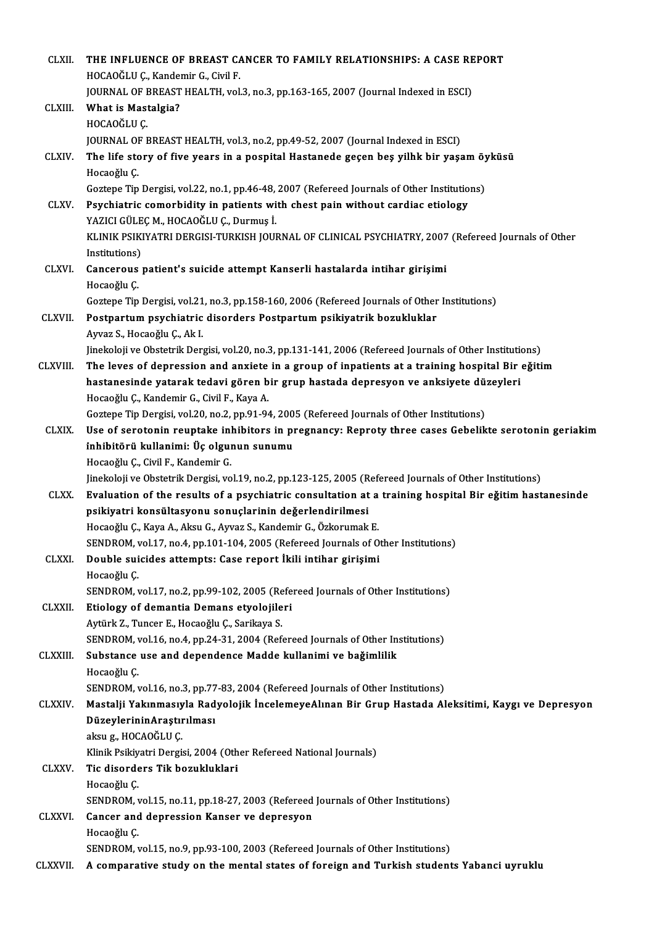| <b>CLXII</b>    | THE INFLUENCE OF BREAST CANCER TO FAMILY RELATIONSHIPS: A CASE REPORT                                                                                   |
|-----------------|---------------------------------------------------------------------------------------------------------------------------------------------------------|
|                 | HOCAOĞLU Ç., Kandemir G., Civil F.                                                                                                                      |
|                 | JOURNAL OF BREAST HEALTH, vol.3, no.3, pp.163-165, 2007 (Journal Indexed in ESCI)                                                                       |
| CLXIII.         | What is Mastalgia?                                                                                                                                      |
|                 | HOCAOĞLU Ç.                                                                                                                                             |
|                 | JOURNAL OF BREAST HEALTH, vol.3, no.2, pp.49-52, 2007 (Journal Indexed in ESCI)                                                                         |
| CLXIV.          | The life story of five years in a pospital Hastanede geçen beş yilhk bir yaşam öyküsü                                                                   |
|                 | Hocaoğlu Ç                                                                                                                                              |
|                 | Goztepe Tip Dergisi, vol.22, no.1, pp.46-48, 2007 (Refereed Journals of Other Institutions)                                                             |
| <b>CLXV</b>     | Psychiatric comorbidity in patients with chest pain without cardiac etiology                                                                            |
|                 | YAZICI GÜLEÇ M., HOCAOĞLU Ç., Durmuş İ.                                                                                                                 |
|                 | KLINIK PSIKIYATRI DERGISI-TURKISH JOURNAL OF CLINICAL PSYCHIATRY, 2007 (Refereed Journals of Other                                                      |
|                 | Institutions)                                                                                                                                           |
| CLXVI.          | Cancerous patient's suicide attempt Kanserli hastalarda intihar girişimi                                                                                |
|                 | Hocaoğlu Ç                                                                                                                                              |
|                 | Goztepe Tip Dergisi, vol.21, no.3, pp.158-160, 2006 (Refereed Journals of Other Institutions)                                                           |
| <b>CLXVII</b>   | Postpartum psychiatric disorders Postpartum psikiyatrik bozukluklar                                                                                     |
|                 | Ayvaz S., Hocaoğlu Ç., Ak I.                                                                                                                            |
|                 | Jinekoloji ve Obstetrik Dergisi, vol.20, no.3, pp.131-141, 2006 (Refereed Journals of Other Institutions)                                               |
| <b>CLXVIII.</b> | The leves of depression and anxiete in a group of inpatients at a training hospital Bir eğitim                                                          |
|                 | hastanesinde yatarak tedavi gören bir grup hastada depresyon ve anksiyete düzeyleri                                                                     |
|                 | Hocaoğlu Ç., Kandemir G., Civil F., Kaya A.                                                                                                             |
|                 | Goztepe Tip Dergisi, vol.20, no.2, pp.91-94, 2005 (Refereed Journals of Other Institutions)                                                             |
| <b>CLXIX</b>    | Use of serotonin reuptake inhibitors in pregnancy: Reproty three cases Gebelikte serotonin geriakim                                                     |
|                 | inhibitörü kullanimi: Üç olgunun sunumu                                                                                                                 |
|                 | Hocaoğlu Ç., Civil F., Kandemir G.                                                                                                                      |
|                 | Jinekoloji ve Obstetrik Dergisi, vol.19, no.2, pp.123-125, 2005 (Refereed Journals of Other Institutions)                                               |
| <b>CLXX</b>     | Evaluation of the results of a psychiatric consultation at a training hospital Bir eğitim hastanesinde                                                  |
|                 | psikiyatri konsültasyonu sonuçlarinin değerlendirilmesi                                                                                                 |
|                 | Hocaoğlu Ç., Kaya A., Aksu G., Ayvaz S., Kandemir G., Özkorumak E.<br>SENDROM, vol.17, no.4, pp.101-104, 2005 (Refereed Journals of Other Institutions) |
| <b>CLXXI</b>    | Double suicides attempts: Case report İkili intihar girişimi                                                                                            |
|                 | Hocaoğlu Ç                                                                                                                                              |
|                 | SENDROM, vol.17, no.2, pp.99-102, 2005 (Refereed Journals of Other Institutions)                                                                        |
| <b>CLXXII.</b>  | Etiology of demantia Demans etyolojileri                                                                                                                |
|                 | Aytürk Z., Tuncer E., Hocaoğlu Ç., Sarikaya S.                                                                                                          |
|                 | SENDROM, vol.16, no.4, pp.24-31, 2004 (Refereed Journals of Other Institutions)                                                                         |
| <b>CLXXIII.</b> | Substance use and dependence Madde kullanimi ve bağimlilik                                                                                              |
|                 | Hocaoğlu Ç                                                                                                                                              |
|                 | SENDROM, vol.16, no.3, pp.77-83, 2004 (Refereed Journals of Other Institutions)                                                                         |
| <b>CLXXIV</b>   | Mastalji Yakınmasıyla Radyolojik İncelemeyeAlınan Bir Grup Hastada Aleksitimi, Kaygı ve Depresyon                                                       |
|                 | DüzeylerininAraştırılması                                                                                                                               |
|                 | aksu g., HOCAOĞLU Ç.                                                                                                                                    |
|                 | Klinik Psikiyatri Dergisi, 2004 (Other Refereed National Journals)                                                                                      |
| <b>CLXXV</b>    | Tic disorders Tik bozukluklari                                                                                                                          |
|                 | Hocaoğlu Ç                                                                                                                                              |
|                 | SENDROM, vol.15, no.11, pp.18-27, 2003 (Refereed Journals of Other Institutions)                                                                        |
| <b>CLXXVI</b>   | Cancer and depression Kanser ve depresyon                                                                                                               |
|                 | Hocaoğlu Ç                                                                                                                                              |
|                 | SENDROM, vol.15, no.9, pp.93-100, 2003 (Refereed Journals of Other Institutions)                                                                        |
| CLXXVII.        | A comparative study on the mental states of foreign and Turkish students Yabanci uyruklu                                                                |
|                 |                                                                                                                                                         |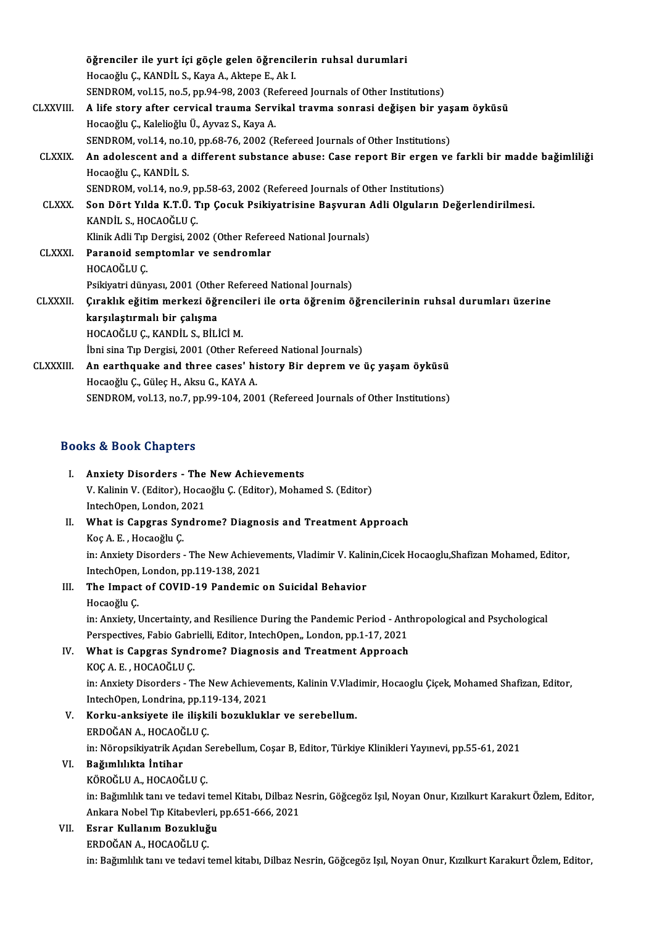|                 | öğrenciler ile yurt içi göçle gelen öğrencilerin ruhsal durumlari                                    |
|-----------------|------------------------------------------------------------------------------------------------------|
|                 | Hocaoğlu Ç., KANDİL S., Kaya A., Aktepe E., Ak I.                                                    |
|                 | SENDROM, vol.15, no.5, pp.94-98, 2003 (Refereed Journals of Other Institutions)                      |
| <b>CLXXVIII</b> | A life story after cervical trauma Servikal travma sonrasi değişen bir yaşam öyküsü                  |
|                 | Hocaoğlu Ç., Kalelioğlu Ü., Ayvaz S., Kaya A.                                                        |
|                 | SENDROM, vol.14, no.10, pp.68-76, 2002 (Refereed Journals of Other Institutions)                     |
| <b>CLXXIX</b>   | An adolescent and a different substance abuse: Case report Bir ergen ve farkli bir madde bağimliliği |
|                 | Hocaoğlu Ç., KANDİL S.                                                                               |
|                 | SENDROM, vol.14, no.9, pp.58-63, 2002 (Refereed Journals of Other Institutions)                      |
| <b>CLXXX</b>    | Son Dört Yılda K.T.Ü. Tıp Çocuk Psikiyatrisine Başvuran Adli Olguların Değerlendirilmesi.            |
|                 | KANDİL S., HOCAOĞLU Ç.                                                                               |
|                 | Klinik Adli Tıp Dergisi, 2002 (Other Refereed National Journals)                                     |
| <b>CLXXXI</b>   | Paranoid semptomlar ve sendromlar                                                                    |
|                 | HOCAOĞLU C                                                                                           |
|                 | Psikiyatri dünyası, 2001 (Other Refereed National Journals)                                          |
| <b>CLXXXII</b>  | Çıraklık eğitim merkezi öğrencileri ile orta öğrenim öğrencilerinin ruhsal durumları üzerine         |
|                 | karşılaştırmalı bir çalışma                                                                          |
|                 | HOCAOĞLU Ç., KANDİL S., BİLİCİ M.                                                                    |
|                 | İbni sina Tıp Dergisi, 2001 (Other Refereed National Journals)                                       |
| <b>CLXXXIII</b> | An earthquake and three cases' history Bir deprem ve üç yaşam öyküsü                                 |
|                 | Hocaoğlu Ç., Güleç H., Aksu G., KAYA A.                                                              |
|                 | SENDROM, vol.13, no.7, pp.99-104, 2001 (Refereed Journals of Other Institutions)                     |
|                 | <b>Books &amp; Book Chapters</b>                                                                     |

| <b>Books &amp; Book Chapters</b> |                                                                                                                |
|----------------------------------|----------------------------------------------------------------------------------------------------------------|
| П.                               | <b>Anxiety Disorders - The New Achievements</b>                                                                |
|                                  | V. Kalinin V. (Editor), Hocaoğlu C. (Editor), Mohamed S. (Editor)                                              |
|                                  | IntechOpen, London, 2021                                                                                       |
| Н.                               | What is Capgras Syndrome? Diagnosis and Treatment Approach                                                     |
|                                  | $V_{\alpha\alpha}$ $\Lambda$ $\Gamma$ $\Gamma$ $\Gamma$ $\alpha$ $\alpha$ $\alpha$ $\lambda$ $\alpha$ $\alpha$ |

IntechOpen, London, 2<br>What is Capgras Syl<br>Koç A. E. , Hocaoğlu Ç.<br>in: Anviety Disordore What is Capgras Syndrome? Diagnosis and Treatment Approach<br>Koç A. E. , Hocaoğlu Ç.<br>in: Anxiety Disorders - The New Achievements, Vladimir V. Kalinin,Cicek Hocaoglu,Shafizan Mohamed, Editor,<br>InterbOpen, Lenden, np.119,139,2 Koç A. E. , Hocaoğlu Ç.<br>in: Anxiety Disorders - The New Achieve<br>IntechOpen, London, pp.119-138, 2021<br>The Impest of COVID 19 Pandemia IntechOpen, London, pp.119-138, 2021<br>III. The Impact of COVID-19 Pandemic on Suicidal Behavior

# Hocaoğlu Ç

The Impact of COVID-19 Pandemic on Suicidal Behavior<br>Hocaoğlu Ç.<br>in: Anxiety, Uncertainty, and Resilience During the Pandemic Period - Anthropological and Psychological<br>Perspectives, Eabio Cabrielli, Editor, IntechOpen, Lo Hocaoğlu Ç.<br>in: Anxiety, Uncertainty, and Resilience During the Pandemic Period - Ant<br>Perspectives, Fabio Gabrielli, Editor, IntechOpen,, London, pp.1-17, 2021<br>What is Congres Syndrome? Diagnosis and Treatment Annreach in: Anxiety, Uncertainty, and Resilience During the Pandemic Period - Ant<br>Perspectives, Fabio Gabrielli, Editor, IntechOpen,, London, pp.1-17, 2021<br>IV. What is Capgras Syndrome? Diagnosis and Treatment Approach<br>KOCA E HOCA

Perspectives, Fabio Gabrielli, Editor, IntechOpen,, London, pp.1-17, 2021<br>IV. What is Capgras Syndrome? Diagnosis and Treatment Approach<br>KOÇ A. E., HOCAOĞLU Ç.

What is Capgras Syndrome? Diagnosis and Treatment Approach<br>KOÇ A. E. , HOCAOĞLU Ç.<br>in: Anxiety Disorders - The New Achievements, Kalinin V.Vladimir, Hocaoglu Çiçek, Mohamed Shafizan, Editor,<br>IntechOpen, Londrina, nn 119 12 KOÇ A. E. , HOCAOĞLU Ç.<br>in: Anxiety Disorders - The New Achieven<br>IntechOpen, Londrina, pp.119-134, 2021<br>Korku, anksiyata ile ilişkili boruklukl in: Anxiety Disorders - The New Achievements, Kalinin V.Vlad<br>IntechOpen, Londrina, pp.119-134, 2021<br>V. Korku-anksiyete ile ilişkili bozukluklar ve serebellum.<br>EPDOČAN A. HOCAOČIJI.C

IntechOpen, Londrina, pp.11<br>**Korku-anksiyete ile ilişki**<br>ERDOĞAN A., HOCAOĞLU Ç.<br>in: Nöropsikiyetrik Asıdan S Korku-anksiyete ile ilişkili bozukluklar ve serebellum.<br>ERDOĞAN A., HOCAOĞLU Ç.<br>in: Nöropsikiyatrik Açıdan Serebellum, Coşar B, Editor, Türkiye Klinikleri Yayınevi, pp.55-61, 2021<br>Boğumlılıkta İntibar ERDOĞAN A., HOCAOĞLU Ç.<br>in: Nöropsikiyatrik Açıdan S.<br>VI. Bağımlılıkta İntihar<br>KÖROĞLU A., HOCAOĞLU Ç.

# in: Nöropsikiyatrik Açıdan S<br><mark>Bağımlılıkta İntihar</mark><br>KÖROĞLU A., HOCAOĞLU Ç.<br>in: Bağımlılık tan ve tedavi

in: Bağımlılık tanı ve tedavi temel Kitabı, Dilbaz Nesrin, Göğcegöz Işıl, Noyan Onur, Kızılkurt Karakurt Özlem, Editor, Ankara Nobel Tıp Kitabevleri, pp.651-666, 2021

## VII. Esrar Kullanım Bozukluğu

ERDOĞAN A., HOCAOĞLU Ç.

in: Bağımlılık tanı ve tedavi temel kitabı, Dilbaz Nesrin, Göğcegöz Işıl, Noyan Onur, Kızılkurt Karakurt Özlem, Editor,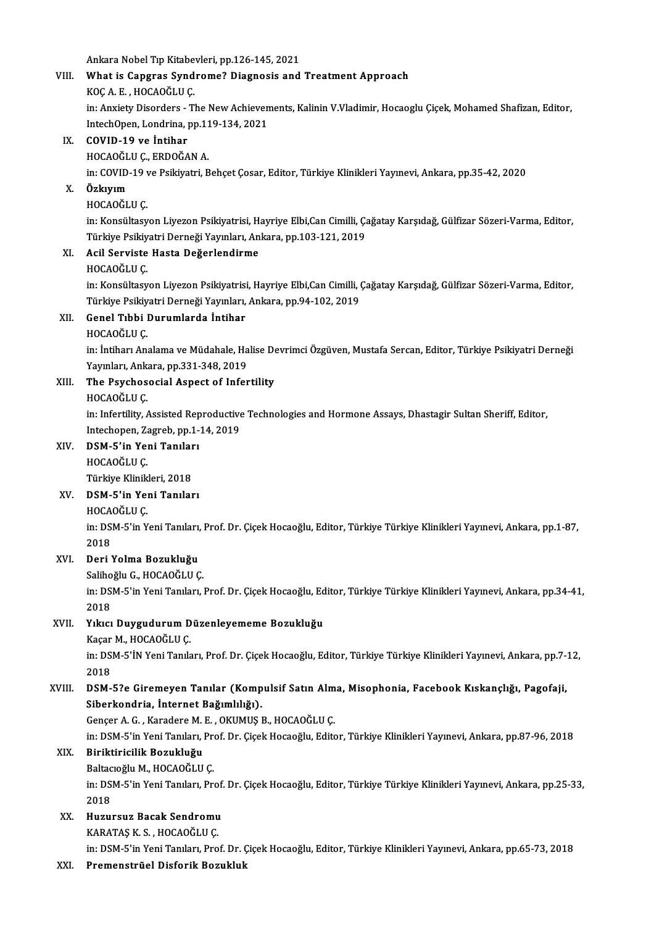Ankara Nobel Tıp Kitabevleri, pp.126-145, 2021<br>What is Congres Sundroma? Diagnosis and

# VIII. What is Capgras Syndrome? Diagnosis and Treatment Approach<br>KOC A. E., HOCAOGLU C. Ankara Nobel Tıp Kitabe<br>What is Capgras Synd<br>KOÇ A. E. , HOCAOĞLU Ç.<br>in: Anviety Disorders

What is Capgras Syndrome? Diagnosis and Treatment Approach<br>KOÇ A. E. , HOCAOĞLU Ç.<br>in: Anxiety Disorders - The New Achievements, Kalinin V.Vladimir, Hocaoglu Çiçek, Mohamed Shafizan, Editor,<br>IntechOpen, Londrine, nn 110 12 KOÇ A. E. , HOCAOĞLU Ç.<br>in: Anxiety Disorders - The New Achieven<br>IntechOpen, Londrina, pp.119-134, 2021<br>COVID 19 ve İntibar IntechOpen, Londrina, pp.119-134, 2021

## IX. COVID-19 ve İntihar<br>HOCAOĞLU Ç., ERDOĞAN A.

in: COVID-19 ve Psikiyatri, Behçet Çosar, Editor, Türkiye Klinikleri Yayınevi, Ankara, pp.35-42, 2020

### X. Özkıyım

### HOCAOĞLU<sub>C</sub>

**Özkıyım**<br>HOCAOĞLU Ç.<br>in: Konsültasyon Liyezon Psikiyatrisi, Hayriye Elbi,Can Cimilli, Çağatay Karşıdağ, Gülfizar Sözeri-Varma, Editor,<br>Türkiye Psikiyatri Derneği Yayınları, Ankara, np.193,131,2019 HOCAOĞLU Ç.<br>in: Konsültasyon Liyezon Psikiyatrisi, Hayriye Elbi,Can Cimilli, Ç.<br>Türkiye Psikiyatri Derneği Yayınları, Ankara, pp.103-121, 2019<br>Açil Serviste Hasta Değerlendirme in: Konsültasyon Liyezon Psikiyatrisi, H.<br>Türkiye Psikiyatri Derneği Yayınları, An<br>XI. Acil Serviste Hasta Değerlendirme Türkiye Psikiy<br>Acil Ser<mark>viste</mark><br>HOCAOĞLU Ç.<br>in:*V*onsültesy

Acil Serviste Hasta Değerlendirme<br>HOCAOĞLU Ç.<br>in: Konsültasyon Liyezon Psikiyatrisi, Hayriye Elbi,Can Cimilli, Çağatay Karşıdağ, Gülfizar Sözeri-Varma, Editor,<br>Türkiye Psikiyatri Derneği Yayınları, Ankara, np.94,102,2019 HOCAOĞLU Ç.<br>in: Konsültasyon Liyezon Psikiyatrisi, Hayriye Elbi,Can Cimilli, (<br>Türkiye Psikiyatri Derneği Yayınları, Ankara, pp.94-102, 2019<br>Conel Tibbi Durumlarda İntiber Türkiye Psikiyatri Derneği Yayınları, Ankara, pp.94-102, 2019

## XII. Genel Tıbbi Durumlarda İntihar<br>HOCAOĞLU C.

Genel Tıbbi Durumlarda İntihar<br>HOCAOĞLU Ç.<br>in: İntiharı Analama ve Müdahale, Halise Devrimci Özgüven, Mustafa Sercan, Editor, Türkiye Psikiyatri Derneği<br>Yayınları, Ankara, np.221,248,2019 HOCAOĞLU Ç.<br>in: İntiharı Analama ve Müdahale, Ha<br>Yayınları, Ankara, pp.331-348, 2019<br>The Bayshososial, Aspest of Infor Yayınları, Ankara, pp.331-348, 2019

## XIII. The Psychosocial Aspect of Infertility<br>HOCAOĞLU C.

The Psychosocial Aspect of Infertility<br>HOCAOĞLU Ç.<br>in: Infertility, Assisted Reproductive Technologies and Hormone Assays, Dhastagir Sultan Sheriff, Editor,<br>Intechapen, Zagreb, np.1.14, 2019 HOCAOĞLU Ç.<br>in: Infertility, Assisted Reproductive<br>Intechopen, Zagreb, pp.1-14, 2019<br>DSM 5'in Veni Tapıları in: Infertility, Assisted Rep<br>Intechopen, Zagreb, pp.1-<br>XIV. DSM-5'in Yeni Tanıları<br>HOCAQČI ILC Intechopen, Zagreb, pp.1-14, 2019<br>DSM-5'in Yeni Tanıları<br>HOCAOĞLU Ç.<br>Türkive Klinikleri. 2018

DSM-5'in Yeni Tanılar<br>HOCAOĞLU Ç.<br>Türkiye Klinikleri, 2018<br>DSM E'in Yoni Tanılar

### XV. DSM-5'in Yeni Tanıları

HOCAOĞLUÇ.

DSM-5'in Yeni Tanıları<br>HOCAOĞLU Ç.<br>in: DSM-5'in Yeni Tanıları, Prof. Dr. Çiçek Hocaoğlu, Editor, Türkiye Türkiye Klinikleri Yayınevi, Ankara, pp.1-87,<br>2018 HOCA<br>in: DS<br>2018<br>Deri N XVI. Deri Yolma Bozukluğu

Salihoğlu G., HOCAOĞLU Ç.

Deri Yolma Bozukluğu<br>Salihoğlu G., HOCAOĞLU Ç.<br>in: DSM-5'in Yeni Tanıları, Prof. Dr. Çiçek Hocaoğlu, Editor, Türkiye Türkiye Klinikleri Yayınevi, Ankara, pp.34-41, Saliho<br>in: DS<br>2018<br>Viker in: DSM-5'in Yeni Tanıları, Prof. Dr. Çiçek Hocaoğlu, Ed<br>2018<br>XVII. Yıkıcı Duygudurum Düzenleyememe Bozukluğu<br><sup>Vocar M.</sup> HOCAOĞLU.C

# 2018<br>XVII. Yıkıcı Duygudurum Düzenleyememe Bozukluğu<br>Kaçar M., HOCAOĞLU Ç.

Yıkıcı Duygudurum Düzenleyememe Bozukluğu<br>Kaçar M., HOCAOĞLU Ç.<br>in: DSM-5'İN Yeni Tanıları, Prof. Dr. Çiçek Hocaoğlu, Editor, Türkiye Türkiye Klinikleri Yayınevi, Ankara, pp.7-12,<br>2018 Kaçar<br>in: DS<br>2018<br>DSM in: DSM-5'İN Yeni Tanıları, Prof. Dr. Çiçek Hocaoğlu, Editor, Türkiye Türkiye Klinikleri Yayınevi, Ankara, pp.7-<br>2018<br>XVIII. DSM-5?e Giremeyen Tanılar (Kompulsif Satın Alma, Misophonia, Facebook Kıskançlığı, Pagofaji,<br>Siha

# 2018<br>DSM-5?e Giremeyen Tanılar (Kompulsif Satın Alm<br>Siberkondria, İnternet Bağımlılığı).<br>Gencer A. G., Karadere M. E., OKUMUS B., HOCAOĞLU C. XVIII. DSM-5?e Giremeyen Tanılar (Kompulsif Satın Alma, Misophonia, Facebook Kıskançlığı, Pagofaji,

Siberkondria, İnternet Bağımlılığı).<br>Gençer A. G. , Karadere M. E. , OKUMUŞ B., HOCAOĞLU Ç.<br>in: DSM-5'in Yeni Tanıları, Prof. Dr. Çiçek Hocaoğlu, Editor, Türkiye Klinikleri Yayınevi, Ankara, pp.87-96, 2018<br>Biniktinisilik B

# Gençer A. G. , Karadere M. I<br>in: DSM-5'in Yeni Tanıları, I<br>XIX. Biriktiricilik Bozukluğu<br>Boltagağlu M. HOCAQĞLU

in: DSM-5'in Yeni Tanıları, Pre<br>Biriktiricilik Bozukluğu<br>Baltacıoğlu M., HOCAOĞLU Ç.<br>in: DSM E'in Yoni Tanıları, Pr Biriktiricilik Bozukluğu<br>Baltacıoğlu M., HOCAOĞLU Ç.<br>in: DSM-5'in Yeni Tanıları, Prof. Dr. Çiçek Hocaoğlu, Editor, Türkiye Türkiye Klinikleri Yayınevi, Ankara, pp.25-33,<br>2018 Baltacioğlu M, HOCAOĞLU Ç. in: DSM-5'in Yeni Tanıları, Prof.<br>2018<br>XX. Huzursuz Bacak Sendromu<br>KARATAS K.S. HOCAQČIJI.C

# 2018<br>Huzursuz Bacak Sendromu<br>KARATAŞ K. S. , HOCAOĞLU Ç.<br>in: DSM E'in Yoni Tanıları, Pro

KARATAŞ K. S. , HOCAOĞLU Ç.<br>in: DSM-5'in Yeni Tanıları, Prof. Dr. Çiçek Hocaoğlu, Editor, Türkiye Klinikleri Yayınevi, Ankara, pp.65-73, 2018

### XXI. Premenstrüel Disforik Bozukluk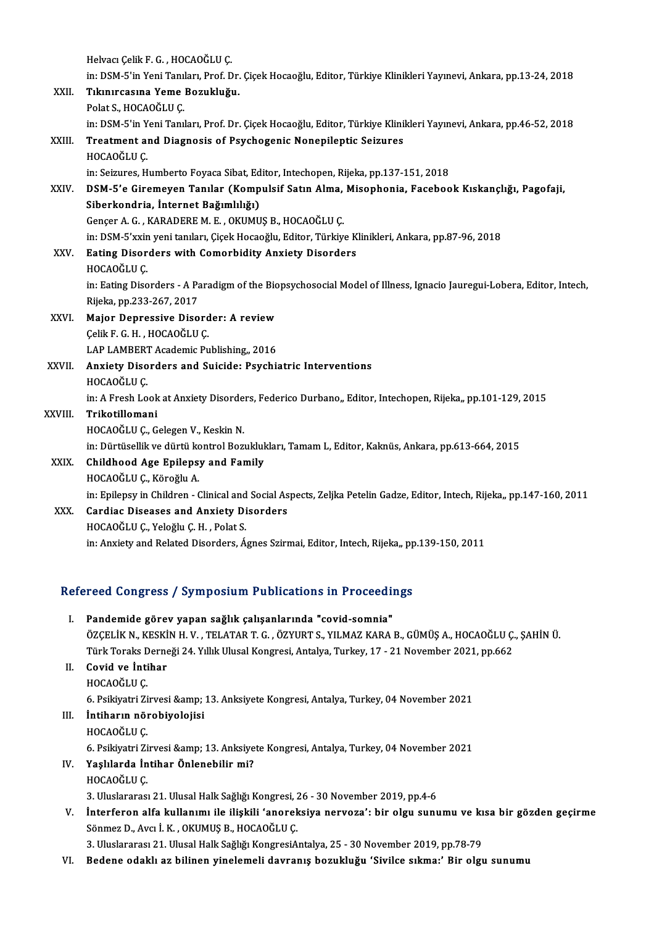Helvacı Çelik F. G., HOCAOĞLU Ç. Helvacı Çelik F. G. , HOCAOĞLU Ç.<br>in: DSM-5'in Yeni Tanıları, Prof. Dr. Çiçek Hocaoğlu, Editor, Türkiye Klinikleri Yayınevi, Ankara, pp.13-24, 2018<br>Tılununsasına Yeme Berukluğu Helvacı Çelik F. G. , HOCAOĞLU Ç.<br>in: DSM-5'in Yeni Tanıları, Prof. Dr.<br>XXII. Tıkınırcasına Yeme Bozukluğu.<br>Pelst S. HOCAOĞLU C in: DSM-5'in Yeni Tanıl<br><mark>Tıkınırcasına Yeme</mark><br>Polat S., HOCAOĞLU Ç.<br>in: DSM E'in Yoni Tanıl Tıkınırcasına Yeme Bozukluğu.<br>Polat S., HOCAOĞLU Ç.<br>in: DSM-5'in Yeni Tanıları, Prof. Dr. Çiçek Hocaoğlu, Editor, Türkiye Klinikleri Yayınevi, Ankara, pp.46-52, 2018<br>Treatment and Diagnesis of Psychogenis Nonenilantis Seig Polat S., HOCAOĞLU Ç.<br>in: DSM-5'in Yeni Tanıları, Prof. Dr. Çiçek Hocaoğlu, Editor, Türkiye Klini<br>XXIII. Treatment and Diagnosis of Psychogenic Nonepileptic Seizures<br>HOCAOĞLU C in: DSM-5'in Y<br><mark>Treatment a</mark><br>HOCAOĞLU Ç.<br>in: Saizures, H Treatment and Diagnosis of Psychogenic Nonepileptic Seizures<br>HOCAOĞLU Ç.<br>in: Seizures, Humberto Foyaca Sibat, Editor, Intechopen, Rijeka, pp.137-151, 2018 HOCAOĞLU Ç.<br>in: Seizures, Humberto Foyaca Sibat, Editor, Intechopen, Rijeka, pp.137-151, 2018<br>XXIV. DSM-5'e Giremeyen Tanılar (Kompulsif Satın Alma, Misophonia, Facebook Kıskançlığı, Pagofaji,<br>Siberkendria, İnternet Ba in: Seizures, Humberto Foyaca Sibat, Ed<br>DSM-5'e Giremeyen Tanılar (Komp<br>Siberkondria, İnternet Bağımlılığı)<br>Conser A.C., KARADEREM E. OKUMU DSM-5'e Giremeyen Tanılar (Kompulsif Satın Alma,<br>Siberkondria, İnternet Bağımlılığı)<br>Gençer A. G. , KARADERE M. E. , OKUMUŞ B., HOCAOĞLU Ç.<br>in: DSM 5'avin yoni tanıları Gisek Hosaoğlu, Editor Türkiy Siberkondria, İnternet Bağımlılığı)<br>Gençer A. G. , KARADERE M. E. , OKUMUŞ B., HOCAOĞLU Ç.<br>in: DSM-5'xxin yeni tanıları, Çiçek Hocaoğlu, Editor, Türkiye Klinikleri, Ankara, pp.87-96, 2018 Gençer A. G. , KARADERE M. E. , OKUMUŞ B., HOCAOĞLU Ç.<br>in: DSM-5'xxin yeni tanıları, Çiçek Hocaoğlu, Editor, Türkiye K<br>XXV. Eating Disorders with Comorbidity Anxiety Disorders<br>HOCAOĞLU C in: DSM-5'xxin<br><mark>Eating Disor</mark><br>HOCAOĞLU Ç.<br>in: Eating Diso Eating Disorders with Comorbidity Anxiety Disorders<br>HOCAOĞLU Ç.<br>in: Eating Disorders - A Paradigm of the Biopsychosocial Model of Illness, Ignacio Jauregui-Lobera, Editor, Intech,<br>Pijoka pp.222.267.2017 HOCAOĞLU Ç.<br>in: Eating Disorders - A Pa<br>Rijeka, pp.233-267, 2017<br>Maior Donressive Diso in: Eating Disorders - A Paradigm of the Bio<br>Rijeka, pp.233-267, 2017<br>XXVI. Major Depressive Disorder: A review Rijeka, pp.233-267, 2017<br>Major Depressive Disord<br>Çelik F. G. H. , HOCAOĞLU Ç.<br>LAR LAMPERT Acedemis Bu Çelik F. G. H., HOCAOĞLU Ç.<br>LAP LAMBERT Academic Publishing,, 2016 Celik F. G. H. , HOCAOĞLU C.<br>LAP LAMBERT Academic Publishing,, 2016<br>XXVII. Anxiety Disorders and Suicide: Psychiatric Interventions<br>HOCAOĞLU C LAP LAMBERT<br>**Anxiety Diso<br>HOCAOĞLU Ç.**<br>in: A Erech Lo HOCAOĞLU Ç.<br>in: A Fresh Look at Anxiety Disorders, Federico Durbano,, Editor, Intechopen, Rijeka,, pp.101-129, 2015 XXVIII. Trikotillomani HOCAOĞLUÇ, Gelegen V., Keskin N. Trikotillomani<br>HOCAOĞLU Ç., Gelegen V., Keskin N.<br>in: Dürtüsellik ve dürtü kontrol Bozuklukları, Tamam L, Editor, Kaknüs, Ankara, pp.613-664, 2015<br>Childhood, Age Eniloney and Eamily. HOCAOĞLU Ç., Gelegen V., Keskin N.<br>in: Dürtüsellik ve dürtü kontrol Bozukluk<br>XXIX. Childhood Age Epilepsy and Family<br>HOCAOĞLU C. Köroğlu A in: Dürtüsellik ve dürtü ko<br><mark>Childhood Age Epileps</mark><br>HOCAOĞLU Ç., Köroğlu A.<br>in: Epilopsu in Children Childhood Age Epilepsy and Family<br>HOCAOĞLU Ç., Köroğlu A.<br>in: Epilepsy in Children - Clinical and Social Aspects, Zeljka Petelin Gadze, Editor, Intech, Rijeka,, pp.147-160, 2011 HOCAOĞLU Ç., Köroğlu A.<br>in: Epilepsy in Children - Clinical and Social As<br>XXX. Cardiac Diseases and Anxiety Disorders<br>HOCAOĞLU G. Valağlu G. H., Bolat S. in: Epilepsy in Children - Clinical and<br>Cardiac Diseases and Anxiety Di<br>HOCAOĞLUÇ., YeloğluÇ.H., Polat S. HOCAOĞLU Ç., Yeloğlu Ç. H. , Polat S.<br>in: Anxiety and Related Disorders, Ágnes Szirmai, Editor, Intech, Rijeka,, pp.139-150, 2011

# m: Anxiety and Related Disorders, Agnes Szirmal, Editor, Intecn, Kijeka,, pp<br>Refereed Congress / Symposium Publications in Proceedings

| Refereed Congress / Symposium Publications in Proceedings |                                                                                                         |  |
|-----------------------------------------------------------|---------------------------------------------------------------------------------------------------------|--|
| L                                                         | Pandemide görev yapan sağlık çalışanlarında "covid-somnia"                                              |  |
|                                                           | ÖZÇELİK N., KESKİN H.V., TELATAR T.G., ÖZYURT S., YILMAZ KARA B., GÜMÜŞ A., HOCAOĞLU Ç., ŞAHİN Ü.       |  |
|                                                           | Türk Toraks Derneği 24. Yıllık Ulusal Kongresi, Antalya, Turkey, 17 - 21 November 2021, pp.662          |  |
| Н.                                                        | Covid ve İntihar                                                                                        |  |
|                                                           | HOCAOĞLU Ç                                                                                              |  |
|                                                           | 6. Psikiyatri Zirvesi & 13. Anksiyete Kongresi, Antalya, Turkey, 04 November 2021                       |  |
| Ш.                                                        | İntiharın nörobiyolojisi                                                                                |  |
|                                                           | HOCAOĞLU Ç                                                                                              |  |
|                                                           | 6. Psikiyatri Zirvesi & 13. Anksiyete Kongresi, Antalya, Turkey, 04 November 2021                       |  |
| IV.                                                       | Yaşlılarda İntihar Önlenebilir mi?                                                                      |  |
|                                                           | HOCAOĞLU Ç                                                                                              |  |
|                                                           | 3. Uluslararası 21. Ulusal Halk Sağlığı Kongresi, 26 - 30 November 2019, pp.4-6                         |  |
| V.                                                        | Interferon alfa kullanımı ile ilişkili 'anoreksiya nervoza': bir olgu sunumu ve kısa bir gözden geçirme |  |
|                                                           | Sönmez D., Avcı İ. K., OKUMUŞ B., HOCAOĞLU Ç.                                                           |  |
|                                                           | 3. Uluslararası 21. Ulusal Halk Sağlığı KongresiAntalya, 25 - 30 November 2019, pp.78-79                |  |

VI. Bedene odaklı az bilinen yinelemeli davranış bozukluğu 'Sivilce sıkma:' Bir olgu sunumu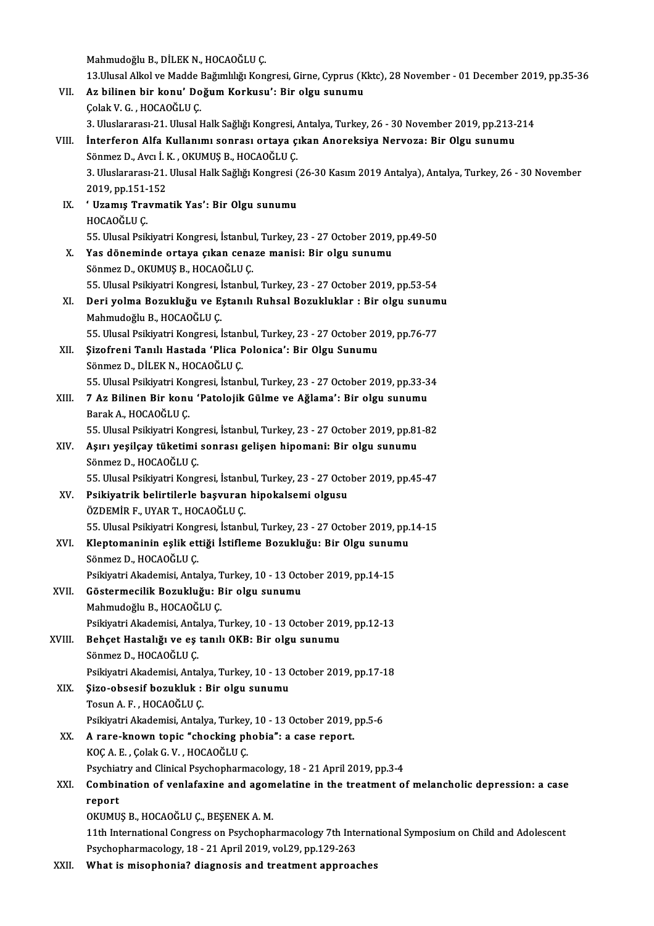Mahmudoğlu B., DİLEK N., HOCAOĞLU Ç.

Mahmudoğlu B., DİLEK N., HOCAOĞLU Ç.<br>13.Ulusal Alkol ve Madde Bağımlılığı Kongresi, Girne, Cyprus (Kktc), 28 November - 01 December 2019, pp.35-36<br>Az bilinen bin konu' Değum Konkusu': Bin elsu sunumu Mahmudoğlu B., DİLEK N., HOCAOĞLU Ç.<br>13.Ulusal Alkol ve Madde Bağımlılığı Kongresi, Girne, Cyprus (K<br>VII. Az bilinen bir konu' Doğum Korkusu': Bir olgu sunumu<br>Celak V. G., HOCAOĞLU C 13.Ulusal Alkol ve Madde l<br>Az bilinen bir konu' Do<br>Çolak V. G. , HOCAOĞLU Ç.<br>2. Huslanarası 21. Husal b Az bilinen bir konu' Doğum Korkusu': Bir olgu sunumu<br>Çolak V. G. , HOCAOĞLU Ç.<br>3. Uluslararası-21. Ulusal Halk Sağlığı Kongresi, Antalya, Turkey, 26 - 30 November 2019, pp.213-214<br>İnterferen Alfa Kullanımı senrası erteye s Çolak V. G. , HOCAOĞLU Ç.<br>3. Vluslararası-21. Vlusal Halk Sağlığı Kongresi, Antalya, Turkey, 26 - 30 November 2019, pp.213<br>13. VIII. İnterferon Alfa Kullanımı sonrası ortaya çıkan Anoreksiya Nervoza: Bir Olgu sunumu 3. Uluslararası-21. Ulusal Halk Sağlığı Kongresi, *1*<br>İnterferon Alfa Kullanımı sonrası ortaya ç.<br>Sönmez D., Avcı İ. K. , OKUMUŞ B., HOCAOĞLU Ç.<br><sup>2. Hluslararası 21. Ulusal Halk Sağlığı Kongresi (</sup> 3. Uluslararası-21. Ulusal Halk Sağlığı Kongresi (26-30 Kasım 2019 Antalya), Antalya, Turkey, 26 - 30 November<br>2019. pp.151-152 Sönmez D., Avcı İ. K., OKUMUŞ B., HOCAOĞLU Ç. 3. Uluslararası-21. Ulusal Halk Sağlığı Kongresi (2019, pp.151-152<br>IX. ' Uzamış Travmatik Yas': Bir Olgu sunumu<br>HOCAOĞLU C 2019, pp.151-<br>\* **Uzamış Tra**<br>HOCAOĞLU Ç.<br>EE Ulucal Psili 55.UlusalPsikiyatriKongresi, İstanbul,Turkey,23 -27October 2019,pp.49-50 X. Yas döneminde ortaya çıkan cenazemanisi: Bir olgu sunumu Sönmez D., OKUMUŞ B., HOCAOĞLUÇ. 55. Ulusal Psikiyatri Kongresi, İstanbul, Turkey, 23 - 27 October 2019, pp.53-54 Sönmez D., OKUMUŞ B., HOCAOĞLU Ç.<br>55. Ulusal Psikiyatri Kongresi, İstanbul, Turkey, 23 - 27 October 2019, pp.53-54<br>XI. Deri yolma Bozukluğu ve Eştanılı Ruhsal Bozukluklar : Bir olgu sunumu<br>Mahmudoğlu B. HOCAOĞLU C 55. Ulusal Psikiyatri Kongresi, İ<br>Deri yolma Bozukluğu ve E.<br>Mahmudoğlu B., HOCAOĞLU Ç.<br>EE Ulusal Psikiyatri Kongresi Deri yolma Bozukluğu ve Eştanılı Ruhsal Bozukluklar : Bir olgu sunum<br>Mahmudoğlu B., HOCAOĞLU Ç.<br>55. Ulusal Psikiyatri Kongresi, İstanbul, Turkey, 23 - 27 October 2019, pp.76-77<br>Sirofroni Tenul: Hostoda (Blisa Bolanisa), Bi Mahmudoğlu B., HOCAOĞLU Ç.<br>55. Ulusal Psikiyatri Kongresi, İstanbul, Turkey, 23 - 27 October 20<br>XII. 9izofreni Tanılı Hastada 'Plica Polonica': Bir Olgu Sunumu 55. Ulusal Psikiyatri Kongresi, İstanl<br>Şizofreni Tanılı Hastada 'Plica F<br>Sönmez D., DİLEK N., HOCAOĞLU Ç.<br>EE Hlusal Bsikiyatri Kongresi, İstanl Şizofreni Tanılı Hastada 'Plica Polonica': Bir Olgu Sunumu<br>Sönmez D., DİLEK N., HOCAOĞLU Ç.<br>55. Ulusal Psikiyatri Kongresi, İstanbul, Turkey, 23 - 27 October 2019, pp.33-34<br>7 Az Pilinon Bir konu 'Batalojik Gülma ve Ağlama' Sönmez D., DİLEK N., HOCAOĞLU Ç.<br>55. Ulusal Psikiyatri Kongresi, İstanbul, Turkey, 23 - 27 October 2019, pp.33-3<br>XIII. 7 Az Bilinen Bir konu 'Patolojik Gülme ve Ağlama': Bir olgu sunumu<br>Parak A. HOCAOĞLU C. 55. Ulusal Psikiyatri Kor<br>7 Az Bilinen Bir konu<br>Barak A., HOCAOĞLU Ç.<br>55. Ulusal Bsikiyatri Kor 7 Az Bilinen Bir konu 'Patolojik Gülme ve Ağlama': Bir olgu sunumu<br>Barak A., HOCAOĞLU Ç.<br>55. Ulusal Psikiyatri Kongresi, İstanbul, Turkey, 23 - 27 October 2019, pp.81-82<br>Asırı vesilsav tüketimi sonnası selisan binomani: Bi Barak A., HOCAOĞLU Ç.<br>55. Ulusal Psikiyatri Kongresi, İstanbul, Turkey, 23 - 27 October 2019, pp.81<br>XIV. Aşırı yeşilçay tüketimi sonrası gelişen hipomani: Bir olgu sunumu<br>Sönmer D. HOCAOĞLU C 55. Ulusal Psikiyatri Kong<br>**Aşırı yeşilçay tüketimi**<br>Sönmez D., HOCAOĞLU Ç.<br>EE Ulusal Bsikiyatri Kong 55. Happalpay tüketimi sonrası gelişen hipomani: Bir olgu sunumu<br>Sönmez D., HOCAOĞLU Ç.<br>55. Ulusal Psikiyatri Kongresi, İstanbul, Turkey, 23 - 27 October 2019, pp.45-47 XV. Psikiyatrik belirtilerle başvuran hipokalsemi olgusu ÖZDEMİRF.,UYART.,HOCAOĞLUÇ. Psikiyatrik belirtilerle başvuran hipokalsemi olgusu<br>ÖZDEMİR F., UYAR T., HOCAOĞLU Ç.<br>55. Ulusal Psikiyatri Kongresi, İstanbul, Turkey, 23 - 27 October 2019, pp.14-15<br>Klantamaninin qalik ettiği İstiflama Barukluğu, Bir Olg ÖZDEMİR F., UYAR T., HOCAOĞLU Ç.<br>55. Ulusal Psikiyatri Kongresi, İstanbul, Turkey, 23 - 27 October 2019, pp.<br>XVI. Kleptomaninin eşlik ettiği İstifleme Bozukluğu: Bir Olgu sunumu<br>Sönmer D. HOCAOĞLU C 55. Ulusal Psikiyatri Kong<br>Kleptomaninin eşlik et<br>Sönmez D., HOCAOĞLU Ç.<br>Psikiyatri Akademisi, Anta Kleptomaninin eşlik ettiği İstifleme Bozukluğu: Bir Olgu sunun<br>Sönmez D., HOCAOĞLU Ç.<br>Psikiyatri Akademisi, Antalya, Turkey, 10 - 13 October 2019, pp.14-15<br>Cöstermesilik Bosukluğu: Bir olgu sunumu Sönmez D., HOCAOĞLU Ç.<br>Psikiyatri Akademisi, Antalya, Turkey, 10 - 13 Oct<br>XVII. Göstermecilik Bozukluğu: Bir olgu sunumu<br>Mahmudoğlu B., HOCAOĞLU Ç. Psikiyatri Akademisi, Antalya, T<br>Göstermecilik Bozukluğu: B<br>Mahmudoğlu B., HOCAOĞLU Ç.<br>Psikiyatri Akademisi, Antalya T Göstermecilik Bozukluğu: Bir olgu sunumu<br>Mahmudoğlu B., HOCAOĞLU Ç.<br>Psikiyatri Akademisi, Antalya, Turkey, 10 - 13 October 2019, pp.12-13<br>Behset Hastalığı ve es tanılı OKB. Bir olsu sunumu Mahmudoğlu B., HOCAOĞLU Ç.<br>Psikiyatri Akademisi, Antalya, Turkey, 10 - 13 October 201<br>XVIII. Behçet Hastalığı ve eş tanılı OKB: Bir olgu sunumu<br>Sönmez D. HOCAOĞLU C Behçet Hastalığı ve eş tanılı OKB: Bir olgu sunumu<br>Sönmez D., HOCAOĞLU Ç. Behçet Hastalığı ve eş tanılı OKB: Bir olgu sunumu<br>Sönmez D., HOCAOĞLU Ç.<br>Psikiyatri Akademisi, Antalya, Turkey, 10 - 13 October 2019, pp.17-18<br>Siro, obsesif bozukluk : Bir olgu sunumu Sönmez D., HOCAOĞLU Ç.<br>Psikiyatri Akademisi, Antalya, Turkey, 10 - 13 (XIX. Sizo-obsesif bozukluk : Bir olgu sunumu Psikiyatri Akademisi, Antaly<br>**Şizo-obsesif bozukluk :**<br>Tosun A. F. , HOCAOĞLU Ç.<br>Psikiyatri Akademisi, Antalı Şizo-obsesif bozukluk : Bir olgu sunumu<br>Tosun A. F. , HOCAOĞLU Ç.<br>Psikiyatri Akademisi, Antalya, Turkey, 10 - 13 October 2019, pp.5-6<br>A rare known tonia "chocking phobia": a sase report Tosun A. F., HOCAOĞLU Ç.<br>Psikiyatri Akademisi, Antalya, Turkey, 10 - 13 October 2019, <br>XX. A rare-known topic "chocking phobia": a case report.<br>KOC A. E., Colak G. V., HOCAOĞLU C. Psikiyatri Akademisi, Antalya, Turkey<br>A rare-known topic "chocking pl<br>KOÇ A. E. , Çolak G. V. , HOCAOĞLU Ç.<br>Psyshistry and Clinisal Psyshanharm A rare-known topic "chocking phobia": a case report.<br>KOÇ A. E. , Çolak G. V. , HOCAOĞLU Ç.<br>Psychiatry and Clinical Psychopharmacology, 18 - 21 April 2019, pp.3-4<br>Combination of venlafevine and asemplatine in the treatment KOÇ A. E. , Çolak G. V. , HOCAOĞLU Ç.<br>Psychiatry and Clinical Psychopharmacology, 18 - 21 April 2019, pp.3-4<br>XXI. Combination of venlafaxine and agomelatine in the treatment of melancholic depression: a case<br>repert Psychia<br>Combir<br>report<br>OVIMII Combination of venlafaxine and agom<br>report<br>OKUMUŞ B., HOCAOĞLU Ç., BEŞENEK A. M.<br>11th International Congress on Baysbonhe report<br>OKUMUŞ B., HOCAOĞLU Ç., BEŞENEK A. M.<br>11th International Congress on Psychopharmacology 7th International Symposium on Child and Adolescent Psychopharmacology, 18 - 21 April 2019, vol.29, pp.129-263 XXII. What is misophonia? diagnosis and treatment approaches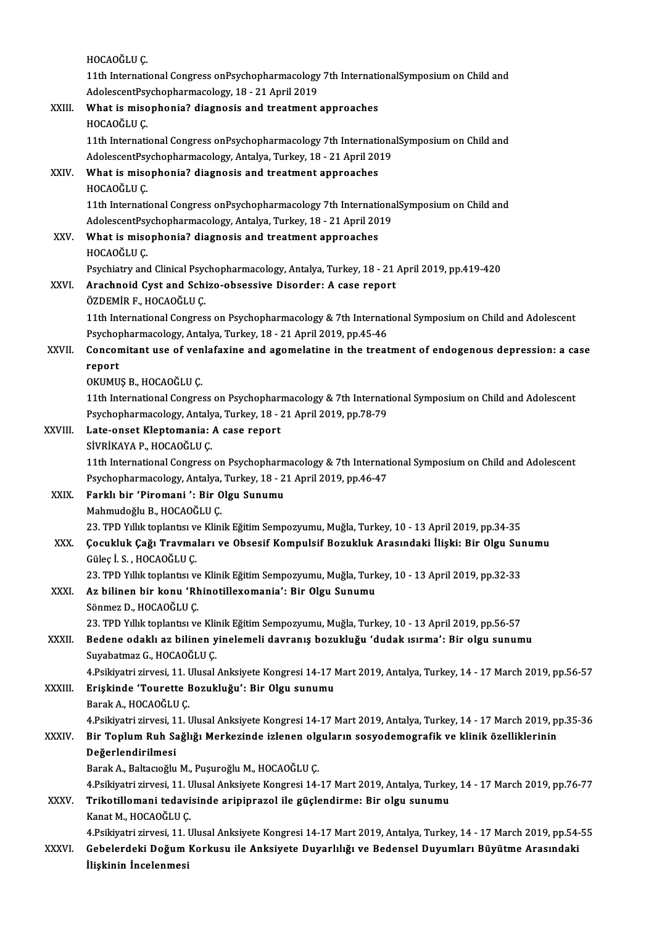|             | HOCAOĞLU Ç                                                                                                                                                                                    |
|-------------|-----------------------------------------------------------------------------------------------------------------------------------------------------------------------------------------------|
|             | 11th International Congress onPsychopharmacology 7th InternationalSymposium on Child and                                                                                                      |
|             | AdolescentPsychopharmacology, 18 - 21 April 2019                                                                                                                                              |
| XXIII.      | What is misophonia? diagnosis and treatment approaches<br>HOCAOĞLU Ç                                                                                                                          |
|             | 11th International Congress onPsychopharmacology 7th InternationalSymposium on Child and                                                                                                      |
|             | AdolescentPsychopharmacology, Antalya, Turkey, 18 - 21 April 2019                                                                                                                             |
| XXIV.       | What is misophonia? diagnosis and treatment approaches                                                                                                                                        |
|             | HOCAOĞLU Ç                                                                                                                                                                                    |
|             | 11th International Congress onPsychopharmacology 7th InternationalSymposium on Child and                                                                                                      |
|             | AdolescentPsychopharmacology, Antalya, Turkey, 18 - 21 April 2019                                                                                                                             |
| XXV.        | What is misophonia? diagnosis and treatment approaches                                                                                                                                        |
|             | HOCAOĞLU Ç                                                                                                                                                                                    |
|             | Psychiatry and Clinical Psychopharmacology, Antalya, Turkey, 18 - 21 April 2019, pp.419-420                                                                                                   |
| <b>XXVI</b> | Arachnoid Cyst and Schizo-obsessive Disorder: A case report                                                                                                                                   |
|             | ÖZDEMİR F., HOCAOĞLU Ç.                                                                                                                                                                       |
|             | 11th International Congress on Psychopharmacology & 7th International Symposium on Child and Adolescent                                                                                       |
|             | Psychopharmacology, Antalya, Turkey, 18 - 21 April 2019, pp.45-46                                                                                                                             |
| XXVII.      | Concomitant use of venlafaxine and agomelatine in the treatment of endogenous depression: a case<br>report                                                                                    |
|             | OKUMUŞ B., HOCAOĞLU Ç.                                                                                                                                                                        |
|             | 11th International Congress on Psychopharmacology & 7th International Symposium on Child and Adolescent                                                                                       |
|             | Psychopharmacology, Antalya, Turkey, 18 - 21 April 2019, pp.78-79                                                                                                                             |
| XXVIII.     | Late-onset Kleptomania: A case report                                                                                                                                                         |
|             | SİVRİKAYA P., HOCAOĞLU Ç.                                                                                                                                                                     |
|             | 11th International Congress on Psychopharmacology & 7th International Symposium on Child and Adolescent                                                                                       |
|             | Psychopharmacology, Antalya, Turkey, 18 - 21 April 2019, pp 46-47                                                                                                                             |
| XXIX.       | Farklı bir 'Piromani': Bir Olgu Sunumu                                                                                                                                                        |
|             | Mahmudoğlu B. HOCAOĞLU C.                                                                                                                                                                     |
|             | 23. TPD Yıllık toplantısı ve Klinik Eğitim Sempozyumu, Muğla, Turkey, 10 - 13 April 2019, pp.34-35                                                                                            |
| XXX.        | Çocukluk Çağı Travmaları ve Obsesif Kompulsif Bozukluk Arasındaki İlişki: Bir Olgu Sunumu<br>Güleç İ S., HOCAOĞLU Ç.                                                                          |
|             | 23. TPD Yıllık toplantısı ve Klinik Eğitim Sempozyumu, Muğla, Turkey, 10 - 13 April 2019, pp.32-33                                                                                            |
| XXXI.       | Az bilinen bir konu 'Rhinotillexomania': Bir Olgu Sunumu                                                                                                                                      |
|             | Sönmez D., HOCAOĞLU Ç.                                                                                                                                                                        |
|             | 23. TPD Yıllık toplantısı ve Klinik Eğitim Sempozyumu, Muğla, Turkey, 10 - 13 April 2019, pp.56-57                                                                                            |
| XXXII.      | Bedene odaklı az bilinen yinelemeli davranış bozukluğu 'dudak ısırma': Bir olgu sunumu                                                                                                        |
|             | Suyabatmaz G., HOCAOĞLU Ç.                                                                                                                                                                    |
|             | 4.Psikiyatri zirvesi, 11. Ulusal Anksiyete Kongresi 14-17 Mart 2019, Antalya, Turkey, 14 - 17 March 2019, pp.56-57                                                                            |
| XXXIII      | Erişkinde 'Tourette Bozukluğu': Bir Olgu sunumu                                                                                                                                               |
|             | Barak A, HOCAOĞLU Ç                                                                                                                                                                           |
|             | 4.Psikiyatri zirvesi, 11. Ulusal Anksiyete Kongresi 14-17 Mart 2019, Antalya, Turkey, 14 - 17 March 2019, pp.35-36                                                                            |
| XXXIV       | Bir Toplum Ruh Sağlığı Merkezinde izlenen olguların sosyodemografik ve klinik özelliklerinin                                                                                                  |
|             | Değerlendirilmesi                                                                                                                                                                             |
|             | Barak A., Baltacıoğlu M., Puşuroğlu M., HOCAOĞLU Ç.                                                                                                                                           |
|             | 4.Psikiyatri zirvesi, 11. Ulusal Anksiyete Kongresi 14-17 Mart 2019, Antalya, Turkey, 14 - 17 March 2019, pp.76-77<br>Trikotillomani tedavisinde aripiprazol ile güçlendirme: Bir olgu sunumu |
| XXXV        | Kanat M., HOCAOĞLU Ç.                                                                                                                                                                         |
|             | 4.Psikiyatri zirvesi, 11. Ulusal Anksiyete Kongresi 14-17 Mart 2019, Antalya, Turkey, 14 - 17 March 2019, pp.54-55                                                                            |
| XXXVI.      | Gebelerdeki Doğum Korkusu ile Anksiyete Duyarlılığı ve Bedensel Duyumları Büyütme Arasındaki                                                                                                  |
|             | İlişkinin İncelenmesi                                                                                                                                                                         |
|             |                                                                                                                                                                                               |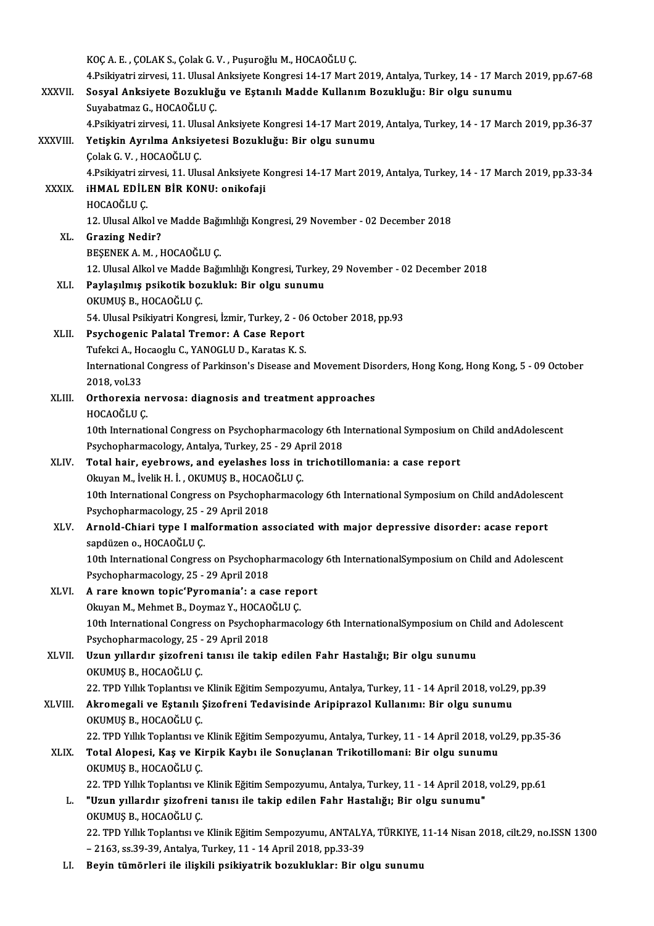|               | KOÇ A. E., ÇOLAK S., Çolak G. V., Puşuroğlu M., HOCAOĞLU Ç.<br>4.Psikiyatri zirvesi, 11. Ulusal Anksiyete Kongresi 14-17 Mart 2019, Antalya, Turkey, 14 - 17 March 2019, pp.67-68 |
|---------------|-----------------------------------------------------------------------------------------------------------------------------------------------------------------------------------|
| XXXVII.       | Sosyal Anksiyete Bozukluğu ve Eştanılı Madde Kullanım Bozukluğu: Bir olgu sunumu                                                                                                  |
|               | Suyabatmaz G., HOCAOĞLU Ç.                                                                                                                                                        |
|               | 4.Psikiyatri zirvesi, 11. Ulusal Anksiyete Kongresi 14-17 Mart 2019, Antalya, Turkey, 14 - 17 March 2019, pp.36-37                                                                |
| XXXVIII.      | Yetişkin Ayrılma Anksiyetesi Bozukluğu: Bir olgu sunumu                                                                                                                           |
|               | Çolak G.V., HOCAOĞLU Ç.                                                                                                                                                           |
|               | 4.Psikiyatri zirvesi, 11. Ulusal Anksiyete Kongresi 14-17 Mart 2019, Antalya, Turkey, 14 - 17 March 2019, pp.33-34                                                                |
| <b>XXXIX</b>  | <b>iHMAL EDİLEN BİR KONU: onikofaji</b>                                                                                                                                           |
|               | HOCAOĞLU Ç                                                                                                                                                                        |
|               | 12. Ulusal Alkol ve Madde Bağımlılığı Kongresi, 29 November - 02 December 2018                                                                                                    |
| XL.           | <b>Grazing Nedir?</b>                                                                                                                                                             |
|               | BESENEK A. M., HOCAOĞLU Ç.                                                                                                                                                        |
|               | 12. Ulusal Alkol ve Madde Bağımlılığı Kongresi, Turkey, 29 November - 02 December 2018                                                                                            |
| XLI.          | Paylaşılmış psikotik bozukluk: Bir olgu sunumu                                                                                                                                    |
|               | OKUMUŞ B, HOCAOĞLU Ç.                                                                                                                                                             |
|               | 54. Ulusal Psikiyatri Kongresi, İzmir, Turkey, 2 - 06 October 2018, pp.93                                                                                                         |
| XLII.         | Psychogenic Palatal Tremor: A Case Report                                                                                                                                         |
|               | Tufekci A., Hocaoglu C., YANOGLU D., Karatas K. S.                                                                                                                                |
|               | International Congress of Parkinson's Disease and Movement Disorders, Hong Kong, Hong Kong, 5 - 09 October                                                                        |
|               | 2018, vol 33                                                                                                                                                                      |
| XLIII.        | Orthorexia nervosa: diagnosis and treatment approaches                                                                                                                            |
|               | HOCAOĞLU Ç                                                                                                                                                                        |
|               | 10th International Congress on Psychopharmacology 6th International Symposium on Child andAdolescent                                                                              |
|               | Psychopharmacology, Antalya, Turkey, 25 - 29 April 2018                                                                                                                           |
| XLIV.         | Total hair, eyebrows, and eyelashes loss in trichotillomania: a case report                                                                                                       |
|               | Okuyan M., İvelik H. İ., OKUMUŞ B., HOCAOĞLU Ç.                                                                                                                                   |
|               | 10th International Congress on Psychopharmacology 6th International Symposium on Child andAdolescent<br>Psychopharmacology, 25 - 29 April 2018                                    |
| XLV.          | Arnold-Chiari type I malformation associated with major depressive disorder: acase report                                                                                         |
|               | sapdüzen o., HOCAOĞLU Ç.                                                                                                                                                          |
|               | 10th International Congress on Psychopharmacology 6th InternationalSymposium on Child and Adolescent                                                                              |
|               | Psychopharmacology, 25 - 29 April 2018                                                                                                                                            |
| XLVI.         | A rare known topic'Pyromania': a case report                                                                                                                                      |
|               | Okuyan M., Mehmet B., Doymaz Y., HOCAOĞLU Ç.                                                                                                                                      |
|               | 10th International Congress on Psychopharmacology 6th InternationalSymposium on Child and Adolescent                                                                              |
|               | Psychopharmacology, 25 - 29 April 2018                                                                                                                                            |
| XLVII.        | Uzun yıllardır şizofreni tanısı ile takip edilen Fahr Hastalığı; Bir olgu sunumu                                                                                                  |
|               | OKUMUŞ B., HOCAOĞLU Ç.                                                                                                                                                            |
|               | 22. TPD Yıllık Toplantısı ve Klinik Eğitim Sempozyumu, Antalya, Turkey, 11 - 14 April 2018, vol.29, pp.39                                                                         |
| <b>XLVIII</b> | Akromegali ve Eştanılı Şizofreni Tedavisinde Aripiprazol Kullanımı: Bir olgu sunumu                                                                                               |
|               | OKUMUŞ B., HOCAOĞLU Ç.                                                                                                                                                            |
|               | 22. TPD Yıllık Toplantısı ve Klinik Eğitim Sempozyumu, Antalya, Turkey, 11 - 14 April 2018, vol.29, pp.35-36                                                                      |
| XLIX.         | Total Alopesi, Kaş ve Kirpik Kaybı ile Sonuçlanan Trikotillomani: Bir olgu sunumu                                                                                                 |
|               | OKUMUŞ B., HOCAOĞLU Ç.                                                                                                                                                            |
|               | 22. TPD Yıllık Toplantısı ve Klinik Eğitim Sempozyumu, Antalya, Turkey, 11 - 14 April 2018, vol.29, pp.61                                                                         |
| L.            | "Uzun yıllardır şizofreni tanısı ile takip edilen Fahr Hastalığı; Bir olgu sunumu"                                                                                                |
|               | OKUMUȘ B., HOCAOĞLU C.                                                                                                                                                            |
|               | 22. TPD Yıllık Toplantısı ve Klinik Eğitim Sempozyumu, ANTALYA, TÜRKIYE, 11-14 Nisan 2018, cilt.29, no.ISSN 1300                                                                  |
|               | - 2163, ss 39-39, Antalya, Turkey, 11 - 14 April 2018, pp 33-39                                                                                                                   |
| LI.           | Beyin tümörleri ile ilişkili psikiyatrik bozukluklar: Bir olgu sunumu                                                                                                             |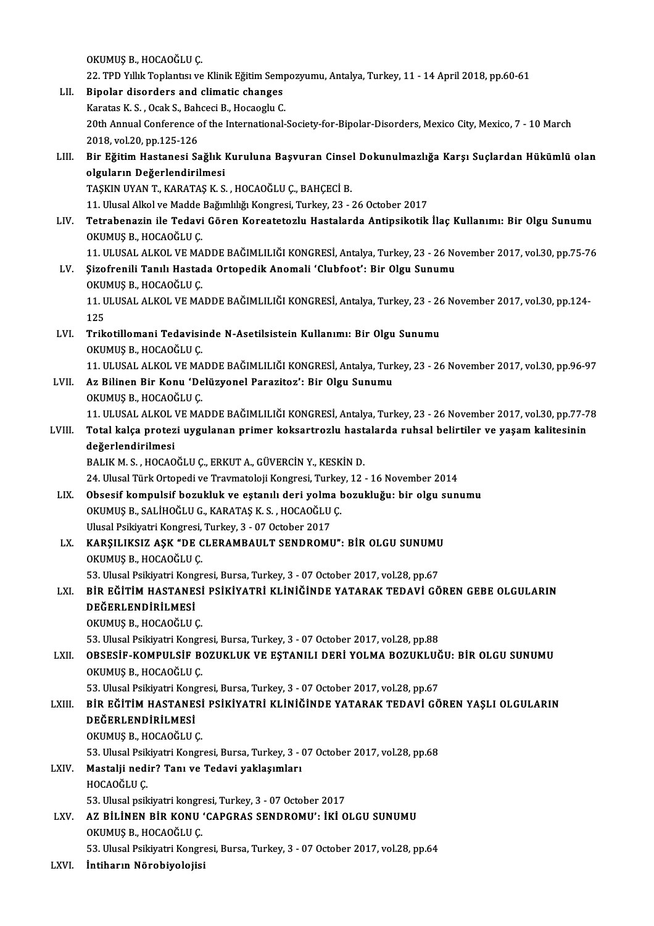OKUMUŞB.,HOCAOĞLUÇ.

- 0KUMUŞ B., HOCAOĞLU Ç.<br>22. TPD Yıllık Toplantısı ve Klinik Eğitim Sempozyumu, Antalya, Turkey, 11 14 April 2018, pp.60-61<br>Binolar disardara and elimetis shanges OKUMUŞ B., HOCAOĞLU Ç.<br>22. TPD Yıllık Toplantısı ve Klinik Eğitim Sem<br>LII. Bipolar disorders and climatic changes<br>Exantse K S. Osalı S. Bahassi B. Hasasslu G. 22. TPD Yıllık Toplantısı ve Klinik Eğitim Semp<br>Bipolar disorders and climatic changes<br>Karatas K. S. , Ocak S., Bahceci B., Hocaoglu C.<br>20th Annual Conference of the International. 20th Annual Conference of the International-Society-for-Bipolar-Disorders, Mexico City, Mexico, 7 - 10 March<br>20th Annual Conference of the International-Society-for-Bipolar-Disorders, Mexico City, Mexico, 7 - 10 March 2018,vol.20,pp.125-126 20th Annual Conference of the International-Society-for-Bipolar-Disorders, Mexico City, Mexico, 7 - 10 March<br>2018, vol.20, pp.125-126<br>LIII. Bir Eğitim Hastanesi Sağlık Kuruluna Başvuran Cinsel Dokunulmazlığa Karşı Suçlarda 2018, vol.20, pp.125-126<br>Bir Eğitim Hastanesi Sağlık I<br>olguların Değerlendirilmesi<br>TASKIN UVAN T. KARATAS K.S Bir Eğitim Hastanesi Sağlık Kuruluna Başvuran Cinse<br>olguların Değerlendirilmesi<br>TAŞKIN UYAN T., KARATAŞ K. S. , HOCAOĞLU Ç., BAHÇECİ B.<br>11 Hlucel Alkel ve Madde Bağımlılığı Kongresi Turkey 22 <mark>olguların Değerlendirilmesi</mark><br>TAŞKIN UYAN T., KARATAŞ K. S. , HOCAOĞLU Ç., BAHÇECİ B.<br>11. Ulusal Alkol ve Madde Bağımlılığı Kongresi, Turkey, 23 - 26 October 2017<br>Tetrabanagin ile Tedavi Cören Kongateteglu Hastalarda Antin TAŞKIN UYAN T., KARATAŞ K. S. , HOCAOĞLU Ç., BAHÇECİ B.<br>11. Ulusal Alkol ve Madde Bağımlılığı Kongresi, Turkey, 23 - 26 October 2017<br>11. Tetrabenazin ile Tedavi Gören Koreatetozlu Hastalarda Antipsikotik İlaç Kullanımı: Bi 11. Ulusal Alkol ve Madde<br>Tetrabenazin ile Tedavi<br>OKUMUŞ B., HOCAOĞLU Ç.<br>11. HUJISAL ALKOL VE MA Tetrabenazin ile Tedavi Gören Koreatetozlu Hastalarda Antipsikotik İlaç Kullanımı: Bir Olgu Sunumu<br>OKUMUŞ B., HOCAOĞLU Ç.<br>11. ULUSAL ALKOL VE MADDE BAĞIMLILIĞI KONGRESİ, Antalya, Turkey, 23 - 26 November 2017, vol.30, pp.7 OKUMUŞ B., HOCAOĞLU Ç.<br>11. ULUSAL ALKOL VE MADDE BAĞIMLILIĞI KONGRESİ, Antalya, Turkey, 23 - 26 No<br>LV. Şizofrenili Tanılı Hastada Ortopedik Anomali 'Clubfoot': Bir Olgu Sunumu<br>OKUMUS B. HOCAOĞLU C 11. ULUSAL ALKOL VE MA<br>Şizofrenili Tanılı Hastaq<br>OKUMUŞ B., HOCAOĞLU Ç.<br>11. HUJISAL ALKOL VE MA Şizofrenili Tanılı Hastada Ortopedik Anomali 'Clubfoot': Bir Olgu Sunumu<br>OKUMUŞ B., HOCAOĞLU Ç.<br>11. ULUSAL ALKOL VE MADDE BAĞIMLILIĞI KONGRESİ, Antalya, Turkey, 23 - 26 November 2017, vol.30, pp.124-<br>125 OKU<br>11. U<br>125<br>Trik 11. ULUSAL ALKOL VE MADDE BAĞIMLILIĞI KONGRESİ, Antalya, Turkey, 23 - 26<br>125<br>LVI. Trikotillomani Tedavisinde N-Asetilsistein Kullanımı: Bir Olgu Sunumu 125<br>LVI. Trikotillomani Tedavisinde N-Asetilsistein Kullanımı: Bir Olgu Sunumu<br>OKUMUŞ B., HOCAOĞLU Ç. Trikotillomani Tedavisinde N-Asetilsistein Kullanımı: Bir Olgu Sunumu<br>OKUMUŞ B., HOCAOĞLU Ç.<br>11. ULUSAL ALKOL VE MADDE BAĞIMLILIĞI KONGRESİ, Antalya, Turkey, 23 - 26 November 2017, vol.30, pp.96-97<br>Az Bilinen Bir Konu 'Del LVII. Az Bilinen Bir Konu 'Delüzyonel Parazitoz': Bir Olgu Sunumu OKUMUŞ B., HOCAOĞLU Ç. 11. ULUSAL ALKOL VE MA<br>**Az Bilinen Bir Konu 'De**<br>OKUMUŞ B., HOCAOĞLU Ç.<br>11. HU USAL ALKOL VE MA Az Bilinen Bir Konu 'Delüzyonel Parazitoz': Bir Olgu Sunumu<br>OKUMUŞ B., HOCAOĞLU Ç.<br>11. ULUSAL ALKOL VE MADDE BAĞIMLILIĞI KONGRESİ, Antalya, Turkey, 23 - 26 November 2017, vol.30, pp.77-78<br>Total kalsa pratazi uygulanan prim OKUMUŞ B., HOCAOĞLU Ç.<br>11. ULUSAL ALKOL VE MADDE BAĞIMLILIĞI KONGRESİ, Antalya, Turkey, 23 - 26 November 2017, vol.30, pp.77-7<br>1. Total kalça protezi uygulanan primer koksartrozlu hastalarda ruhsal belirtiler ve yaşam kali 11. ULUSAL ALKOL<br>Total kalça protez<br>değerlendirilmesi<br>PALIKM S. HOCAO Total kalça protezi uygulanan primer koksartrozlu hastalarda ruhsal belirtiler ve yaşam kalitesinin<br>değerlendirilmesi<br>BALIK M. S. , HOCAOĞLU Ç., ERKUT A., GÜVERCİN Y., KESKİN D. 24. Ulusal Türk Ortopedi ve Travmatoloji Kongresi, Turkey, 12 - 16 November 2014 LIX. Obsesif kompulsif bozukluk ve eştanılı deri yolma bozukluğu: bir olgu sunumu 24. Ulusal Türk Ortopedi ve Travmatoloji Kongresi, Turkey<br>Obsesif kompulsif bozukluk ve eştanılı deri yolma l<br>OKUMUŞ B., SALİHOĞLU G., KARATAŞ K. S. , HOCAOĞLU Ç.<br>Ulusal Peikiyatri Kongresi Turkey, 2., 97 Ostaber 2017 Obsesif kompulsif bozukluk ve eştanılı deri yolma<br>OKUMUŞ B., SALİHOĞLU G., KARATAŞ K. S. , HOCAOĞLU<br>Ulusal Psikiyatri Kongresi, Turkey, 3 - 07 October 2017<br>KARSU IKSIZ ASK "DE GLERAMRAJU T SENDROMI OKUMUŞ B., SALİHOĞLU G., KARATAŞ K. S. , HOCAOĞLU Ç.<br>Ulusal Psikiyatri Kongresi, Turkey, 3 - 07 October 2017<br>LX. KARŞILIKSIZ AŞK "DE CLERAMBAULT SENDROMU": BİR OLGU SUNUMU<br>OKUMUS B. HOCAOĞLU C Ulusal Psikiyatri Kongresi,<br>KARŞILIKSIZ AŞK "DE C<br>OKUMUŞ B., HOCAOĞLU Ç.<br>53. Ulusal Baikiyatri Kongr KARŞILIKSIZ AŞK "DE CLERAMBAULT SENDROMU": BİR OLGU SUNUMU<br>OKUMUŞ B., HOCAOĞLU Ç.<br>53. Ulusal Psikiyatri Kongresi, Bursa, Turkey, 3 - 07 October 2017, vol.28, pp.67<br>PİR FĞİTİM HASTANESİ PSİKİVATRI KI İNİĞİNDE VATARAK TEDAVI OKUMUŞ B., HOCAOĞLU Ç.<br>53. Ulusal Psikiyatri Kongresi, Bursa, Turkey, 3 - 07 October 2017, vol.28, pp.67<br>LXI. BİR EĞİTİM HASTANESİ PSİKİYATRİ KLİNİĞİNDE YATARAK TEDAVİ GÖREN GEBE OLGULARIN<br>DEĞERLENDİRİLMESİ 53. Ulusal Psikiyatri Kongresi, Bursa, Turkey, 3 - 07 October 2017, vol.28, pp.67<br>BİR EĞİTİM HASTANESİ PSİKİYATRİ KLİNİĞİNDE YATARAK TEDAVİ GÖ<br>DEĞERLENDİRİLMESİ<br>OKUMUS B.. HOCAOĞLU C. BİR EĞİTİM HASTANESİ<br>DEĞERLENDİRİLMESİ<br>OKUMUŞ B., HOCAOĞLU Ç.<br>53. Illusal Bailiyatvi Kongr 53. Ulusal Psikiyatri Kongresi, Bursa, Turkey, 3 - 07 October 2017, vol.28, pp.88 OKUMUŞ B., HOCAOĞLU Ç.<br>53. Ulusal Psikiyatri Kongresi, Bursa, Turkey, 3 - 07 October 2017, vol.28, pp.88<br>LXII. OBSESİF-KOMPULSİF BOZUKLUK VE EŞTANILI DERİ YOLMA BOZUKLUĞU: BİR OLGU SUNUMU<br>OKUMUS B. HOCAOĞLU C 53. Ulusal Psikiyatri Kongr<br>OBSESİF-KOMPULSİF B<br>OKUMUŞ B., HOCAOĞLU Ç.<br>53. Ulusal Bsikiyatri Kongr OBSESİF-KOMPULSİF BOZUKLUK VE EŞTANILI DERİ YOLMA BOZUKLUĞ<br>OKUMUŞ B., HOCAOĞLU Ç.<br>53. Ulusal Psikiyatri Kongresi, Bursa, Turkey, 3 - 07 October 2017, vol.28, pp.67<br>PİR FĞİTİM HASTANESİ PSİKİYATRİ KI İNİĞİNDE YATARAK TEDAVİ OKUMUŞ B., HOCAOĞLU Ç.<br>53. Ulusal Psikiyatri Kongresi, Bursa, Turkey, 3 - 07 October 2017, vol.28, pp.67<br>LXIII. BİR EĞİTİM HASTANESİ PSİKİYATRİ KLİNİĞİNDE YATARAK TEDAVİ GÖREN YAŞLI OLGULARIN<br>DEĞEPI ENDİRİLMESİ 53. Ulusal Psikiyatri Kong<br>BİR EĞİTİM HASTANE:<br>DEĞERLENDİRİLMESİ<br>OYUMUS B. HOCAQĞLU BİR EĞİTİM HASTANESİ<br>DEĞERLENDİRİLMESİ<br>OKUMUŞ B., HOCAOĞLU Ç.<br>53. Illusal Belkiyatri Kongr DEĞERLENDİRİLMESİ<br>OKUMUŞ B., HOCAOĞLU Ç.<br>53. Ulusal Psikiyatri Kongresi, Bursa, Turkey, 3 - 07 October 2017, vol.28, pp.68<br>Mestalii nadir? Tanı ve Tedavi yaklasımları OKUMUŞ B., HOCAOĞLU Ç.<br>53. Ulusal Psikiyatri Kongresi, Bursa, Turkey, 3 - (<br>LXIV. Mastalji nedir? Tanı ve Tedavi yaklaşımları<br>HOCAOĞLU C. 53. Ulusal Psik<br>Mastalji nedi<br>HOCAOĞLU Ç.<br>53. Ulusal psik Mastalji nedir? Tanı ve Tedavi yaklaşımları<br>HOCAOĞLU Ç.<br>53. Ulusal psikiyatri kongresi, Turkey, 3 - 07 October 2017<br>47 PH İNEN PİR KONU 'CARCRAS SENDROMI'', İKİ Q HOCAOĞLU Ç.<br>53. Ulusal psikiyatri kongresi, Turkey, 3 - 07 October 2017<br>LXV. AZ BİLİNEN BİR KONU 'CAPGRAS SENDROMU': İKİ OLGU SUNUMU<br>OYUMUS B. HOCAOĞLU C 53. Ulusal psikiyatri kongre<br>AZ BİLİNEN BİR KONU<br>OKUMUŞ B., HOCAOĞLU Ç.<br>53. Ulusal Bailiyatri Kongr AZ BİLİNEN BİR KONU 'CAPGRAS SENDROMU': İKİ OLGU SUNUMU<br>OKUMUŞ B., HOCAOĞLU Ç.<br>53. Ulusal Psikiyatri Kongresi, Bursa, Turkey, 3 - 07 October 2017, vol.28, pp.64<br>İntibarın Nörobiyalejisi OKUMUŞ B., HOCAOĞLU Ç.<br>53. Ulusal Psikiyatri Kongresi, Bursa, Turkey, 3 - 07 October 2017, vol.28, pp.64<br>LXVI. İntiharın Nörobiyolojisi
-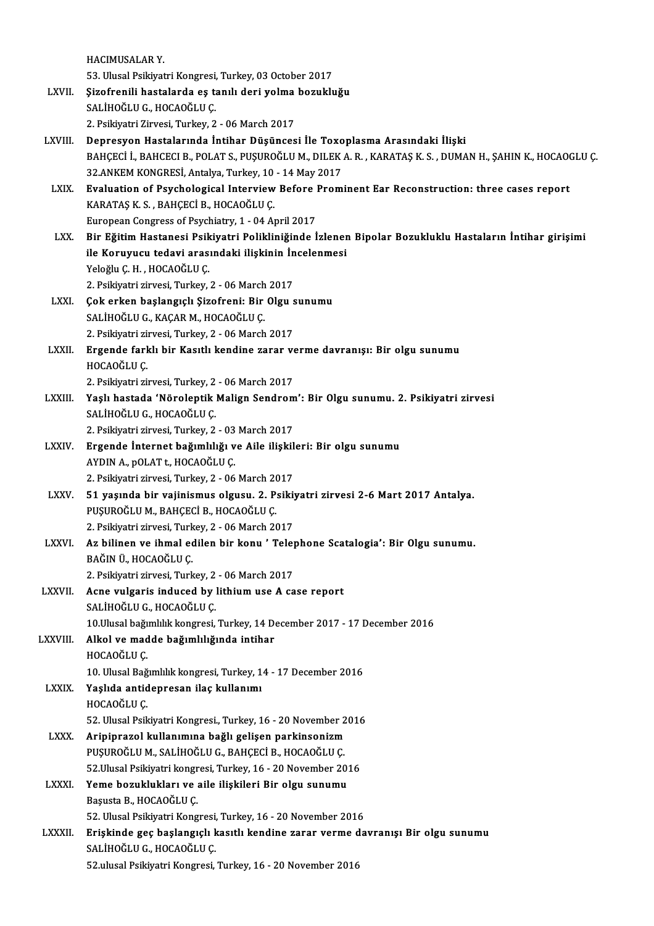HACIMUSALARY.

HACIMUSALAR Y.<br>53. Ulusal Psikiyatri Kongresi, Turkey, 03 October 2017<br>Sinafranili bastalarda es tanılı dari yalma basuldu

- HACIMUSALAR Y.<br>53. Ulusal Psikiyatri Kongresi, Turkey, 03 October 2017<br>LXVII. §izofrenili hastalarda eş tanılı deri yolma bozukluğu<br>5ALİHOČLU G. HOCAOČLU G. 53. Ulusal Psikiyatri Kongresi,<br>**Şizofrenili hastalarda eş t**:<br>SALİHOĞLU G., HOCAOĞLU Ç.<br>2. Psikiyatri Zirvasi Turkay 2. Şizofrenili hastalarda eş tanılı deri yolma<br>SALİHOĞLU G., HOCAOĞLU Ç.<br>2. Psikiyatri Zirvesi, Turkey, 2 - 06 March 2017<br>Denresven Hastalarında İntihar Düşünses SALİHOĞLU G., HOCAOĞLU Ç.<br>2. Psikiyatri Zirvesi, Turkey, 2 - 06 March 2017<br>LXVIII. Depresyon Hastalarında İntihar Düşüncesi İle Toxoplasma Arasındaki İlişki
- 2. Psikiyatri Zirvesi, Turkey, 2 06 March 2017<br>Depresyon Hastalarında İntihar Düşüncesi İle Toxoplasma Arasındaki İlişki<br>BAHÇECİ İ., BAHCECI B., POLAT S., PUŞUROĞLU M., DILEK A. R. , KARATAŞ K. S. , DUMAN H., ŞAHIN K., H Depresyon Hastalarında İntihar Düşüncesi İle Toxo<br>BAHÇECİ İ., BAHCECI B., POLAT S., PUŞUROĞLU M., DILEK<br>32.ANKEM KONGRESİ, Antalya, Turkey, 10 - 14 May 2017<br>Fualustian of Beychologiaal Interview Before Prom BAHÇECİ İ., BAHCECI B., POLAT S., PUŞUROĞLU M., DILEK A. R. , KARATAŞ K. S. , DUMAN H., ŞAHIN K., HOCAO<br>32.ANKEM KONGRESİ, Antalya, Turkey, 10 - 14 May 2017<br>LXIX. Bvaluation of Psychological Interview Before Prominent Ear
- 32.ANKEM KONGRESİ, Antalya, Turkey, 10 14 May 2017<br>Evaluation of Psychological Interview Before Prom<br>KARATAŞ K. S., BAHÇECİ B., HOCAOĞLU Ç.<br>European Congress of Psychiatry, 1 04 April 2017 Evaluation of Psychological Interview Before Prominent Ear Reconstruction; three cases report KARATAŞ K. S. , BAHÇECİ B., HOCAOĞLU Ç.<br>European Congress of Psychiatry, 1 - 04 April 2017<br>LXX. Bir Eğitim Hastanesi Psikiyatri Polikliniğinde İzlenen Bipolar Bozukluklu Hastaların İntihar girişimi<br>ile Konuyuan tedevi aras
- European Congress of Psychiatry, 1 04 April 2017<br>Bir Eğitim Hastanesi Psikiyatri Polikliniğinde İzlener<br>ile Koruyucu tedavi arasındaki ilişkinin İncelenmesi<br>Yeleğlu C.H., HOCAQĞLU C ile Koruyucu tedavi arasındaki ilişkinin İncelenmesi<br>Yeloğlu Ç. H. , HOCAOĞLU Ç. ile Koruyucu tedavi arasındaki ilişkinin İn<br>Yeloğlu Ç. H. , HOCAOĞLU Ç.<br>2. Psikiyatri zirvesi, Turkey, 2 - 06 March 2017<br>Celt erken baslangıslı Sirefreni; Bir Olsu ç Yeloğlu Ç. H. , HOCAOĞLU Ç.<br>2. Psikiyatri zirvesi, Turkey, 2 - 06 March 2017<br>LXXI. Çok erken başlangıçlı Şizofreni: Bir Olgu sunumu<br>5. SALİYOĞLU G. KAGAR M. YOCAOĞLU C
- 2. Psikiyatri zirvesi, Turkey, 2 06 March<br>**Çok erken başlangıçlı Şizofreni: Bir**<br>SALİHOĞLU G., KAÇAR M., HOCAOĞLU Ç.<br>2. Psikiyatri zirvesi, Turkey, 2., 06 March Çok erken başlangıçlı Şizofreni: Bir Olgu s<br>SALİHOĞLU G., KAÇAR M., HOCAOĞLU Ç.<br>2. Psikiyatri zirvesi, Turkey, 2 - 06 March 2017<br>Freende farklı bir Kasıtlı kandine gerer ve
- SALİHOĞLU G., KAÇAR M., HOCAOĞLU Ç.<br>2. Psikiyatri zirvesi, Turkey, 2 06 March 2017<br>LXXII. Ergende farklı bir Kasıtlı kendine zarar verme davranışı: Bir olgu sunumu<br>HOCAOĞLU S 2. Psikiyatri zil<br><mark>Ergende farl</mark><br>HOCAOĞLU Ç.<br>2. Psikiyatri zil Ergende farklı bir Kasıtlı kendine zarar ve<br>HOCAOĞLU Ç.<br>2. Psikiyatri zirvesi, Turkey, 2 - 06 March 2017<br>Yaslı bastada 'Nörelentik Malian Sandrom

HOCAOĞLU Ç.<br>2. Psikiyatri zirvesi, Turkey, 2 - 06 March 2017<br>LXXIII. Yaşlı hastada 'Nöroleptik Malign Sendrom': Bir Olgu sunumu. 2. Psikiyatri zirvesi 2. Psikiyatri zirvesi, Turkey, 2 - 06 March 2017<br>Yaşlı hastada 'Nöroleptik Malign Sendron<br>SALİHOĞLU G., HOCAOĞLU Ç.<br>2. Psikiyatri zirvesi, Turkey, 2 - 03 March 2017 Yaşlı hastada 'Nöroleptik Malign Sendrom<br>SALİHOĞLU G., HOCAOĞLU Ç.<br>2. Psikiyatri zirvesi, Turkey, 2 - 03 March 2017<br>Fraanda İntannat bağımlılığı ve Aila iliakil SALİHOĞLU G., HOCAOĞLU Ç.<br>2. Psikiyatri zirvesi, Turkey, 2 - 03 March 2017<br>LXXIV. Ergende İnternet bağımlılığı ve Aile ilişkileri: Bir olgu sunumu<br>AYDIN A. POLAT t. HOCAOĞLU C

- 2. Psikiyatri zirvesi, Turkey, 2 03<br>Ergende İnternet bağımlılığı v<br>AYDIN A., pOLAT t., HOCAOĞLU Ç.<br>2. Psikiyatri zirvesi, Turkey, 2., 06 Ergende İnternet bağımlılığı ve Aile ilişkil<br>AYDIN A., pOLAT t., HOCAOĞLU Ç.<br>2. Psikiyatri zirvesi, Turkey, 2 - 06 March 2017<br>51. yasında bir yalinlemus alsusu. 2. Balki AYDIN A., pOLAT t., HOCAOĞLU Ç.<br>2. Psikiyatri zirvesi, Turkey, 2 - 06 March 2017<br>LXXV. 51 yaşında bir vajinismus olgusu. 2. Psikiyatri zirvesi 2-6 Mart 2017 Antalya.
- 2. Psikiyatri zirvesi, Turkey, 2 06 March 20<br>51 yaşında bir vajinismus olgusu. 2. P:<br>PUŞUROĞLU M., BAHÇECİ B., HOCAOĞLU Ç. 51 yaşında bir vajinismus olgusu. 2. Psiki<br>PUŞUROĞLU M., BAHÇECİ B., HOCAOĞLU Ç.<br>2. Psikiyatri zirvesi, Turkey, 2 - 06 March 2017<br>Az bilinen ve ihmel edilen bir konu / Telet PUŞUROĞLU M., BAHÇECİ B., HOCAOĞLU Ç.<br>2. Psikiyatri zirvesi, Turkey, 2 - 06 March 2017<br>LXXVI. Az bilinen ve ihmal edilen bir konu ' Telephone Scatalogia': Bir Olgu sunumu.<br>PAČINJI HOCAOĞLU C
- 2. Psikiyatri zirvesi, Turk<br><mark>Az bilinen ve ihmal e</mark>d<br>BAĞIN Ü., HOCAOĞLU Ç.<br>2. Psikiyatri zirvesi, Turk Az bilinen ve ihmal edilen bir konu 'Tele<sub>l</sub><br>BAĞIN Ü., HOCAOĞLU Ç.<br>2. Psikiyatri zirvesi, Turkey, 2 - 06 March 2017<br>Aspa uulgaris indused bu litbium use A sa BAĞIN Ü., HOCAOĞLU Ç.<br>2. Psikiyatri zirvesi, Turkey, 2 - 06 March 2017<br>LXXVII. Acne vulgaris induced by lithium use A case report
- SALİHOĞLU G., HOCAOĞLU Ç. Acne vulgaris induced by lithium use A case report<br>SALİHOĞLU G., HOCAOĞLU Ç.<br>10.Ulusal bağımlılık kongresi, Turkey, 14 December 2017 - 17 December 2016<br>Alkal ve madda bağımlılığında intihan
- LXXVIII. Alkol ve madde bağımlılığında intihar<br>HOCAOĞLU Ç. 10.Ulusal bağı<br>Alkol ve mad<br>HOCAOĞLU Ç.<br>10. Ulusal Bağ Alkol ve madde bağımlılığında intihar<br>HOCAOĞLU Ç.<br>10. Ulusal Bağımlılık kongresi, Turkey, 14 - 17 December 2016<br>Yaslıda antidenresan ilas kullanımı

LXXIX. Yaşlıda antidepresan ilaç kullanımı<br>HOCAOĞLU C. 10. Ulusal Bağ<br>Yaşlıda antid<br>HOCAOĞLU Ç.<br>52. Ulusal Bajl

Yaşlıda antidepresan ilaç kullanımı<br>HOCAOĞLU Ç.<br>52. Ulusal Psikiyatri Kongresi., Turkey, 16 - 20 November 2016<br>Arininrazol kullanımına bağlı gelişen narkinsanizm

HOCAOĞLU Ç.<br>52. Ulusal Psikiyatri Kongresi., Turkey, 16 - 20 November 2<br>12XXX. — Aripiprazol kullanımına bağlı gelişen parkinsonizm<br>115 - PARCECI P. HOCAOĞLU C. 52. Ulusal Psikiyatri Kongresi., Turkey, 16 - 20 November 2<br>Aripiprazol kullanımına bağlı gelişen parkinsonizm<br>PUŞUROĞLU M., SALİHOĞLU G., BAHÇECİ B., HOCAOĞLU Ç.<br>52 Ulusal Psikiyatri kongresi Turkey, 16 - 20 November 20 Aripiprazol kullanımına bağlı gelişen parkinsonizm<br>PUŞUROĞLU M., SALİHOĞLU G., BAHÇECİ B., HOCAOĞLU Ç.<br>52.Ulusal Psikiyatri kongresi, Turkey, 16 - 20 November 2016

## LXXXI. Yeme bozuklukları ve aile ilişkileri Bir olgu sunumu Başusta B., HOCAOĞLU Ç. Yeme bozuklukları ve aile ilişkileri Bir olgu sunumu<br>Başusta B., HOCAOĞLU Ç.<br>52. Ulusal Psikiyatri Kongresi, Turkey, 16 - 20 November 2016<br>Friskinde see başlangıslı kaşıtlı kandine zarar yarma da

Başusta B., HOCAOĞLU Ç.<br>52. Ulusal Psikiyatri Kongresi, Turkey, 16 - 20 November 2016<br>LXXXII. Erişkinde geç başlangıçlı kasıtlı kendine zarar verme davranışı Bir olgu sunumu<br>SALİHOĞLU G. HOCAOĞLU G 52. Ulusal Psikiyatri Kongresi,<br><mark>Erişkinde geç başlangıçlı k</mark><br>SALİHOĞLU G., HOCAOĞLU Ç.<br>52 ylusal Psikiyatri Kongresi Erişkinde geç başlangıçlı kasıtlı kendine zarar verme d<br>SALİHOĞLU G., HOCAOĞLU Ç.<br>52.ulusal Psikiyatri Kongresi, Turkey, 16 - 20 November 2016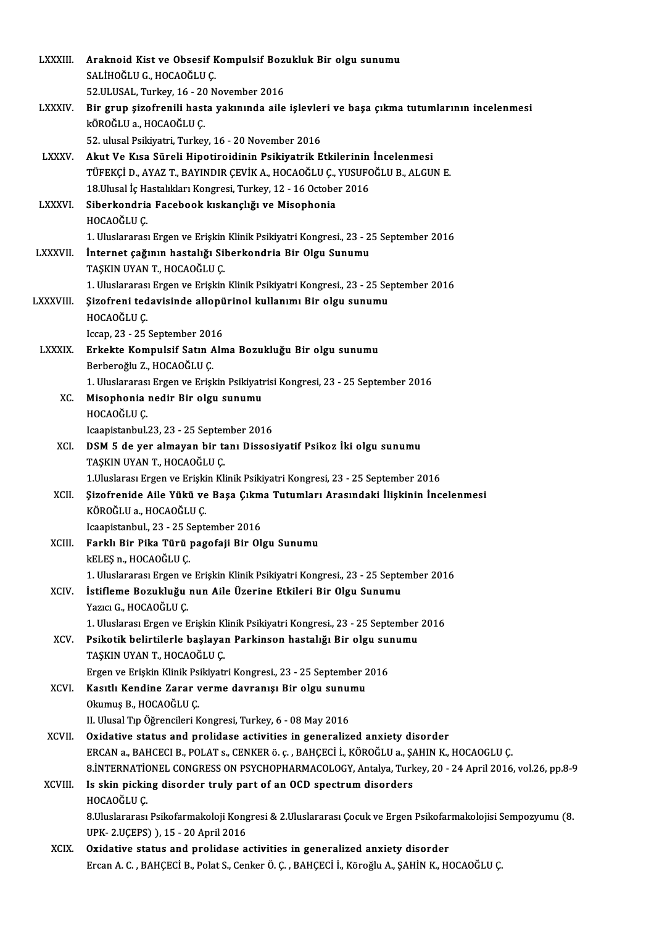| LXXXIII.       | Araknoid Kist ve Obsesif Kompulsif Bozukluk Bir olgu sunumu                                                                                                                 |
|----------------|-----------------------------------------------------------------------------------------------------------------------------------------------------------------------------|
|                | SALIHOĞLU G., HOCAOĞLU Ç.                                                                                                                                                   |
|                | 52.ULUSAL, Turkey, 16 - 20 November 2016                                                                                                                                    |
| <b>LXXXIV.</b> | Bir grup şizofrenili hasta yakınında aile işlevleri ve başa çıkma tutumlarının incelenmesi                                                                                  |
|                | kÖROĞLU a., HOCAOĞLU Ç.                                                                                                                                                     |
|                | 52. ulusal Psikiyatri, Turkey, 16 - 20 November 2016                                                                                                                        |
| <b>LXXXV</b>   | Akut Ve Kısa Süreli Hipotiroidinin Psikiyatrik Etkilerinin İncelenmesi                                                                                                      |
|                | TÜFEKÇİ D., AYAZ T., BAYINDIR ÇEVİK A., HOCAOĞLU Ç., YUSUFOĞLU B., ALGUN E.                                                                                                 |
|                | 18 Ulusal İç Hastalıkları Kongresi, Turkey, 12 - 16 October 2016                                                                                                            |
| <b>LXXXVI</b>  | Siberkondria Facebook kıskançlığı ve Misophonia                                                                                                                             |
|                | HOCAOĞLU Ç                                                                                                                                                                  |
|                | 1. Uluslararası Ergen ve Erişkin Klinik Psikiyatri Kongresi., 23 - 25 September 2016                                                                                        |
| LXXXVII.       | İnternet çağının hastalığı Siberkondria Bir Olgu Sunumu                                                                                                                     |
|                | TAŞKIN UYAN T, HOCAOĞLU Ç.                                                                                                                                                  |
|                | 1. Uluslararası Ergen ve Erişkin Klinik Psikiyatri Kongresi., 23 - 25 September 2016                                                                                        |
| LXXXVIII.      | Şizofreni tedavisinde allopürinol kullanımı Bir olgu sunumu                                                                                                                 |
|                | HOCAOĞLU Ç                                                                                                                                                                  |
|                | Iccap, 23 - 25 September 2016                                                                                                                                               |
| <b>LXXXIX</b>  | Erkekte Kompulsif Satın Alma Bozukluğu Bir olgu sunumu                                                                                                                      |
|                | Berberoğlu Z., HOCAOĞLU Ç.                                                                                                                                                  |
|                | 1. Uluslararası Ergen ve Erişkin Psikiyatrisi Kongresi, 23 - 25 September 2016                                                                                              |
| XC.            | Misophonia nedir Bir olgu sunumu<br>HOCAOĞLU C                                                                                                                              |
|                | Icaapistanbul 23, 23 - 25 September 2016                                                                                                                                    |
| XCI.           | DSM 5 de yer almayan bir tanı Dissosiyatif Psikoz İki olgu sunumu                                                                                                           |
|                | TAŞKIN UYAN T, HOCAOĞLU Ç.                                                                                                                                                  |
|                | 1. Uluslarası Ergen ve Erişkin Klinik Psikiyatri Kongresi, 23 - 25 September 2016                                                                                           |
| XCII.          | Şizofrenide Aile Yükü ve Başa Çıkma Tutumları Arasındaki İlişkinin İncelenmesi                                                                                              |
|                | KÖROĞLU a., HOCAOĞLU Ç.                                                                                                                                                     |
|                | Icaapistanbul., 23 - 25 September 2016                                                                                                                                      |
| XCIII.         | Farklı Bir Pika Türü pagofaji Bir Olgu Sunumu                                                                                                                               |
|                | kELEŞ n., HOCAOĞLU Ç.                                                                                                                                                       |
|                | 1. Uluslararası Ergen ve Erişkin Klinik Psikiyatri Kongresi., 23 - 25 September 2016                                                                                        |
| XCIV.          | İstifleme Bozukluğu nun Aile Üzerine Etkileri Bir Olgu Sunumu                                                                                                               |
|                | Yazıcı G., HOCAOĞLU Ç.                                                                                                                                                      |
|                | 1. Uluslarası Ergen ve Erişkin Klinik Psikiyatri Kongresi., 23 - 25 September 2016                                                                                          |
| XCV.           | Psikotik belirtilerle başlayan Parkinson hastalığı Bir olgu sunumu                                                                                                          |
|                | TAŞKIN UYAN T., HOCAOĞLU Ç.                                                                                                                                                 |
|                | Ergen ve Erişkin Klinik Psikiyatri Kongresi., 23 - 25 September 2016                                                                                                        |
| XCVI.          | Kasıtlı Kendine Zarar verme davranışı Bir olgu sunumu                                                                                                                       |
|                | Okumuş B, HOCAOĞLU Ç.                                                                                                                                                       |
|                | II. Ulusal Tıp Öğrencileri Kongresi, Turkey, 6 - 08 May 2016                                                                                                                |
| XCVII.         | Oxidative status and prolidase activities in generalized anxiety disorder                                                                                                   |
|                | ERCAN a., BAHCECI B., POLAT s., CENKER ö. ç., BAHÇECİ İ., KÖROĞLU a., ŞAHIN K., HOCAOGLU Ç.                                                                                 |
|                | 8. INTERNATIONEL CONGRESS ON PSYCHOPHARMACOLOGY, Antalya, Turkey, 20 - 24 April 2016, vol.26, pp.8-9                                                                        |
| XCVIII.        | Is skin picking disorder truly part of an OCD spectrum disorders                                                                                                            |
|                | HOCAOĞLU Ç                                                                                                                                                                  |
|                | 8. Uluslararası Psikofarmakoloji Kongresi & 2. Uluslararası Çocuk ve Ergen Psikofarmakolojisi Sempozyumu (8.                                                                |
|                | UPK-2 UÇEPS) ), 15 - 20 April 2016                                                                                                                                          |
| <b>XCIX</b>    | Oxidative status and prolidase activities in generalized anxiety disorder<br>Ercan A. C., BAHÇECİ B., Polat S., Cenker Ö. Ç., BAHÇECİ İ., Köroğlu A., ŞAHİN K., HOCAOĞLU Ç. |
|                |                                                                                                                                                                             |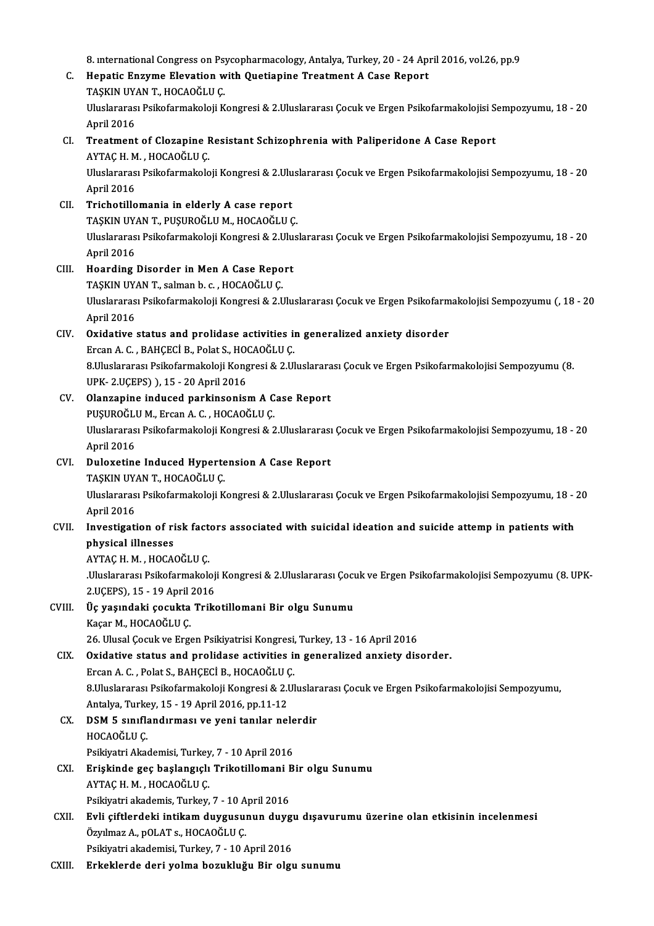8. international Congress on Psycopharmacology, Antalya, Turkey, 20 - 24 April 2016, vol.26, pp.9<br>Hanatis Engume Fleyetian with Quetianine Treatment A Case Penert

- 8. international Congress on Psycopharmacology, Antalya, Turkey, 20 24 App<br>C. Hepatic Enzyme Elevation with Quetiapine Treatment A Case Report 8. international Congress on Psy<br>Hepatic Enzyme Elevation w<br>TAŞKIN UYAN T., HOCAOĞLU Ç.<br>Uluelararası Psikafarmakalası v C. Hepatic Enzyme Elevation with Quetiapine Treatment A Case Report<br>TAŞKIN UYAN T., HOCAOĞLU Ç.<br>Uluslararası Psikofarmakoloji Kongresi & 2.Uluslararası Çocuk ve Ergen Psikofarmakolojisi Sempozyumu, 18 - 20<br>April 2016 TASKIN UYAN T., HOCAOĞLU C. Uluslararası Psikofarmakoloji Kongresi & 2.Uluslararası Çocuk ve Ergen Psikofarmakolojisi S<br>April 2016<br>CI. Treatment of Clozapine Resistant Schizophrenia with Paliperidone A Case Report<br>AVTACH M. HOCAOČLU.C
- April 2016<br><mark>Treatment of Clozapine I</mark><br>AYTAÇ H. M. , HOCAOĞLU Ç.<br>Uluclararası Psikoformakala Uluslararası Psikofarmakoloji Kongresi & 2.Uluslararası Çocuk ve Ergen Psikofarmakolojisi Sempozyumu, 18 - 20<br>April 2016 AYTAÇ H. M., HOCAOĞLU Ç. Uluslararası Psikofarmakoloji Kongresi & 2.Ulu<br>April 2016<br>CII. Trichotillomania in elderly A case report<br>TASKIN UVAN T. BUSUPOČLU M. HOCAOČLU C
- April 2016<br>Trichotillomania in elderly A case report<br>TAŞKIN UYAN T., PUŞUROĞLU M., HOCAOĞLU Ç.<br>Uluslararesı Bsikofarmakalaji Kansresi & 2 Ulus Uluslararası Psikofarmakoloji Kongresi & 2.Uluslararası Çocuk ve Ergen Psikofarmakolojisi Sempozyumu, 18 - 20<br>April 2016 TAŞKIN UYAN T., PUŞUROĞLU M., HOCAOĞLU Ç. Uluslararası Psikofarmakoloji Kongresi & 2.Ulu:<br>April 2016<br>CIII. Hoarding Disorder in Men A Case Report<br>TASKIN UVAN T. Salman b. 6. HOCAOČI U.C.
- April 2016<br>Hoarding Disorder in Men A Case Repo<br>TAŞKIN UYAN T., salman b. c. , HOCAOĞLU Ç.<br>Uluelararası Balkafarmakalaji Kansrasi & 2 L Uluslararası Psikofarmakoloji Kongresi & 2.Uluslararası Çocuk ve Ergen Psikofarmakolojisi Sempozyumu (, 18 - 20<br>April 2016 TAŞKIN UYAN T., salman b. c., HOCAOĞLU Ç. Uluslararası Psikofarmakoloji Kongresi & 2.Uluslararası Çocuk ve Ergen Psikofarm<br>April 2016<br>CIV. Oxidative status and prolidase activities in generalized anxiety disorder<br>Executed BANGECI B Polat S. HOCAOČLU.C

# April 2016<br><mark>Oxidative status and prolidase activities</mark> in<br>Ercan A. C. , BAHÇECİ B., Polat S., HOCAOĞLU Ç.<br>8 Uluslarares: Psikefarmakaleji Kongresi & 2 Ul Oxidative status and prolidase activities in generalized anxiety disorder<br>Ercan A. C. , BAHÇECİ B., Polat S., HOCAOĞLU Ç.<br>8.Uluslararası Psikofarmakoloji Kongresi & 2.Uluslararası Çocuk ve Ergen Psikofarmakolojisi Sempozyu Ercan A. C. , BAHÇECİ B., Polat S., HO<br>8.Uluslararası Psikofarmakoloji Kong<br>UPK- 2.UÇEPS) ), 15 - 20 April 2016<br>Olanzanine indused narkinsenisı

- UPK-2.UÇEPS) ), 15 20 April 2016<br>CV. Olanzapine induced parkinsonism A Case Report UPK- 2.UÇEPS) ), 15 - 20 April 2016<br>Olanzapine induced parkinsonism A C<br>PUŞUROĞLU M., Ercan A. C. , HOCAOĞLU Ç.<br>Uluslararesı Psikoformakoloji Kongresi & 2 Olanzapine induced parkinsonism A Case Report<br>PUŞUROĞLU M., Ercan A. C. , HOCAOĞLU Ç.<br>Uluslararası Psikofarmakoloji Kongresi & 2.Uluslararası Çocuk ve Ergen Psikofarmakolojisi Sempozyumu, 18 - 20<br>April 2016 PUŞUROĞLI<br>Uluslararas<br>April 2016<br>Pulexetine
- Uluslararası Psikofarmakoloji Kongresi & 2.Uluslararası<br>April 2016<br>CVI. Duloxetine Induced Hypertension A Case Report<br>TASKIN UVAN T. HOCAOČU U.C. April 2016<br>Duloxetine Induced Hypertension A Case Report Uluslararası Psikofarmakoloji Kongresi & 2.Uluslararası Çocuk ve Ergen Psikofarmakolojisi Sempozyumu, 18 - 20<br>April 2016 TAŞKIN UYAN T, HOCAOĞLU C.

# Uluslararası Psikofarmakoloji Kongresi & 2.Uluslararası Çocuk ve Ergen Psikofarmakolojisi Sempozyumu, 18 - .<br>April 2016<br>CVII. Investigation of risk factors associated with suicidal ideation and suicide attemp in patients w April 2016<br>Investigation of ri<br>physical illnesses<br>AYTAC H\_M\_HOCAA Investigation of risk fact<br>physical illnesses<br>AYTAÇ H. M. , HOCAOĞLU Ç.<br>Uluslananas Balkafarmakak

physical illnesses<br>AYTAÇ H. M. , HOCAOĞLU Ç.<br>.Uluslararası Psikofarmakoloji Kongresi & 2.Uluslararası Çocuk ve Ergen Psikofarmakolojisi Sempozyumu (8. UPK-<br>2.UÇEPS), 15 - 19 April 2016 AYTAÇ H. M. , HOCAOĞLU Ç.<br>.Uluslararası Psikofarmakoloj<br>2.UÇEPS), 15 - 19 April 2016<br>Üe vasındaki sosukta Triks Uluslararası Psikofarmakoloji Kongresi & 2.Uluslararası Çocu<br>2.UÇEPS), 15 - 19 April 2016<br>CVIII. Üç yaşındaki çocukta Trikotillomani Bir olgu Sunumu<br><sup>Vəsən M. HOCAQ</sub>ÖLU*C*</sup>

# 2.UÇEPS), 15 - 19 April<br>Üç yaşındaki çocukta<br>Kaçar M., HOCAOĞLU Ç.<br>26. Illusal Cosultus Eng Kaçar M., HOCAOĞLU Ç.<br>26. Ulusal Çocuk ve Ergen Psikiyatrisi Kongresi, Turkey, 13 - 16 April 2016

# Kaçar M., HOCAOĞLU Ç.<br>26. Ulusal Çocuk ve Ergen Psikiyatrisi Kongresi, Turkey, 13 - 16 April 2016<br>CIX. Oxidative status and prolidase activities in generalized anxiety disorder.<br>Freen A.C., Bolat S. BANCECI B. HOCAOĞLU

26. Ulusal Çocuk ve Ergen Psikiyatrisi Kongresi,<br>**Oxidative status and prolidase activities** in<br>Ercan A. C. , Polat S., BAHÇECİ B., HOCAOĞLU Ç.<br>9. Uluslararası Psikoformakaloji Kongresi 8. 2. Ul 8.Uluslararası Psikofarmakoloji Kongresi & 2.Uluslararası Çocuk ve Ergen Psikofarmakolojisi Sempozyumu,<br>Antalya, Turkey, 15 - 19 April 2016, pp.11-12 Ercan A. C., Polat S., BAHÇECİ B., HOCAOĞLU Ç. 8.Uluslararası Psikofarmakoloji Kongresi & 2.Uluslar<br>Antalya, Turkey, 15 - 19 April 2016, pp.11-12<br>CX. DSM 5 sınıflandırması ve yeni tanılar nelerdir<br>HOCAQČULC

Antalya, Turke<br>DSM 5 sınıfla<br>HOCAOĞLU Ç.<br>Peikiyatri Akae DSM 5 sınıflandırması ve yeni tanılar nele<br>HOCAOĞLU Ç.<br>Psikiyatri Akademisi, Turkey, 7 - 10 April 2016<br>Friskinde gee başlangıslı Triketillemeni B

- HOCAOĞLU Ç.<br>Psikiyatri Akademisi, Turkey, 7 10 April 2016<br>CXI. Erişkinde geç başlangıçlı Trikotillomani Bir olgu Sunumu<br>AVTAC H.M. HOCAOĞLU C Psikiyatri Akademisi, Turkey, 7 - 10 April 2016<br>**Erişkinde geç başlangıçlı Trikotillomani B**<br>AYTAÇ H. M. , HOCAOĞLU Ç.<br>Psikiyatri akademis, Turkey, 7 - 10 April 2016 Erişkinde geç başlangıçlı Trikotillomani E<br>AYTAÇ H. M. , HOCAOĞLU Ç.<br>Psikiyatri akademis, Turkey, 7 - 10 April 2016<br>Evli eiftlandeki intikem duvgusunun duvg
- AYTAÇ H. M. , HOCAOĞLU Ç.<br>Psikiyatri akademis, Turkey, 7 10 April 2016<br>CXII. Evli çiftlerdeki intikam duygusunun duygu dışavurumu üzerine olan etkisinin incelenmesi<br>Özülmez A. POLAT e. HOCAOĞLU C Psikiyatri akademis, Turkey, 7 - 10 A<br>**Evli çiftlerdeki intikam duygusu**l<br>Özyılmaz A., pOLAT s., HOCAOĞLU Ç.<br>Psikiyatri akademisi Turkey, 7, 10 4 Evli çiftlerdeki intikam duygusunun duygu<br>Özyılmaz A., pOLAT s., HOCAOĞLU Ç.<br>Psikiyatri akademisi, Turkey, 7 - 10 April 2016<br>Erkeklande deri velme berukluğu Bir elsi Özyılmaz A., pOLAT s., HOCAOĞLU Ç.<br>Psikiyatri akademisi, Turkey, 7 - 10 April 2016<br>CXIII. Erkeklerde deri yolma bozukluğu Bir olgu sunumu
-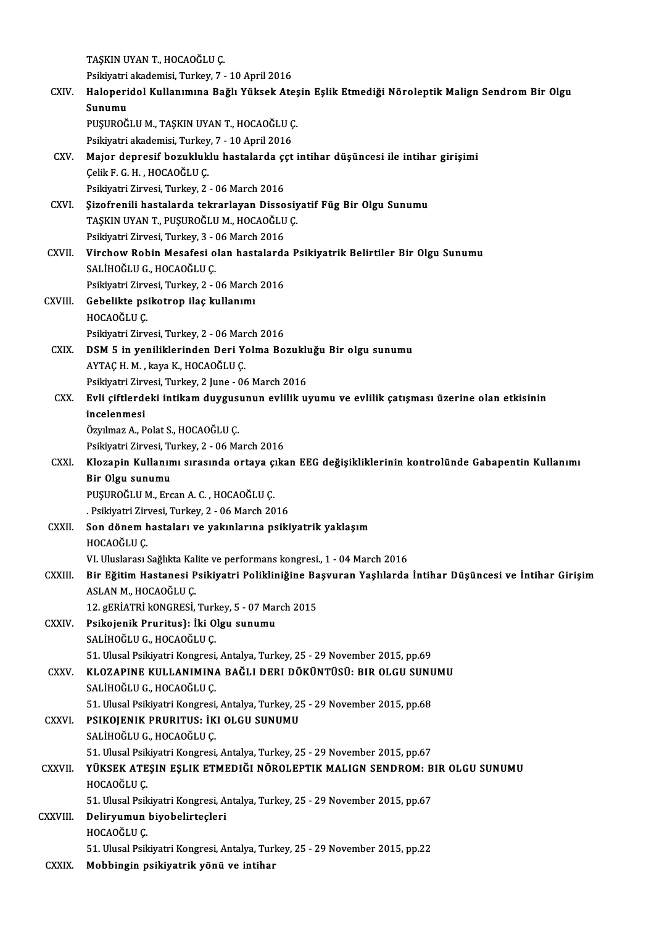TAŞKINUYANT.,HOCAOĞLUÇ. TAŞKIN UYAN T., HOCAOĞLU Ç.<br>Psikiyatri akademisi, Turkey, 7 - 10 April 2016<br>Halanaridal Kullanımına Bağlı Yüksek Ata CXIV. Haloperidol Kullanımına Bağlı Yüksek Ateşin Eşlik Etmediği Nöroleptik Malign Sendrom Bir Olgu<br>Sunumu Psikiyatri<br><mark>Haloperi</mark><br>Sunumu<br><sup>DUSUDO</sub>Č</sup> Haloperidol Kullanımına Bağlı Yüksek Ateş<br>Sunumu<br>PUŞUROĞLU M., TAŞKIN UYAN T., HOCAOĞLU Ç.<br>Psikiyatri akademisi Turkey 7, 10 April 2016 Sunumu<br>PUŞUROĞLU M., TAŞKIN UYAN T., HOCAOĞLU Ç<br>Psikiyatri akademisi, Turkey, 7 - 10 April 2016<br>Majar danrasif başukluklu baştalarda est PUŞUROĞLU M., TAŞKIN UYAN T., HOCAOĞLU Ç.<br>Psikiyatri akademisi, Turkey, 7 - 10 April 2016<br>CXV. Major depresif bozukluklu hastalarda ççt intihar düşüncesi ile intihar girişimi Psikiyatri akademisi, Turkey<br>Major depresif bozukluk<br>Çelik F. G. H. , HOCAOĞLU Ç.<br>Psikiyatri Zirvesi, Turkey, 2. Major depresif bozukluklu hastalarda çı<br>Çelik F. G. H. , HOCAOĞLU Ç.<br>Psikiyatri Zirvesi, Turkey, 2 - 06 March 2016<br>Sirofronili hastalarda tekrorlayan Disse Celik F. G. H. , HOCAOĞLU Ç.<br>Psikiyatri Zirvesi, Turkey, 2 - 06 March 2016<br>CXVI. Şizofrenili hastalarda tekrarlayan Dissosiyatif Füg Bir Olgu Sunumu<br>TASKIN UVAN T. PUSUBOĞLU M. HOCAOĞLU C Psikiyatri Zirvesi, Turkey, 2 - 06 March 2016<br>Şizofrenili hastalarda tekrarlayan Dissosiy<br>TAŞKIN UYAN T., PUŞUROĞLU M., HOCAOĞLU Ç.<br>Psikiyatri Zirvesi Turkey, 2., 06 Marsh 2016 Şizofrenili hastalarda tekrarlayan Disso<br>TAŞKIN UYAN T., PUŞUROĞLU M., HOCAOĞLU<br>Psikiyatri Zirvesi, Turkey, 3 - 06 March 2016<br>Virshow Bobin Mesafesi olan bastalarda TAŞKIN UYAN T., PUŞUROĞLU M., HOCAOĞLU Ç.<br>Psikiyatri Zirvesi, Turkey, 3 - 06 March 2016<br>CXVII. Virchow Robin Mesafesi olan hastalarda Psikiyatrik Belirtiler Bir Olgu Sunumu SALİHOĞLU G., HOCAOĞLU Ç. Virchow Robin Mesafesi olan hastalarda<br>SALİHOĞLU G., HOCAOĞLU Ç.<br>Psikiyatri Zirvesi, Turkey, 2 - 06 March 2016<br>Cebelikte psiketren ileş kullanımı CXVIII. Gebelikte psikotrop ilaç kullanımı<br>HOCAOĞLU Ç. Psikiyatri Zirv<br>Gebelikte psi<br>HOCAOĞLU Ç.<br>Psikiyatri Zirv Psikiyatri Zirvesi, Turkey, 2 - 06 March 2016 HOCAOĞLU Ç.<br>Psikiyatri Zirvesi, Turkey, 2 - 06 March 2016<br>CXIX. DSM 5 in yeniliklerinden Deri Yolma Bozukluğu Bir olgu sunumu<br>AYTACH M. kaya K. HOCAOĞLU C AYTAÇH.M., kaya K., HOCAOĞLUÇ. DSM 5 in yeniliklerinden Deri Yolma Bozuklı<br>AYTAÇ H. M. , kaya K., HOCAOĞLU Ç.<br>Psikiyatri Zirvesi, Turkey, 2 June - 06 March 2016<br>Fyli çiftlardaki intikam duygusunun qylilik ul CXX. Evli çiftlerdeki intikamduygusunun evlilik uyumu ve evlilik çatışması üzerine olan etkisinin Psikiyatri Zirvesi, Turkey, 2 June - 06 March 2016 Özyılmaz A., Polat S., HOCAOĞLUÇ. i<mark>ncelenmesi</mark><br>Özyılmaz A., Polat S., HOCAOĞLU Ç.<br>Psikiyatri Zirvesi, Turkey, 2 - 06 March 2016<br>Kloganin Kullanımı sırasında ortaya sıks CXXI. Klozapin Kullanımı sırasında ortaya çıkan EEG değişikliklerinin kontrolünde Gabapentin Kullanımı<br>Bir Olgu sunumu Psikiyatri Zirvesi, T<mark>i</mark><br>Klozapin Kullanın<br>Bir Olgu sunumu<br>Plislipoči II M. Fra PUŞUROĞLU M., Ercan A. C., HOCAOĞLU Ç. Bir Olgu sunumu<br>PUŞUROĞLU M., Ercan A. C. , HOCAOĞLU Ç.<br>. Psikiyatri Zirvesi, Turkey, 2 - 06 March 2016<br>Son dönem bastaları ve yakınlarına nsiki CXXII. Son dönem hastaları ve yakınlarına psikiyatrik yaklaşım<br>HOCAOĞLU C. . Psikiyatri Zir<br>Son dönem h<br>HOCAOĞLU Ç.<br>VI. Uluslarası i Son dönem hastaları ve yakınlarına psikiyatrik yaklaşım<br>HOCAOĞLU Ç.<br>VI. Uluslarası Sağlıkta Kalite ve performans kongresi., 1 - 04 March 2016<br>Pir Fğitim Hastanasi Psikiyatri Polikliniğine Basuuran Yasklarda HOCAOĞLU Ç.<br>VI. Uluslarası Sağlıkta Kalite ve performans kongresi., 1 - 04 March 2016<br>CXXIII. Bir Eğitim Hastanesi Psikiyatri Polikliniğine Başvuran Yaşlılarda İntihar Düşüncesi ve İntihar Girişim<br>ASLAN M. HOCAOĞLU C VI. Uluslarası Sağlıkta Kal<br>Bir Eğitim Hastanesi P<br>ASLAN M., HOCAOĞLU Ç.<br>12. SERİATRİ HONCRESİ Bir Eğitim Hastanesi Psikiyatri Polikliniğine Ba<br>ASLAN M., HOCAOĞLU Ç.<br>12. gERİATRİ kONGRESİ, Turkey, 5 - 07 March 2015<br>Psikaianik Prunitua): İki Olay sunumu ASLAN M., HOCAOĞLU Ç.<br>12. gERİATRİ kONGRESİ, Turkey, 5 - 07 Ma<br>CXXIV. Psikojenik Pruritus}: İki Olgu sunumu<br>SALİHOĞLU G., HOCAOĞLU Ç. 12. gERİATRİ kONGRESİ, Turkey, 5 - 07 March 2015 Psikojenik Pruritus}: İki Olgu sunumu<br>SALİHOĞLU G., HOCAOĞLU Ç.<br>51. Ulusal Psikiyatri Kongresi, Antalya, Turkey, 25 - 29 November 2015, pp.69<br>11. OZARINE KULLANIMINA RAĞLI DERL DÖKÜNTÜSÜ. RIR OLGU SUNI CXXV. KLOZAPINE KULLANIMINA BAĞLI DERI DÖKÜNTÜSÜ: BIR OLGU SUNUMU 51. Ulusal Psikiyatri Kongresi,<br>KLOZAPINE KULLANIMINA<br>SALİHOĞLU G., HOCAOĞLU Ç.<br>51. Ulusal Bsikiyatri Kongresi, KLOZAPINE KULLANIMINA BAĞLI DERI DÖKÜNTÜSÜ: BIR OLGU SUNU<br>SALİHOĞLU G., HOCAOĞLU Ç.<br>51. Ulusal Psikiyatri Kongresi, Antalya, Turkey, 25 - 29 November 2015, pp.68<br>PSIKOJENIK PRIJRITUS. İKLOLGU SUNUMU SALİHOĞLU G., HOCAOĞLU Ç.<br>51. Ulusal Psikiyatri Kongresi, Antalya, Turkey, 2<br>CXXVI. PSIKOJENIK PRURITUS: İKI OLGU SUNUMU<br>SALİHOĞLU G., HOCAOĞLU Ç. 51. Ulusal Psikiyatri Kongresi,<br>PSIKOJENIK PRURITUS: İK<br>SALİHOĞLU G., HOCAOĞLU Ç.<br>51. Ulusal Bsikiyatri Kongresi, PSIKOJENIK PRURITUS: İKI OLGU SUNUMU<br>SALİHOĞLU G., HOCAOĞLU Ç.<br>51. Ulusal Psikiyatri Kongresi, Antalya, Turkey, 25 - 29 November 2015, pp.67<br>VÜKSEK ATESIN ESLIK ETMEDIĞI NÖROLERTIK MALICN SENDROM: P SALİHOĞLU G., HOCAOĞLU Ç.<br>51. Ulusal Psikiyatri Kongresi, Antalya, Turkey, 25 - 29 November 2015, pp.67<br>CXXVII. YÜKSEK ATEŞIN EŞLIK ETMEDIĞI NÖROLEPTIK MALIGN SENDROM: BIR OLGU SUNUMU<br>HOCAOĞLU C 51. Ulusal Psik<br>YÜKSEK ATE<br>HOCAOĞLU Ç.<br>51. Ulusal Psik YÜKSEK ATEŞIN EŞLIK ETMEDIĞI NÖROLEPTIK MALIGN SENDROM: B<br>HOCAOĞLU Ç.<br>51. Ulusal Psikiyatri Kongresi, Antalya, Turkey, 25 - 29 November 2015, pp.67<br>Delinuumun biyebelintesleri CXXVI I. Deliryumun biyobelirteçleri 51. Ulusal Psik<br>Deliryumun<br>HOCAOĞLU Ç.<br>51. Ulusal Psik 51.UlusalPsikiyatriKongresi,Antalya,Turkey,25 -29November 2015,pp.22 CXXIX. Mobbingin psikiyatrik yönü ve intihar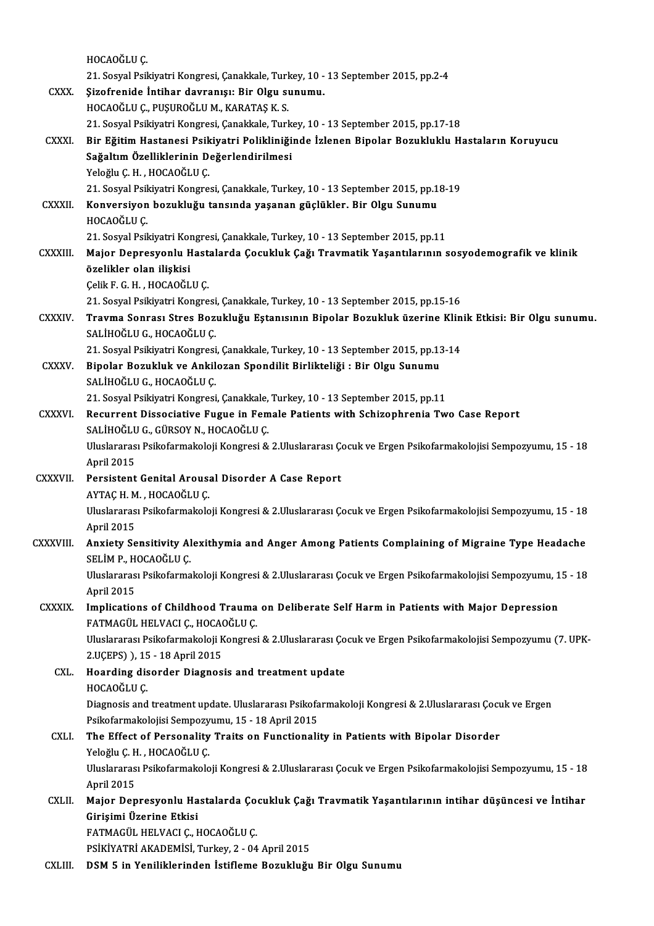|                 | HOCAOĞLU Ç                                                                                                                                                             |
|-----------------|------------------------------------------------------------------------------------------------------------------------------------------------------------------------|
|                 | 21. Sosyal Psikiyatri Kongresi, Çanakkale, Turkey, 10 - 13 September 2015, pp.2-4                                                                                      |
| <b>CXXX</b>     | Şizofrenide İntihar davranışı: Bir Olgu sunumu.                                                                                                                        |
|                 | HOCAOĞLU Ç., PUŞUROĞLU M., KARATAŞ K. S.                                                                                                                               |
|                 | 21. Sosyal Psikiyatri Kongresi, Çanakkale, Turkey, 10 - 13 September 2015, pp.17-18                                                                                    |
| CXXXI.          | Bir Eğitim Hastanesi Psikiyatri Polikliniğinde İzlenen Bipolar Bozukluklu Hastaların Koruyucu                                                                          |
|                 | Sağaltım Özelliklerinin Değerlendirilmesi                                                                                                                              |
|                 | Yeloğlu Ç. H., HOCAOĞLU Ç.                                                                                                                                             |
|                 | 21. Sosyal Psikiyatri Kongresi, Çanakkale, Turkey, 10 - 13 September 2015, pp.18-19                                                                                    |
| <b>CXXXII</b>   | Konversiyon bozukluğu tansında yaşanan güçlükler. Bir Olgu Sunumu                                                                                                      |
|                 | HOCAOĞLU Ç                                                                                                                                                             |
|                 | 21. Sosyal Psikiyatri Kongresi, Çanakkale, Turkey, 10 - 13 September 2015, pp.11                                                                                       |
| <b>CXXXIII</b>  | Major Depresyonlu Hastalarda Çocukluk Çağı Travmatik Yaşantılarının sosyodemografik ve klinik                                                                          |
|                 | özelikler olan ilişkisi                                                                                                                                                |
|                 | Çelik F G H , HOCAOĞLU Ç                                                                                                                                               |
|                 | 21. Sosyal Psikiyatri Kongresi, Çanakkale, Turkey, 10 - 13 September 2015, pp 15-16                                                                                    |
| CXXXIV.         | Travma Sonrası Stres Bozukluğu Eştanısının Bipolar Bozukluk üzerine Klinik Etkisi: Bir Olgu sunumu.                                                                    |
|                 | SALIHOĞLU G., HOCAOĞLU Ç.                                                                                                                                              |
|                 | 21. Sosyal Psikiyatri Kongresi, Çanakkale, Turkey, 10 - 13 September 2015, pp.13-14                                                                                    |
| <b>CXXXV</b>    | Bipolar Bozukluk ve Ankilozan Spondilit Birlikteliği : Bir Olgu Sunumu                                                                                                 |
|                 | SALIHOĞLU G., HOCAOĞLU Ç.                                                                                                                                              |
| <b>CXXXVI.</b>  | 21. Sosyal Psikiyatri Kongresi, Çanakkale, Turkey, 10 - 13 September 2015, pp.11<br>Recurrent Dissociative Fugue in Female Patients with Schizophrenia Two Case Report |
|                 | SALİHOĞLU G., GÜRSOY N., HOCAOĞLU Ç.                                                                                                                                   |
|                 | Uluslararası Psikofarmakoloji Kongresi & 2.Uluslararası Çocuk ve Ergen Psikofarmakolojisi Sempozyumu, 15 - 18                                                          |
|                 | April 2015                                                                                                                                                             |
| <b>CXXXVII.</b> | Persistent Genital Arousal Disorder A Case Report                                                                                                                      |
|                 | AYTAÇ H. M., HOCAOĞLU Ç.                                                                                                                                               |
|                 | Uluslararası Psikofarmakoloji Kongresi & 2 Uluslararası Çocuk ve Ergen Psikofarmakolojisi Sempozyumu, 15 - 18                                                          |
|                 | April 2015                                                                                                                                                             |
| CXXXVIII.       | Anxiety Sensitivity Alexithymia and Anger Among Patients Complaining of Migraine Type Headache                                                                         |
|                 | SELIM P., HOCAOĞLU C.                                                                                                                                                  |
|                 | Uluslararası Psikofarmakoloji Kongresi & 2.Uluslararası Çocuk ve Ergen Psikofarmakolojisi Sempozyumu, 15 - 18                                                          |
|                 | April 2015                                                                                                                                                             |
| <b>CXXXIX</b>   | Implications of Childhood Trauma on Deliberate Self Harm in Patients with Major Depression                                                                             |
|                 | FATMAGÜL HELVACI Ç., HOCAOĞLU Ç.                                                                                                                                       |
|                 | Uluslararası Psikofarmakoloji Kongresi & 2 Uluslararası Çocuk ve Ergen Psikofarmakolojisi Sempozyumu (7. UPK-                                                          |
|                 | 2.UÇEPS) ), 15 - 18 April 2015                                                                                                                                         |
| CXL.            | Hoarding disorder Diagnosis and treatment update                                                                                                                       |
|                 | HOCAOĞLU Ç                                                                                                                                                             |
|                 | Diagnosis and treatment update. Uluslararası Psikofarmakoloji Kongresi & 2 Uluslararası Çocuk ve Ergen                                                                 |
|                 | Psikofarmakolojisi Sempozyumu, 15 - 18 April 2015                                                                                                                      |
| CXLI.           | The Effect of Personality Traits on Functionality in Patients with Bipolar Disorder                                                                                    |
|                 | Yeloğlu Ç H , HOCAOĞLU Ç                                                                                                                                               |
|                 | Uluslararası Psikofarmakoloji Kongresi & 2.Uluslararası Çocuk ve Ergen Psikofarmakolojisi Sempozyumu, 15 - 18                                                          |
|                 | April 2015                                                                                                                                                             |
| <b>CXLII</b>    | Major Depresyonlu Hastalarda Çocukluk Çağı Travmatik Yaşantılarının intihar düşüncesi ve İntihar                                                                       |
|                 | Girişimi Üzerine Etkisi                                                                                                                                                |
|                 | FATMAGÜL HELVACI Ç., HOCAOĞLU Ç.                                                                                                                                       |
|                 | PSİKİYATRİ AKADEMİSİ, Turkey, 2 - 04 April 2015                                                                                                                        |
| CXLIII.         | DSM 5 in Yeniliklerinden İstifleme Bozukluğu Bir Olgu Sunumu                                                                                                           |